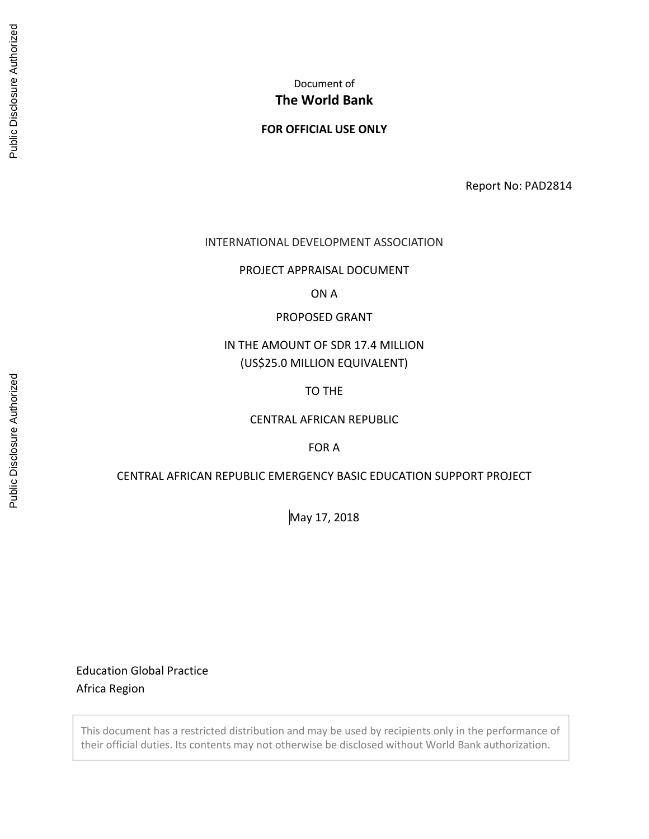# Document of **The World Bank**

# **FOR OFFICIAL USE ONLY**

Report No: PAD2814

#### INTERNATIONAL DEVELOPMENT ASSOCIATION

#### PROJECT APPRAISAL DOCUMENT

ON A

PROPOSED GRANT

# IN THE AMOUNT OF SDR 17.4 MILLION (US\$25.0 MILLION EQUIVALENT)

TO THE

CENTRAL AFRICAN REPUBLIC

FOR A

# CENTRAL AFRICAN REPUBLIC EMERGENCY BASIC EDUCATION SUPPORT PROJECT

May 17, 2018

Education Global Practice Africa Region

This document has a restricted distribution and may be used by recipients only in the performance of their official duties. Its contents may not otherwise be disclosed without World Bank authorization.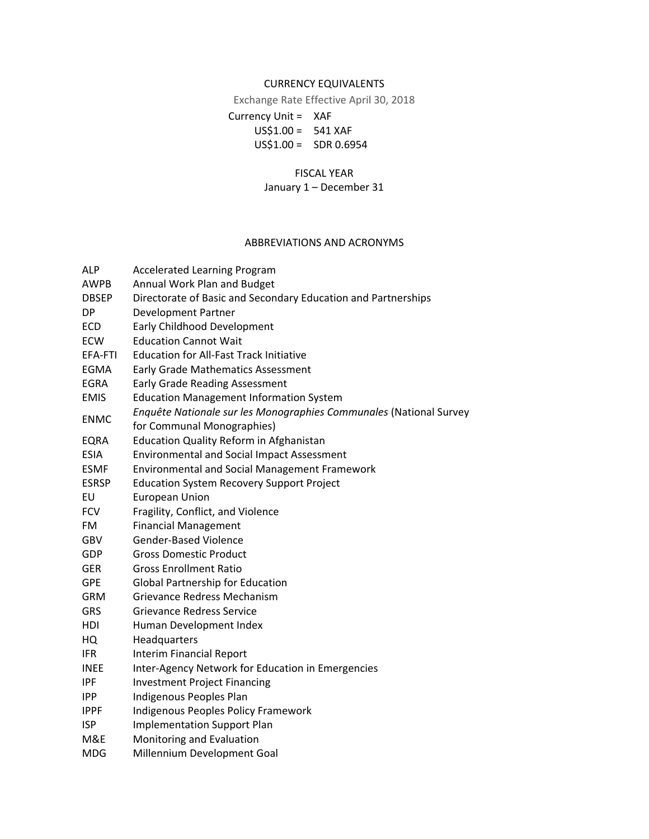#### CURRENCY EQUIVALENTS

Exchange Rate Effective April 30, 2018

Currency Unit = XAF US\$1.00 = 541 XAF US\$1.00 = SDR 0.6954

#### FISCAL YEAR

#### January 1 – December 31

#### ABBREVIATIONS AND ACRONYMS

| <b>ALP</b>   | <b>Accelerated Learning Program</b>                                |
|--------------|--------------------------------------------------------------------|
| AWPB         | Annual Work Plan and Budget                                        |
| <b>DBSEP</b> | Directorate of Basic and Secondary Education and Partnerships      |
| DP           | <b>Development Partner</b>                                         |
| <b>ECD</b>   | Early Childhood Development                                        |
| <b>ECW</b>   | <b>Education Cannot Wait</b>                                       |
| EFA-FTI      | <b>Education for All-Fast Track Initiative</b>                     |
| <b>EGMA</b>  | Early Grade Mathematics Assessment                                 |
| <b>EGRA</b>  | Early Grade Reading Assessment                                     |
| <b>EMIS</b>  | <b>Education Management Information System</b>                     |
| <b>ENMC</b>  | Enquête Nationale sur les Monographies Communales (National Survey |
|              | for Communal Monographies)                                         |
| <b>EQRA</b>  | <b>Education Quality Reform in Afghanistan</b>                     |
| <b>ESIA</b>  | <b>Environmental and Social Impact Assessment</b>                  |
| <b>ESMF</b>  | <b>Environmental and Social Management Framework</b>               |
| <b>ESRSP</b> | <b>Education System Recovery Support Project</b>                   |
| EU           | <b>European Union</b>                                              |
| <b>FCV</b>   | Fragility, Conflict, and Violence                                  |
| FM           | <b>Financial Management</b>                                        |
| <b>GBV</b>   | <b>Gender-Based Violence</b>                                       |
| <b>GDP</b>   | <b>Gross Domestic Product</b>                                      |
| <b>GER</b>   | <b>Gross Enrollment Ratio</b>                                      |
| <b>GPE</b>   | <b>Global Partnership for Education</b>                            |
| <b>GRM</b>   | <b>Grievance Redress Mechanism</b>                                 |
| <b>GRS</b>   | <b>Grievance Redress Service</b>                                   |
| HDI          | Human Development Index                                            |
| HQ           | Headquarters                                                       |
| <b>IFR</b>   | <b>Interim Financial Report</b>                                    |
| <b>INEE</b>  | Inter-Agency Network for Education in Emergencies                  |
| <b>IPF</b>   | <b>Investment Project Financing</b>                                |
| <b>IPP</b>   | Indigenous Peoples Plan                                            |
| <b>IPPF</b>  | <b>Indigenous Peoples Policy Framework</b>                         |
| <b>ISP</b>   | <b>Implementation Support Plan</b>                                 |
| M&E          | Monitoring and Evaluation                                          |
| <b>MDG</b>   | Millennium Development Goal                                        |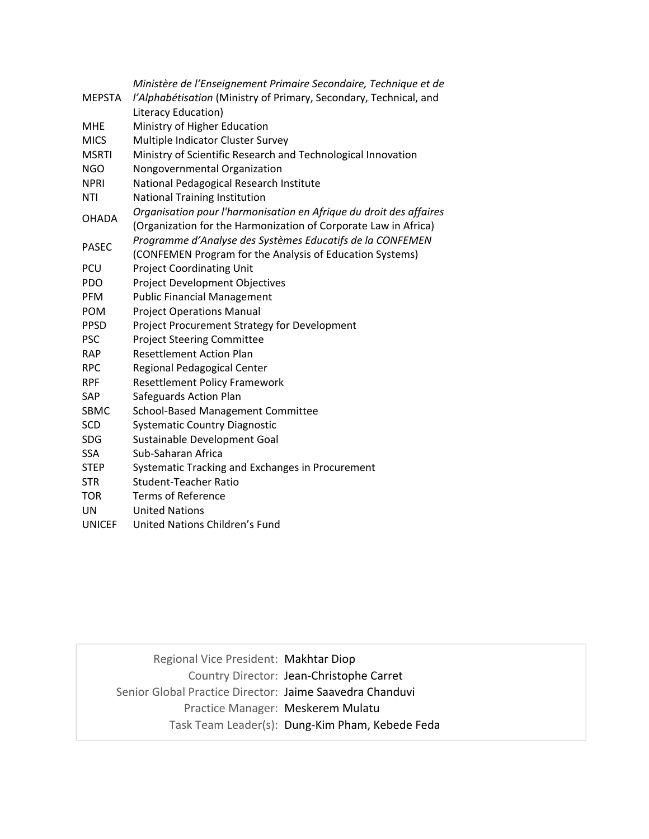|               | Ministère de l'Enseignement Primaire Secondaire, Technique et de   |
|---------------|--------------------------------------------------------------------|
| <b>MEPSTA</b> | l'Alphabétisation (Ministry of Primary, Secondary, Technical, and  |
|               | Literacy Education)                                                |
| MHE           | Ministry of Higher Education                                       |
| <b>MICS</b>   | Multiple Indicator Cluster Survey                                  |
| <b>MSRTI</b>  | Ministry of Scientific Research and Technological Innovation       |
| <b>NGO</b>    | Nongovernmental Organization                                       |
| <b>NPRI</b>   | National Pedagogical Research Institute                            |
| <b>NTI</b>    | <b>National Training Institution</b>                               |
| <b>OHADA</b>  | Organisation pour l'harmonisation en Afrique du droit des affaires |
|               | (Organization for the Harmonization of Corporate Law in Africa)    |
| <b>PASEC</b>  | Programme d'Analyse des Systèmes Educatifs de la CONFEMEN          |
|               | (CONFEMEN Program for the Analysis of Education Systems)           |
| PCU           | <b>Project Coordinating Unit</b>                                   |
| <b>PDO</b>    | Project Development Objectives                                     |
| <b>PFM</b>    | <b>Public Financial Management</b>                                 |
| <b>POM</b>    | <b>Project Operations Manual</b>                                   |
| <b>PPSD</b>   | Project Procurement Strategy for Development                       |
| <b>PSC</b>    | <b>Project Steering Committee</b>                                  |
| <b>RAP</b>    | <b>Resettlement Action Plan</b>                                    |
| <b>RPC</b>    | Regional Pedagogical Center                                        |
| <b>RPF</b>    | <b>Resettlement Policy Framework</b>                               |
| <b>SAP</b>    | Safeguards Action Plan                                             |
| <b>SBMC</b>   | School-Based Management Committee                                  |
| <b>SCD</b>    | <b>Systematic Country Diagnostic</b>                               |
| <b>SDG</b>    | Sustainable Development Goal                                       |
| <b>SSA</b>    | Sub-Saharan Africa                                                 |
| <b>STEP</b>   | Systematic Tracking and Exchanges in Procurement                   |
| <b>STR</b>    | <b>Student-Teacher Ratio</b>                                       |
| <b>TOR</b>    | <b>Terms of Reference</b>                                          |
| UN            | <b>United Nations</b>                                              |
| <b>UNICEF</b> | United Nations Children's Fund                                     |

Regional Vice President: Makhtar Diop Country Director: Jean‐Christophe Carret Senior Global Practice Director: Jaime Saavedra Chanduvi Practice Manager: Meskerem Mulatu Task Team Leader(s): Dung‐Kim Pham, Kebede Feda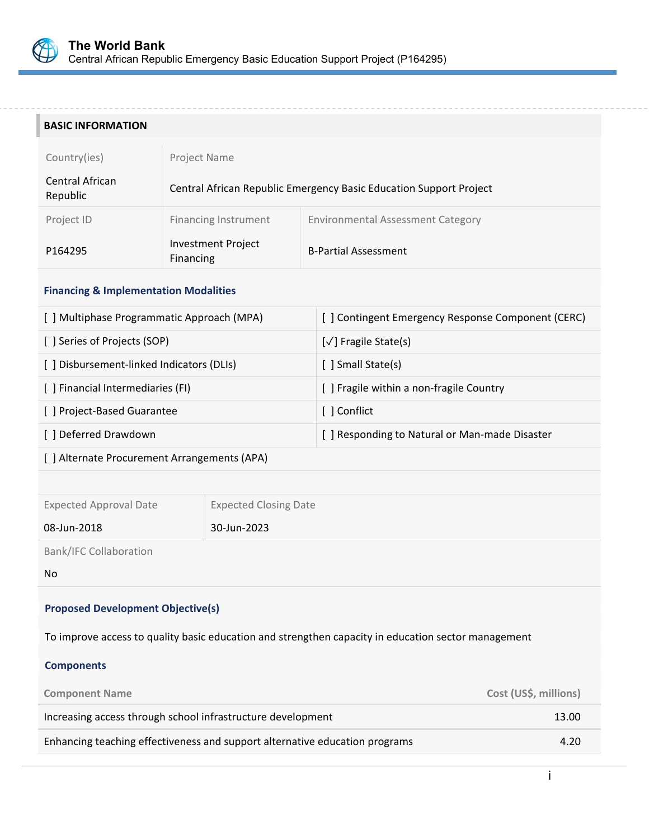

| <b>BASIC INFORMATION</b><br>Country(ies)<br>Project Name<br>Central African<br>Republic<br>Project ID<br><b>Financing Instrument</b> | Central African Republic Emergency Basic Education Support Project<br><b>Environmental Assessment Category</b><br><b>B-Partial Assessment</b> |                                          |  |  |
|--------------------------------------------------------------------------------------------------------------------------------------|-----------------------------------------------------------------------------------------------------------------------------------------------|------------------------------------------|--|--|
|                                                                                                                                      |                                                                                                                                               |                                          |  |  |
|                                                                                                                                      |                                                                                                                                               |                                          |  |  |
|                                                                                                                                      |                                                                                                                                               |                                          |  |  |
|                                                                                                                                      |                                                                                                                                               |                                          |  |  |
| <b>Investment Project</b><br>P164295<br>Financing                                                                                    |                                                                                                                                               |                                          |  |  |
| <b>Financing &amp; Implementation Modalities</b>                                                                                     |                                                                                                                                               |                                          |  |  |
| [ ] Multiphase Programmatic Approach (MPA)                                                                                           | [ ] Contingent Emergency Response Component (CERC)                                                                                            |                                          |  |  |
| [ ] Series of Projects (SOP)                                                                                                         | $[\sqrt{}]$ Fragile State(s)                                                                                                                  |                                          |  |  |
| [ ] Disbursement-linked Indicators (DLIs)                                                                                            | [ ] Small State(s)                                                                                                                            |                                          |  |  |
| [ ] Financial Intermediaries (FI)                                                                                                    |                                                                                                                                               | [ ] Fragile within a non-fragile Country |  |  |
| [ ] Project-Based Guarantee                                                                                                          | [ ] Conflict                                                                                                                                  |                                          |  |  |
| [] Deferred Drawdown                                                                                                                 | [ ] Responding to Natural or Man-made Disaster                                                                                                |                                          |  |  |
| [ ] Alternate Procurement Arrangements (APA)                                                                                         |                                                                                                                                               |                                          |  |  |
|                                                                                                                                      |                                                                                                                                               |                                          |  |  |
| <b>Expected Approval Date</b><br><b>Expected Closing Date</b>                                                                        |                                                                                                                                               |                                          |  |  |
| 08-Jun-2018<br>30-Jun-2023                                                                                                           |                                                                                                                                               |                                          |  |  |
| <b>Bank/IFC Collaboration</b>                                                                                                        |                                                                                                                                               |                                          |  |  |
| Νo                                                                                                                                   |                                                                                                                                               |                                          |  |  |
| <b>Proposed Development Objective(s)</b>                                                                                             |                                                                                                                                               |                                          |  |  |
| To improve access to quality basic education and strengthen capacity in education sector management                                  |                                                                                                                                               |                                          |  |  |
| <b>Components</b>                                                                                                                    |                                                                                                                                               |                                          |  |  |
| <b>Component Name</b><br>Cost (US\$, millions)                                                                                       |                                                                                                                                               |                                          |  |  |
| Increasing access through school infrastructure development                                                                          |                                                                                                                                               | 13.00                                    |  |  |
|                                                                                                                                      | Enhancing teaching effectiveness and support alternative education programs<br>4.20                                                           |                                          |  |  |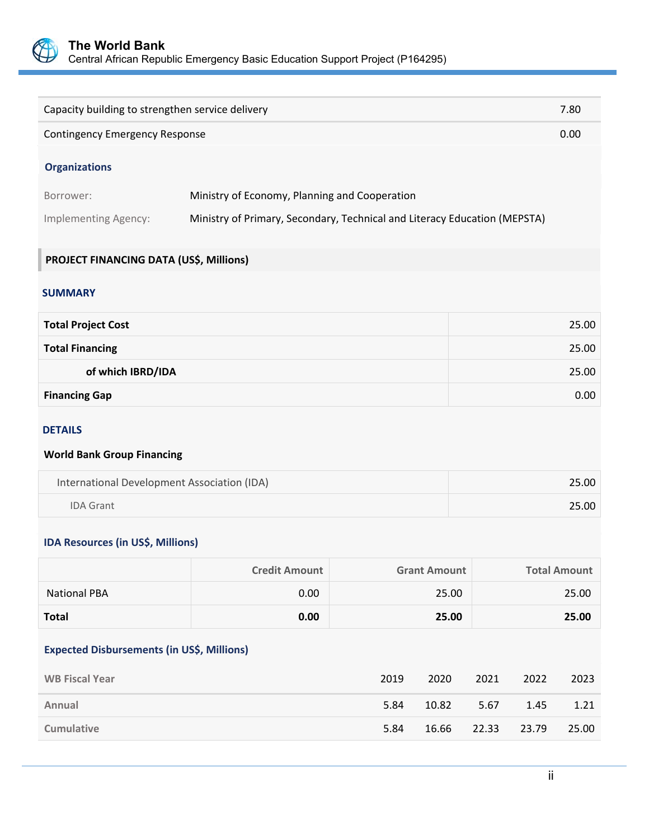

| Capacity building to strengthen service delivery |                                                                           | 7.80 |       |
|--------------------------------------------------|---------------------------------------------------------------------------|------|-------|
| <b>Contingency Emergency Response</b>            |                                                                           | 0.00 |       |
| <b>Organizations</b>                             |                                                                           |      |       |
| Borrower:                                        | Ministry of Economy, Planning and Cooperation                             |      |       |
| Implementing Agency:                             | Ministry of Primary, Secondary, Technical and Literacy Education (MEPSTA) |      |       |
| PROJECT FINANCING DATA (US\$, Millions)          |                                                                           |      |       |
| <b>SUMMARY</b>                                   |                                                                           |      |       |
| <b>Total Project Cost</b>                        |                                                                           |      | 25.00 |
| <b>Total Financing</b>                           |                                                                           |      | 25.00 |
| of which IBRD/IDA                                |                                                                           |      | 25.00 |
|                                                  |                                                                           |      |       |

# **Financing Gap 1988 Contract Contract Contract Contract Contract Contract Contract Contract Contract Contract Contract Contract Contract Contract Contract Contract Contract Contract Contract Contract Contract Contract Co**

#### **DETAILS**

# **World Bank Group Financing**

| International Development Association (IDA) | 25.00 |
|---------------------------------------------|-------|
| <b>IDA Grant</b>                            | 25.00 |

# **IDA Resources (in US\$, Millions)**

|                                                                     | <b>Credit Amount</b> |      | <b>Grant Amount</b> |       |       | <b>Total Amount</b> |
|---------------------------------------------------------------------|----------------------|------|---------------------|-------|-------|---------------------|
| <b>National PBA</b>                                                 | 0.00                 |      | 25.00               |       |       | 25.00               |
| <b>Total</b>                                                        | 0.00                 |      | 25.00               |       |       | 25.00               |
| Expected Disbursements (in US\$, Millions)<br><b>WB Fiscal Year</b> |                      |      | 2020                | 2021  | 2022  | 2023                |
| Annual                                                              |                      | 5.84 | 10.82               | 5.67  | 1.45  | 1.21                |
| Cumulative                                                          |                      | 5.84 | 16.66               | 22.33 | 23.79 | 25.00               |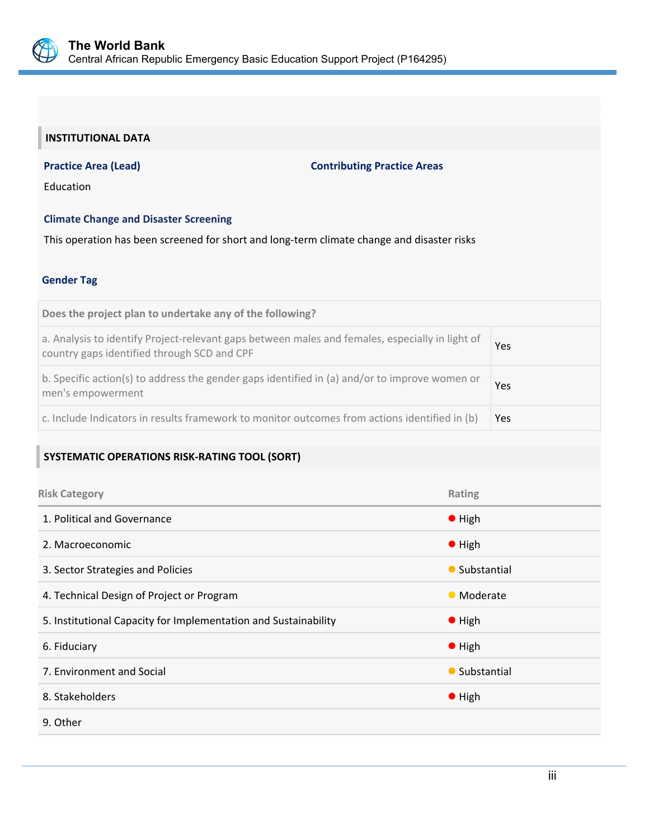

#### **INSTITUTIONAL DATA**

**Practice Area (Lead) Contributing Practice Areas Contributing Practice Areas** 

Education

### **Climate Change and Disaster Screening**

This operation has been screened for short and long‐term climate change and disaster risks

#### **Gender Tag**

| Does the project plan to undertake any of the following?                                                                                       |     |
|------------------------------------------------------------------------------------------------------------------------------------------------|-----|
| a. Analysis to identify Project-relevant gaps between males and females, especially in light of<br>country gaps identified through SCD and CPF | Yes |
| b. Specific action(s) to address the gender gaps identified in (a) and/or to improve women or<br>men's empowerment                             | Yes |
| c. Include Indicators in results framework to monitor outcomes from actions identified in (b)                                                  | Yes |

# **SYSTEMATIC OPERATIONS RISK‐RATING TOOL (SORT)**

| <b>Risk Category</b>                                            | Rating         |
|-----------------------------------------------------------------|----------------|
| 1. Political and Governance                                     | $\bullet$ High |
| 2. Macroeconomic                                                | $\bullet$ High |
| 3. Sector Strategies and Policies                               | • Substantial  |
| 4. Technical Design of Project or Program                       | • Moderate     |
| 5. Institutional Capacity for Implementation and Sustainability | $\bullet$ High |
|                                                                 |                |
| 6. Fiduciary                                                    | $\bullet$ High |
| 7. Environment and Social                                       | • Substantial  |
| 8. Stakeholders                                                 | $\bullet$ High |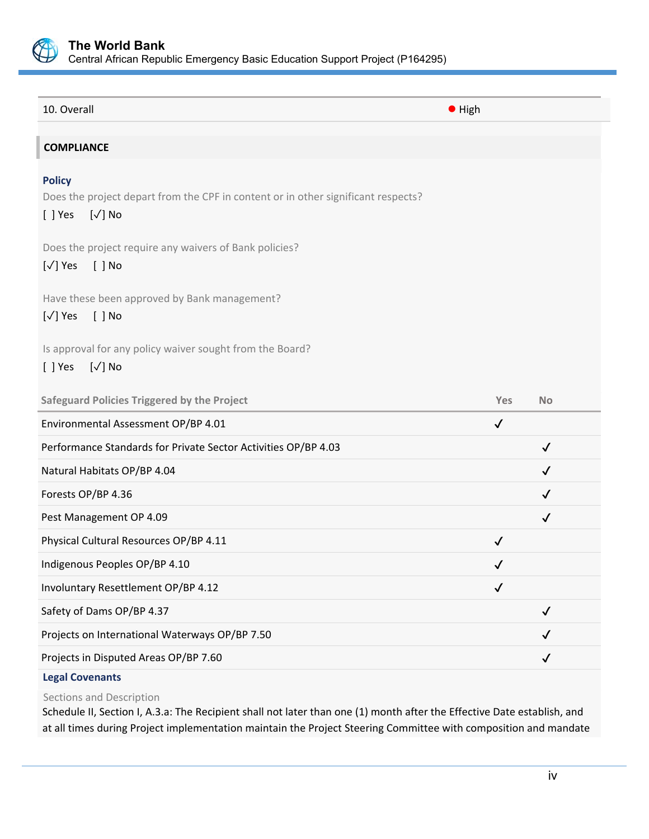

| 10. Overall                                                                                                                     | • High                  |
|---------------------------------------------------------------------------------------------------------------------------------|-------------------------|
| <b>COMPLIANCE</b>                                                                                                               |                         |
| <b>Policy</b><br>Does the project depart from the CPF in content or in other significant respects?<br>$[\sqrt]$ No<br>$[ ]$ Yes |                         |
| Does the project require any waivers of Bank policies?<br>$[\sqrt{}]$ Yes<br>$[$ $]$ No                                         |                         |
| Have these been approved by Bank management?<br>$[\sqrt{}]$ Yes<br>[ ] No                                                       |                         |
| Is approval for any policy waiver sought from the Board?<br>$[\sqrt{}]$ No<br>$[ ]$ Yes                                         |                         |
| <b>Safeguard Policies Triggered by the Project</b>                                                                              | <b>Yes</b><br><b>No</b> |
| Environmental Assessment OP/BP 4.01                                                                                             | $\checkmark$            |
| Performance Standards for Private Sector Activities OP/BP 4.03                                                                  | $\checkmark$            |
| Natural Habitats OP/BP 4.04                                                                                                     | $\checkmark$            |
| Forests OP/BP 4.36                                                                                                              | $\checkmark$            |
| Pest Management OP 4.09                                                                                                         | $\checkmark$            |
| Physical Cultural Resources OP/BP 4.11                                                                                          | $\checkmark$            |
| Indigenous Peoples OP/BP 4.10                                                                                                   | $\checkmark$            |
| Involuntary Resettlement OP/BP 4.12                                                                                             | $\checkmark$            |
| Safety of Dams OP/BP 4.37                                                                                                       | ✓                       |
| Projects on International Waterways OP/BP 7.50                                                                                  |                         |
| Projects in Disputed Areas OP/BP 7.60                                                                                           |                         |
| <b>Legal Covenants</b>                                                                                                          |                         |

# Sections and Description

Schedule II, Section I, A.3.a: The Recipient shall not later than one (1) month after the Effective Date establish, and at all times during Project implementation maintain the Project Steering Committee with composition and mandate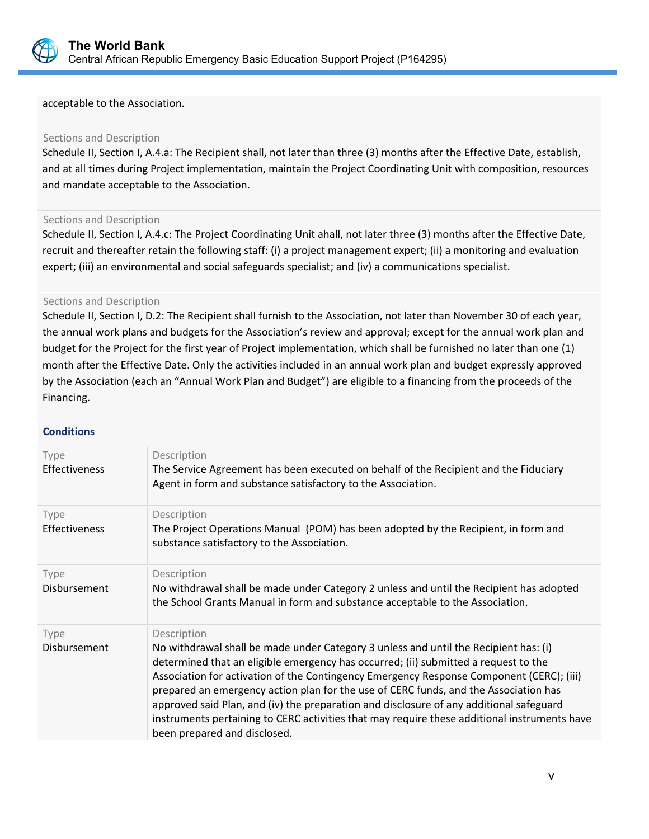

acceptable to the Association.

#### Sections and Description

Schedule II, Section I, A.4.a: The Recipient shall, not later than three (3) months after the Effective Date, establish, and at all times during Project implementation, maintain the Project Coordinating Unit with composition, resources and mandate acceptable to the Association.

#### Sections and Description

Schedule II, Section I, A.4.c: The Project Coordinating Unit ahall, not later three (3) months after the Effective Date, recruit and thereafter retain the following staff: (i) a project management expert; (ii) a monitoring and evaluation expert; (iii) an environmental and social safeguards specialist; and (iv) a communications specialist.

#### Sections and Description

Schedule II, Section I, D.2: The Recipient shall furnish to the Association, not later than November 30 of each year, the annual work plans and budgets for the Association's review and approval; except for the annual work plan and budget for the Project for the first year of Project implementation, which shall be furnished no later than one (1) month after the Effective Date. Only the activities included in an annual work plan and budget expressly approved by the Association (each an "Annual Work Plan and Budget") are eligible to a financing from the proceeds of the Financing.

| <b>Conditions</b>           |                                                                                                                                                                                                                                                                                                                                                                                                                                                                                                                                                                                                           |
|-----------------------------|-----------------------------------------------------------------------------------------------------------------------------------------------------------------------------------------------------------------------------------------------------------------------------------------------------------------------------------------------------------------------------------------------------------------------------------------------------------------------------------------------------------------------------------------------------------------------------------------------------------|
| Type<br>Effectiveness       | Description<br>The Service Agreement has been executed on behalf of the Recipient and the Fiduciary<br>Agent in form and substance satisfactory to the Association.                                                                                                                                                                                                                                                                                                                                                                                                                                       |
| Type<br>Effectiveness       | Description<br>The Project Operations Manual (POM) has been adopted by the Recipient, in form and<br>substance satisfactory to the Association.                                                                                                                                                                                                                                                                                                                                                                                                                                                           |
| Type<br><b>Disbursement</b> | Description<br>No withdrawal shall be made under Category 2 unless and until the Recipient has adopted<br>the School Grants Manual in form and substance acceptable to the Association.                                                                                                                                                                                                                                                                                                                                                                                                                   |
| Type<br>Disbursement        | Description<br>No withdrawal shall be made under Category 3 unless and until the Recipient has: (i)<br>determined that an eligible emergency has occurred; (ii) submitted a request to the<br>Association for activation of the Contingency Emergency Response Component (CERC); (iii)<br>prepared an emergency action plan for the use of CERC funds, and the Association has<br>approved said Plan, and (iv) the preparation and disclosure of any additional safeguard<br>instruments pertaining to CERC activities that may require these additional instruments have<br>been prepared and disclosed. |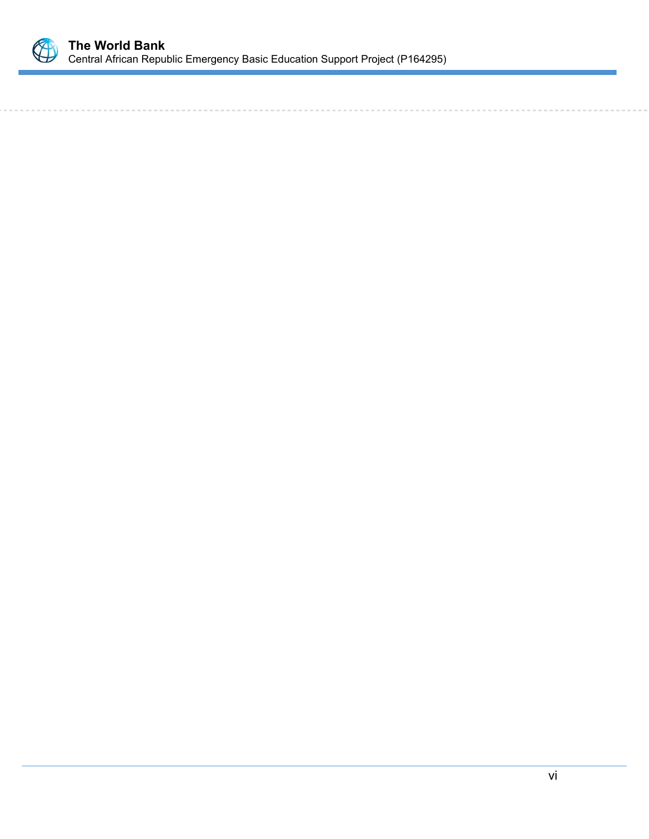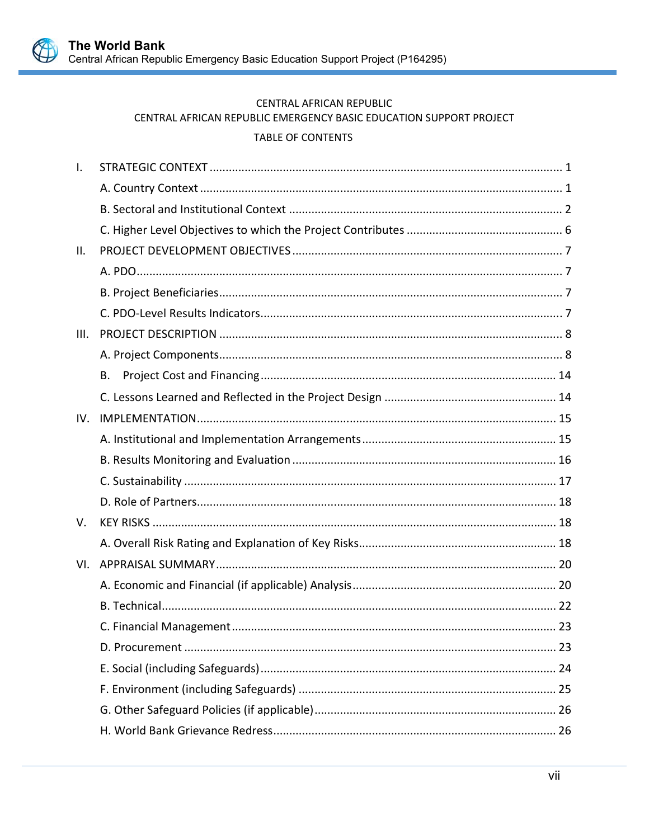

# CENTRAL AFRICAN REPUBLIC CENTRAL AFRICAN REPUBLIC EMERGENCY BASIC EDUCATION SUPPORT PROJECT TABLE OF CONTENTS

| $\mathsf{L}$ |    |  |
|--------------|----|--|
|              |    |  |
|              |    |  |
|              |    |  |
| ΙΙ.          |    |  |
|              |    |  |
|              |    |  |
|              |    |  |
| III.         |    |  |
|              |    |  |
|              | В. |  |
|              |    |  |
| IV.          |    |  |
|              |    |  |
|              |    |  |
|              |    |  |
|              |    |  |
| V.           |    |  |
|              |    |  |
| VI.          |    |  |
|              |    |  |
|              |    |  |
|              |    |  |
|              |    |  |
|              |    |  |
|              |    |  |
|              |    |  |
|              |    |  |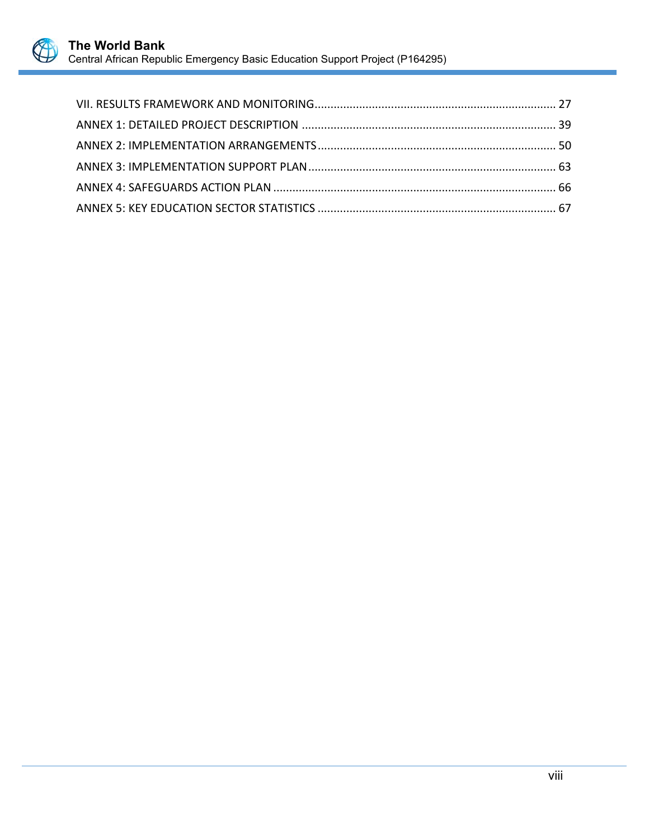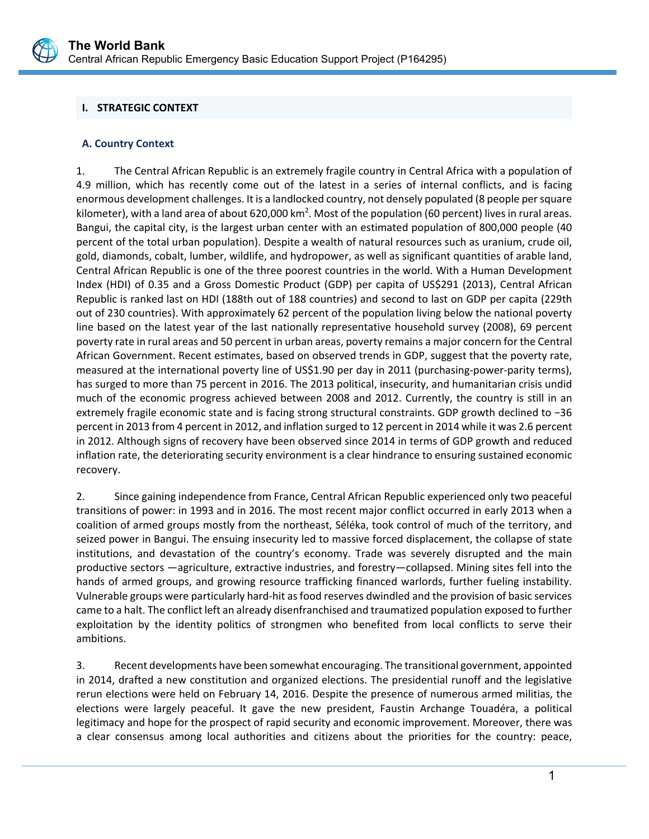

# **I. STRATEGIC CONTEXT**

# **A. Country Context**

1. The Central African Republic is an extremely fragile country in Central Africa with a population of 4.9 million, which has recently come out of the latest in a series of internal conflicts, and is facing enormous development challenges. It is a landlocked country, not densely populated (8 people per square kilometer), with a land area of about 620,000 km<sup>2</sup>. Most of the population (60 percent) lives in rural areas. Bangui, the capital city, is the largest urban center with an estimated population of 800,000 people (40 percent of the total urban population). Despite a wealth of natural resources such as uranium, crude oil, gold, diamonds, cobalt, lumber, wildlife, and hydropower, as well as significant quantities of arable land, Central African Republic is one of the three poorest countries in the world. With a Human Development Index (HDI) of 0.35 and a Gross Domestic Product (GDP) per capita of US\$291 (2013), Central African Republic is ranked last on HDI (188th out of 188 countries) and second to last on GDP per capita (229th out of 230 countries). With approximately 62 percent of the population living below the national poverty line based on the latest year of the last nationally representative household survey (2008), 69 percent poverty rate in rural areas and 50 percent in urban areas, poverty remains a major concern for the Central African Government. Recent estimates, based on observed trends in GDP, suggest that the poverty rate, measured at the international poverty line of US\$1.90 per day in 2011 (purchasing-power-parity terms), has surged to more than 75 percent in 2016. The 2013 political, insecurity, and humanitarian crisis undid much of the economic progress achieved between 2008 and 2012. Currently, the country is still in an extremely fragile economic state and is facing strong structural constraints. GDP growth declined to −36 percent in 2013 from 4 percent in 2012, and inflation surged to 12 percent in 2014 while it was 2.6 percent in 2012. Although signs of recovery have been observed since 2014 in terms of GDP growth and reduced inflation rate, the deteriorating security environment is a clear hindrance to ensuring sustained economic recovery.

2. Since gaining independence from France, Central African Republic experienced only two peaceful transitions of power: in 1993 and in 2016. The most recent major conflict occurred in early 2013 when a coalition of armed groups mostly from the northeast, Séléka, took control of much of the territory, and seized power in Bangui. The ensuing insecurity led to massive forced displacement, the collapse of state institutions, and devastation of the country's economy. Trade was severely disrupted and the main productive sectors —agriculture, extractive industries, and forestry—collapsed. Mining sites fell into the hands of armed groups, and growing resource trafficking financed warlords, further fueling instability. Vulnerable groups were particularly hard‐hit as food reserves dwindled and the provision of basic services came to a halt. The conflict left an already disenfranchised and traumatized population exposed to further exploitation by the identity politics of strongmen who benefited from local conflicts to serve their ambitions.

3. Recent developments have been somewhat encouraging. The transitional government, appointed in 2014, drafted a new constitution and organized elections. The presidential runoff and the legislative rerun elections were held on February 14, 2016. Despite the presence of numerous armed militias, the elections were largely peaceful. It gave the new president, Faustin Archange Touadéra, a political legitimacy and hope for the prospect of rapid security and economic improvement. Moreover, there was a clear consensus among local authorities and citizens about the priorities for the country: peace,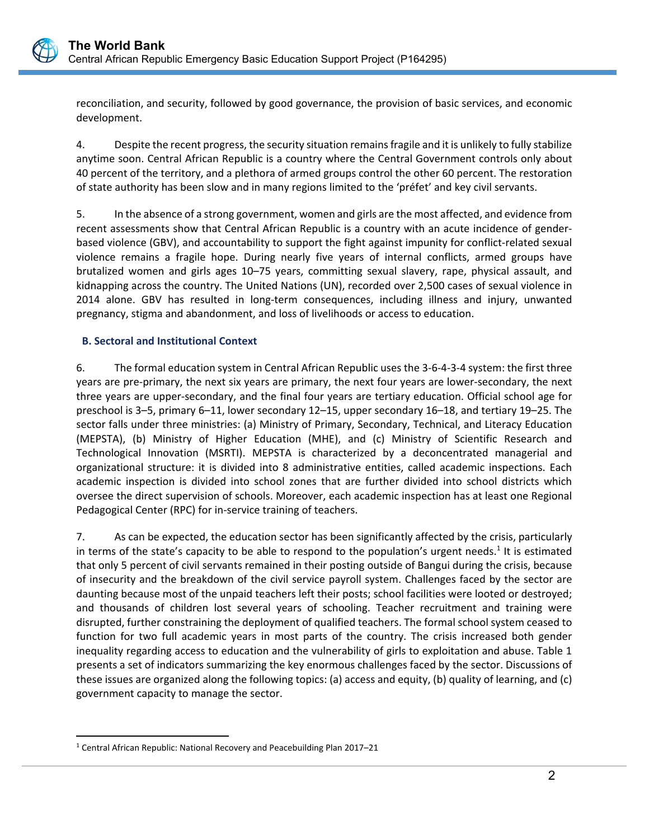

reconciliation, and security, followed by good governance, the provision of basic services, and economic development.

4. Despite the recent progress, the security situation remains fragile and it is unlikely to fully stabilize anytime soon. Central African Republic is a country where the Central Government controls only about 40 percent of the territory, and a plethora of armed groups control the other 60 percent. The restoration of state authority has been slow and in many regions limited to the 'préfet' and key civil servants.

5. In the absence of a strong government, women and girls are the most affected, and evidence from recent assessments show that Central African Republic is a country with an acute incidence of gender‐ based violence (GBV), and accountability to support the fight against impunity for conflict‐related sexual violence remains a fragile hope. During nearly five years of internal conflicts, armed groups have brutalized women and girls ages 10–75 years, committing sexual slavery, rape, physical assault, and kidnapping across the country. The United Nations (UN), recorded over 2,500 cases of sexual violence in 2014 alone. GBV has resulted in long‐term consequences, including illness and injury, unwanted pregnancy, stigma and abandonment, and loss of livelihoods or access to education.

# **B. Sectoral and Institutional Context**

6. The formal education system in Central African Republic uses the 3‐6‐4‐3‐4 system: the first three years are pre‐primary, the next six years are primary, the next four years are lower‐secondary, the next three years are upper‐secondary, and the final four years are tertiary education. Official school age for preschool is 3–5, primary 6–11, lower secondary 12–15, upper secondary 16–18, and tertiary 19–25. The sector falls under three ministries: (a) Ministry of Primary, Secondary, Technical, and Literacy Education (MEPSTA), (b) Ministry of Higher Education (MHE), and (c) Ministry of Scientific Research and Technological Innovation (MSRTI). MEPSTA is characterized by a deconcentrated managerial and organizational structure: it is divided into 8 administrative entities, called academic inspections. Each academic inspection is divided into school zones that are further divided into school districts which oversee the direct supervision of schools. Moreover, each academic inspection has at least one Regional Pedagogical Center (RPC) for in‐service training of teachers.

7. As can be expected, the education sector has been significantly affected by the crisis, particularly in terms of the state's capacity to be able to respond to the population's urgent needs.<sup>1</sup> It is estimated that only 5 percent of civil servants remained in their posting outside of Bangui during the crisis, because of insecurity and the breakdown of the civil service payroll system. Challenges faced by the sector are daunting because most of the unpaid teachers left their posts; school facilities were looted or destroyed; and thousands of children lost several years of schooling. Teacher recruitment and training were disrupted, further constraining the deployment of qualified teachers. The formal school system ceased to function for two full academic years in most parts of the country. The crisis increased both gender inequality regarding access to education and the vulnerability of girls to exploitation and abuse. Table 1 presents a set of indicators summarizing the key enormous challenges faced by the sector. Discussions of these issues are organized along the following topics: (a) access and equity, (b) quality of learning, and (c) government capacity to manage the sector.

 $\overline{a}$ 

<sup>1</sup> Central African Republic: National Recovery and Peacebuilding Plan 2017–21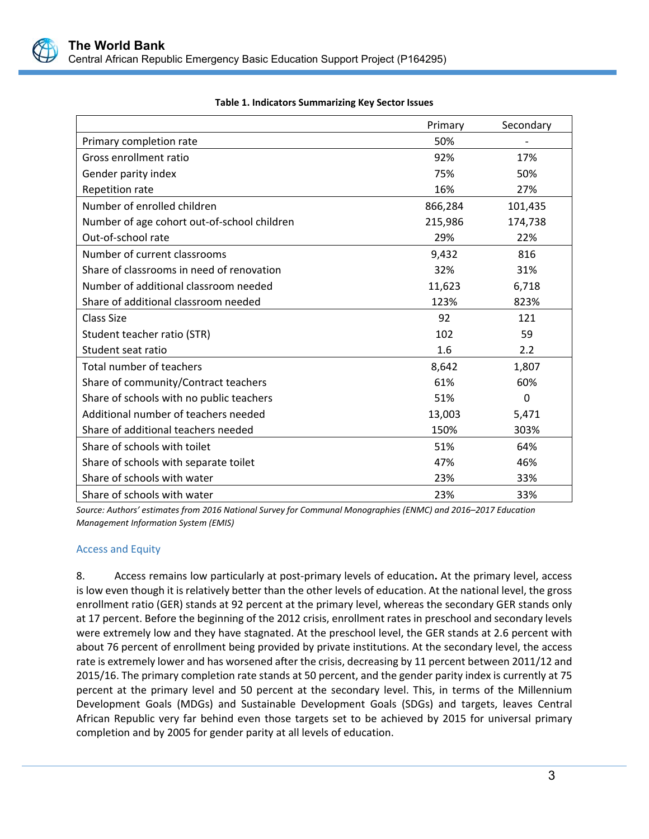

|                                             | Primary | Secondary |
|---------------------------------------------|---------|-----------|
| Primary completion rate                     | 50%     |           |
| Gross enrollment ratio                      | 92%     | 17%       |
| Gender parity index                         | 75%     | 50%       |
| Repetition rate                             | 16%     | 27%       |
| Number of enrolled children                 | 866,284 | 101,435   |
| Number of age cohort out-of-school children | 215,986 | 174,738   |
| Out-of-school rate                          | 29%     | 22%       |
| Number of current classrooms                | 9,432   | 816       |
| Share of classrooms in need of renovation   | 32%     | 31%       |
| Number of additional classroom needed       | 11,623  | 6,718     |
| Share of additional classroom needed        | 123%    | 823%      |
| Class Size                                  | 92      | 121       |
| Student teacher ratio (STR)                 | 102     | 59        |
| Student seat ratio                          | 1.6     | 2.2       |
| Total number of teachers                    | 8,642   | 1,807     |
| Share of community/Contract teachers        | 61%     | 60%       |
| Share of schools with no public teachers    | 51%     | $\Omega$  |
| Additional number of teachers needed        | 13,003  | 5,471     |
| Share of additional teachers needed         | 150%    | 303%      |
| Share of schools with toilet                | 51%     | 64%       |
| Share of schools with separate toilet       | 47%     | 46%       |
| Share of schools with water                 | 23%     | 33%       |
| Share of schools with water                 | 23%     | 33%       |

# **Table 1. Indicators Summarizing Key Sector Issues**

*Source: Authors' estimates from 2016 National Survey for Communal Monographies (ENMC) and 2016–2017 Education Management Information System (EMIS)*

#### Access and Equity

8. Access remains low particularly at post‐primary levels of education**.** At the primary level, access is low even though it is relatively better than the other levels of education. At the national level, the gross enrollment ratio (GER) stands at 92 percent at the primary level, whereas the secondary GER stands only at 17 percent. Before the beginning of the 2012 crisis, enrollment rates in preschool and secondary levels were extremely low and they have stagnated. At the preschool level, the GER stands at 2.6 percent with about 76 percent of enrollment being provided by private institutions. At the secondary level, the access rate is extremely lower and has worsened after the crisis, decreasing by 11 percent between 2011/12 and 2015/16. The primary completion rate stands at 50 percent, and the gender parity index is currently at 75 percent at the primary level and 50 percent at the secondary level. This, in terms of the Millennium Development Goals (MDGs) and Sustainable Development Goals (SDGs) and targets, leaves Central African Republic very far behind even those targets set to be achieved by 2015 for universal primary completion and by 2005 for gender parity at all levels of education.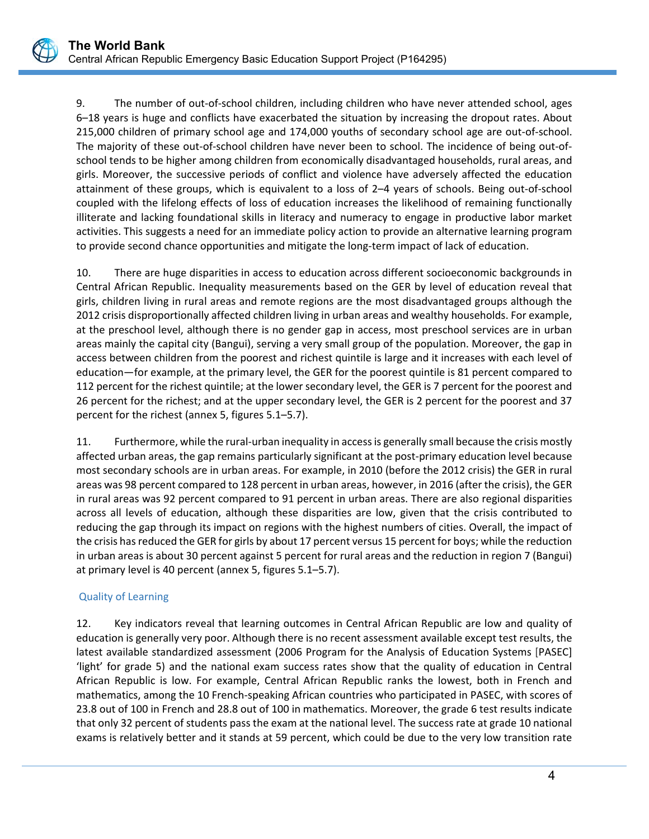9. The number of out-of-school children, including children who have never attended school, ages 6–18 years is huge and conflicts have exacerbated the situation by increasing the dropout rates. About 215,000 children of primary school age and 174,000 youths of secondary school age are out‐of‐school. The majority of these out-of-school children have never been to school. The incidence of being out-ofschool tends to be higher among children from economically disadvantaged households, rural areas, and girls. Moreover, the successive periods of conflict and violence have adversely affected the education attainment of these groups, which is equivalent to a loss of 2–4 years of schools. Being out‐of‐school coupled with the lifelong effects of loss of education increases the likelihood of remaining functionally illiterate and lacking foundational skills in literacy and numeracy to engage in productive labor market activities. This suggests a need for an immediate policy action to provide an alternative learning program to provide second chance opportunities and mitigate the long-term impact of lack of education.

10. There are huge disparities in access to education across different socioeconomic backgrounds in Central African Republic. Inequality measurements based on the GER by level of education reveal that girls, children living in rural areas and remote regions are the most disadvantaged groups although the 2012 crisis disproportionally affected children living in urban areas and wealthy households. For example, at the preschool level, although there is no gender gap in access, most preschool services are in urban areas mainly the capital city (Bangui), serving a very small group of the population. Moreover, the gap in access between children from the poorest and richest quintile is large and it increases with each level of education—for example, at the primary level, the GER for the poorest quintile is 81 percent compared to 112 percent for the richest quintile; at the lower secondary level, the GER is 7 percent for the poorest and 26 percent for the richest; and at the upper secondary level, the GER is 2 percent for the poorest and 37 percent for the richest (annex 5, figures 5.1–5.7).

11. Furthermore, while the rural‐urban inequality in access is generally small because the crisis mostly affected urban areas, the gap remains particularly significant at the post-primary education level because most secondary schools are in urban areas. For example, in 2010 (before the 2012 crisis) the GER in rural areas was 98 percent compared to 128 percent in urban areas, however, in 2016 (after the crisis), the GER in rural areas was 92 percent compared to 91 percent in urban areas. There are also regional disparities across all levels of education, although these disparities are low, given that the crisis contributed to reducing the gap through its impact on regions with the highest numbers of cities. Overall, the impact of the crisis has reduced the GER for girls by about 17 percent versus 15 percent for boys; while the reduction in urban areas is about 30 percent against 5 percent for rural areas and the reduction in region 7 (Bangui) at primary level is 40 percent (annex 5, figures 5.1–5.7).

# Quality of Learning

12. Key indicators reveal that learning outcomes in Central African Republic are low and quality of education is generally very poor. Although there is no recent assessment available except test results, the latest available standardized assessment (2006 Program for the Analysis of Education Systems [PASEC] 'light' for grade 5) and the national exam success rates show that the quality of education in Central African Republic is low. For example, Central African Republic ranks the lowest, both in French and mathematics, among the 10 French‐speaking African countries who participated in PASEC, with scores of 23.8 out of 100 in French and 28.8 out of 100 in mathematics. Moreover, the grade 6 test results indicate that only 32 percent of students pass the exam at the national level. The success rate at grade 10 national exams is relatively better and it stands at 59 percent, which could be due to the very low transition rate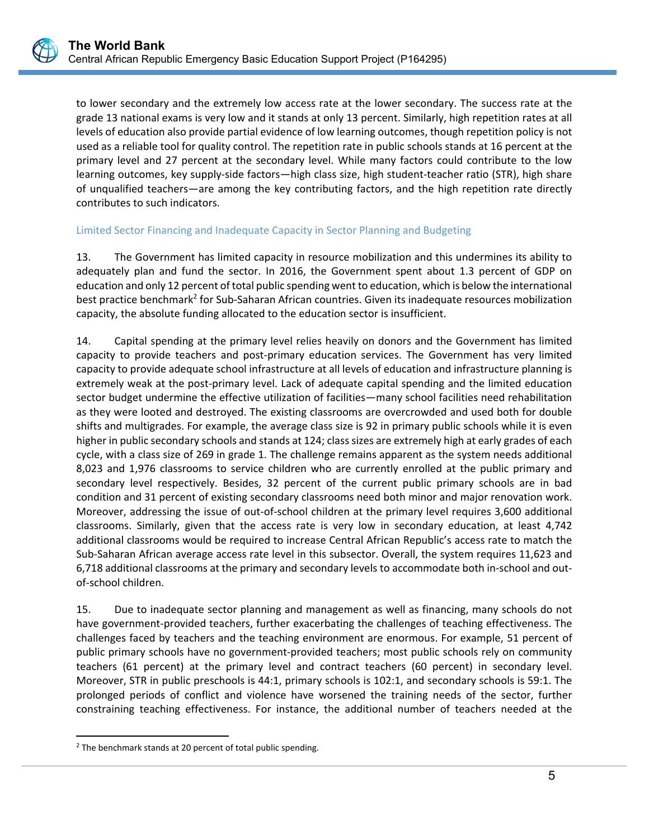to lower secondary and the extremely low access rate at the lower secondary. The success rate at the grade 13 national exams is very low and it stands at only 13 percent. Similarly, high repetition rates at all levels of education also provide partial evidence of low learning outcomes, though repetition policy is not used as a reliable tool for quality control. The repetition rate in public schools stands at 16 percent at the primary level and 27 percent at the secondary level. While many factors could contribute to the low learning outcomes, key supply‐side factors—high class size, high student‐teacher ratio (STR), high share of unqualified teachers—are among the key contributing factors, and the high repetition rate directly contributes to such indicators.

# Limited Sector Financing and Inadequate Capacity in Sector Planning and Budgeting

13. The Government has limited capacity in resource mobilization and this undermines its ability to adequately plan and fund the sector. In 2016, the Government spent about 1.3 percent of GDP on education and only 12 percent of total public spending went to education, which is below the international best practice benchmark<sup>2</sup> for Sub-Saharan African countries. Given its inadequate resources mobilization capacity, the absolute funding allocated to the education sector is insufficient.

14. Capital spending at the primary level relies heavily on donors and the Government has limited capacity to provide teachers and post-primary education services. The Government has very limited capacity to provide adequate school infrastructure at all levels of education and infrastructure planning is extremely weak at the post-primary level. Lack of adequate capital spending and the limited education sector budget undermine the effective utilization of facilities—many school facilities need rehabilitation as they were looted and destroyed. The existing classrooms are overcrowded and used both for double shifts and multigrades. For example, the average class size is 92 in primary public schools while it is even higher in public secondary schools and stands at 124; class sizes are extremely high at early grades of each cycle, with a class size of 269 in grade 1. The challenge remains apparent as the system needs additional 8,023 and 1,976 classrooms to service children who are currently enrolled at the public primary and secondary level respectively. Besides, 32 percent of the current public primary schools are in bad condition and 31 percent of existing secondary classrooms need both minor and major renovation work. Moreover, addressing the issue of out‐of‐school children at the primary level requires 3,600 additional classrooms. Similarly, given that the access rate is very low in secondary education, at least 4,742 additional classrooms would be required to increase Central African Republic's access rate to match the Sub‐Saharan African average access rate level in this subsector. Overall, the system requires 11,623 and 6,718 additional classrooms at the primary and secondary levels to accommodate both in‐school and out‐ of‐school children.

15. Due to inadequate sector planning and management as well as financing, many schools do not have government-provided teachers, further exacerbating the challenges of teaching effectiveness. The challenges faced by teachers and the teaching environment are enormous. For example, 51 percent of public primary schools have no government-provided teachers; most public schools rely on community teachers (61 percent) at the primary level and contract teachers (60 percent) in secondary level. Moreover, STR in public preschools is 44:1, primary schools is 102:1, and secondary schools is 59:1. The prolonged periods of conflict and violence have worsened the training needs of the sector, further constraining teaching effectiveness. For instance, the additional number of teachers needed at the

 $\overline{a}$ 

<sup>&</sup>lt;sup>2</sup> The benchmark stands at 20 percent of total public spending.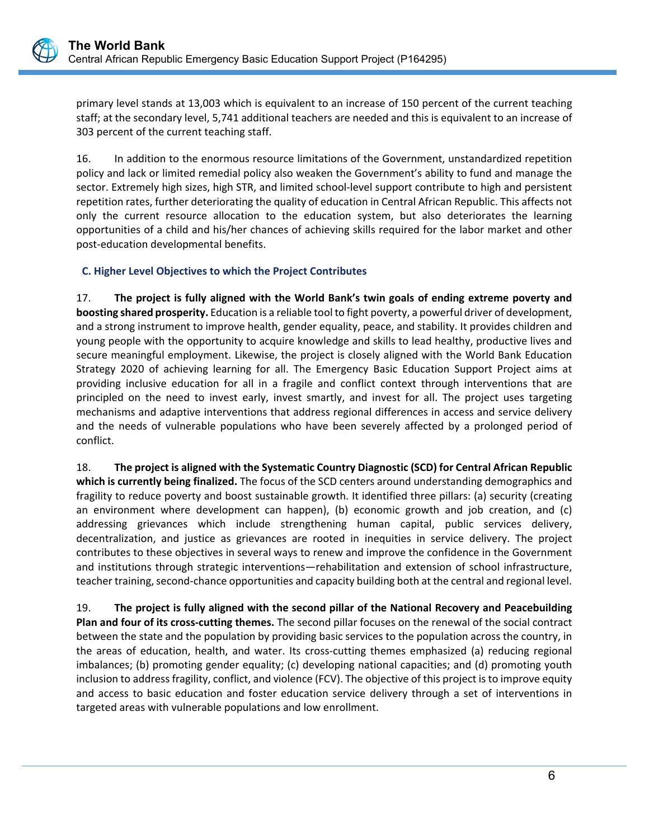primary level stands at 13,003 which is equivalent to an increase of 150 percent of the current teaching staff; at the secondary level, 5,741 additional teachers are needed and this is equivalent to an increase of 303 percent of the current teaching staff.

16. In addition to the enormous resource limitations of the Government, unstandardized repetition policy and lack or limited remedial policy also weaken the Government's ability to fund and manage the sector. Extremely high sizes, high STR, and limited school-level support contribute to high and persistent repetition rates, further deteriorating the quality of education in Central African Republic. This affects not only the current resource allocation to the education system, but also deteriorates the learning opportunities of a child and his/her chances of achieving skills required for the labor market and other post‐education developmental benefits.

# **C. Higher Level Objectives to which the Project Contributes**

17. **The project is fully aligned with the World Bank's twin goals of ending extreme poverty and boosting shared prosperity.** Education is a reliable tool to fight poverty, a powerful driver of development, and a strong instrument to improve health, gender equality, peace, and stability. It provides children and young people with the opportunity to acquire knowledge and skills to lead healthy, productive lives and secure meaningful employment. Likewise, the project is closely aligned with the World Bank Education Strategy 2020 of achieving learning for all. The Emergency Basic Education Support Project aims at providing inclusive education for all in a fragile and conflict context through interventions that are principled on the need to invest early, invest smartly, and invest for all. The project uses targeting mechanisms and adaptive interventions that address regional differences in access and service delivery and the needs of vulnerable populations who have been severely affected by a prolonged period of conflict.

18. **The project is aligned with the Systematic Country Diagnostic (SCD) for Central African Republic which is currently being finalized.** The focus of the SCD centers around understanding demographics and fragility to reduce poverty and boost sustainable growth. It identified three pillars: (a) security (creating an environment where development can happen), (b) economic growth and job creation, and (c) addressing grievances which include strengthening human capital, public services delivery, decentralization, and justice as grievances are rooted in inequities in service delivery. The project contributes to these objectives in several ways to renew and improve the confidence in the Government and institutions through strategic interventions—rehabilitation and extension of school infrastructure, teacher training, second‐chance opportunities and capacity building both at the central and regional level.

19. **The project is fully aligned with the second pillar of the National Recovery and Peacebuilding Plan and four of its cross‐cutting themes.** The second pillar focuses on the renewal of the social contract between the state and the population by providing basic services to the population across the country, in the areas of education, health, and water. Its cross-cutting themes emphasized (a) reducing regional imbalances; (b) promoting gender equality; (c) developing national capacities; and (d) promoting youth inclusion to address fragility, conflict, and violence (FCV). The objective of this project is to improve equity and access to basic education and foster education service delivery through a set of interventions in targeted areas with vulnerable populations and low enrollment.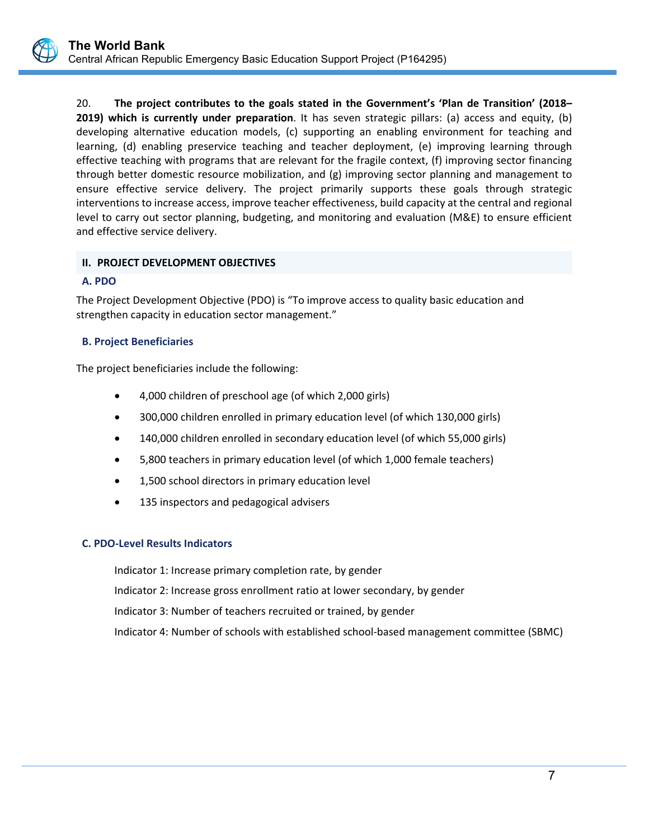

20. **The project contributes to the goals stated in the Government's 'Plan de Transition' (2018– 2019) which is currently under preparation**. It has seven strategic pillars: (a) access and equity, (b) developing alternative education models, (c) supporting an enabling environment for teaching and learning, (d) enabling preservice teaching and teacher deployment, (e) improving learning through effective teaching with programs that are relevant for the fragile context, (f) improving sector financing through better domestic resource mobilization, and (g) improving sector planning and management to ensure effective service delivery. The project primarily supports these goals through strategic interventions to increase access, improve teacher effectiveness, build capacity at the central and regional level to carry out sector planning, budgeting, and monitoring and evaluation (M&E) to ensure efficient and effective service delivery.

#### **II. PROJECT DEVELOPMENT OBJECTIVES**

#### **A. PDO**

The Project Development Objective (PDO) is "To improve access to quality basic education and strengthen capacity in education sector management."

#### **B. Project Beneficiaries**

The project beneficiaries include the following:

- 4,000 children of preschool age (of which 2,000 girls)
- 300,000 children enrolled in primary education level (of which 130,000 girls)
- 140,000 children enrolled in secondary education level (of which 55,000 girls)
- 5,800 teachers in primary education level (of which 1,000 female teachers)
- 1,500 school directors in primary education level
- 135 inspectors and pedagogical advisers

#### **C. PDO‐Level Results Indicators**

Indicator 1: Increase primary completion rate, by gender

Indicator 2: Increase gross enrollment ratio at lower secondary, by gender

Indicator 3: Number of teachers recruited or trained, by gender

Indicator 4: Number of schools with established school‐based management committee (SBMC)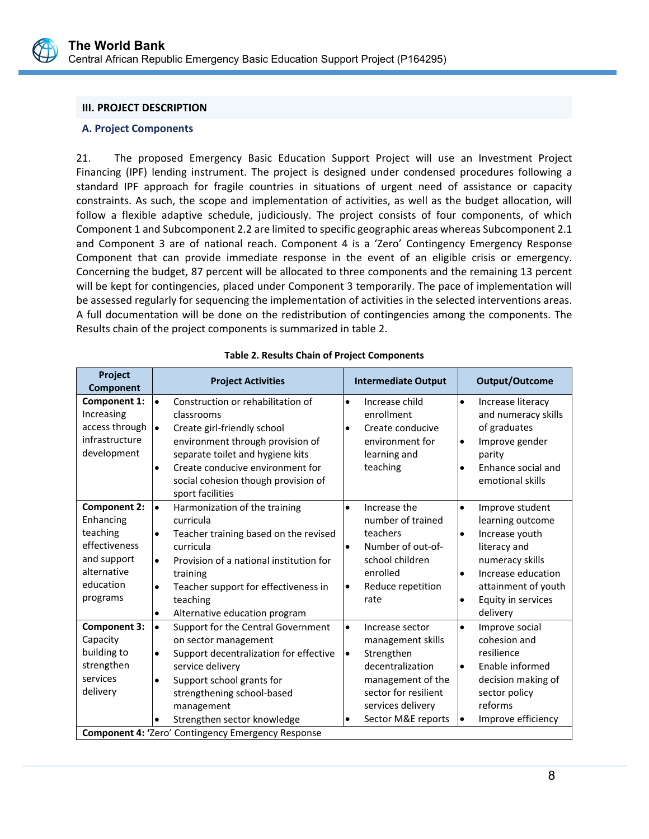

#### **III. PROJECT DESCRIPTION**

#### **A. Project Components**

21. The proposed Emergency Basic Education Support Project will use an Investment Project Financing (IPF) lending instrument. The project is designed under condensed procedures following a standard IPF approach for fragile countries in situations of urgent need of assistance or capacity constraints. As such, the scope and implementation of activities, as well as the budget allocation, will follow a flexible adaptive schedule, judiciously. The project consists of four components, of which Component 1 and Subcomponent 2.2 are limited to specific geographic areas whereas Subcomponent 2.1 and Component 3 are of national reach. Component 4 is a 'Zero' Contingency Emergency Response Component that can provide immediate response in the event of an eligible crisis or emergency. Concerning the budget, 87 percent will be allocated to three components and the remaining 13 percent will be kept for contingencies, placed under Component 3 temporarily. The pace of implementation will be assessed regularly for sequencing the implementation of activities in the selected interventions areas. A full documentation will be done on the redistribution of contingencies among the components. The Results chain of the project components is summarized in table 2.

| Project<br>Component                                                                                                 | <b>Project Activities</b>                                                                                                                                                                                                                                                                                        | <b>Intermediate Output</b>                                                                                                                                                                            | Output/Outcome                                                                                                                                                                                                              |
|----------------------------------------------------------------------------------------------------------------------|------------------------------------------------------------------------------------------------------------------------------------------------------------------------------------------------------------------------------------------------------------------------------------------------------------------|-------------------------------------------------------------------------------------------------------------------------------------------------------------------------------------------------------|-----------------------------------------------------------------------------------------------------------------------------------------------------------------------------------------------------------------------------|
| Component 1:<br>Increasing<br>access through<br>infrastructure<br>development                                        | $\bullet$<br>Construction or rehabilitation of<br>classrooms<br>Create girl-friendly school<br>$\bullet$<br>environment through provision of<br>separate toilet and hygiene kits<br>Create conducive environment for<br>$\bullet$<br>social cohesion though provision of<br>sport facilities                     | Increase child<br>$\bullet$<br>enrollment<br>Create conducive<br>$\bullet$<br>environment for<br>learning and<br>teaching                                                                             | Increase literacy<br>$\bullet$<br>and numeracy skills<br>of graduates<br>Improve gender<br>$\bullet$<br>parity<br>Enhance social and<br>$\bullet$<br>emotional skills                                                       |
| <b>Component 2:</b><br>Enhancing<br>teaching<br>effectiveness<br>and support<br>alternative<br>education<br>programs | $\bullet$<br>Harmonization of the training<br>curricula<br>Teacher training based on the revised<br>$\bullet$<br>curricula<br>Provision of a national institution for<br>$\bullet$<br>training<br>Teacher support for effectiveness in<br>$\bullet$<br>teaching<br>Alternative education program<br>$\bullet$    | Increase the<br>$\bullet$<br>number of trained<br>teachers<br>Number of out-of-<br>$\bullet$<br>school children<br>enrolled<br>Reduce repetition<br>$\bullet$<br>rate                                 | Improve student<br>$\bullet$<br>learning outcome<br>Increase youth<br>$\bullet$<br>literacy and<br>numeracy skills<br>Increase education<br>$\bullet$<br>attainment of youth<br>Equity in services<br>$\bullet$<br>delivery |
| <b>Component 3:</b><br>Capacity<br>building to<br>strengthen<br>services<br>delivery                                 | $\bullet$<br>Support for the Central Government<br>on sector management<br>Support decentralization for effective<br>$\bullet$<br>service delivery<br>Support school grants for<br>strengthening school-based<br>management<br>Strengthen sector knowledge<br>Component 4: 'Zero' Contingency Emergency Response | $\bullet$<br>Increase sector<br>management skills<br>Strengthen<br>$\bullet$<br>decentralization<br>management of the<br>sector for resilient<br>services delivery<br>Sector M&E reports<br>$\bullet$ | Improve social<br>$\bullet$<br>cohesion and<br>resilience<br>Enable informed<br>$\bullet$<br>decision making of<br>sector policy<br>reforms<br>Improve efficiency<br>$\bullet$                                              |

 $\overline{a}$ 

#### **Table 2. Results Chain of Project Components**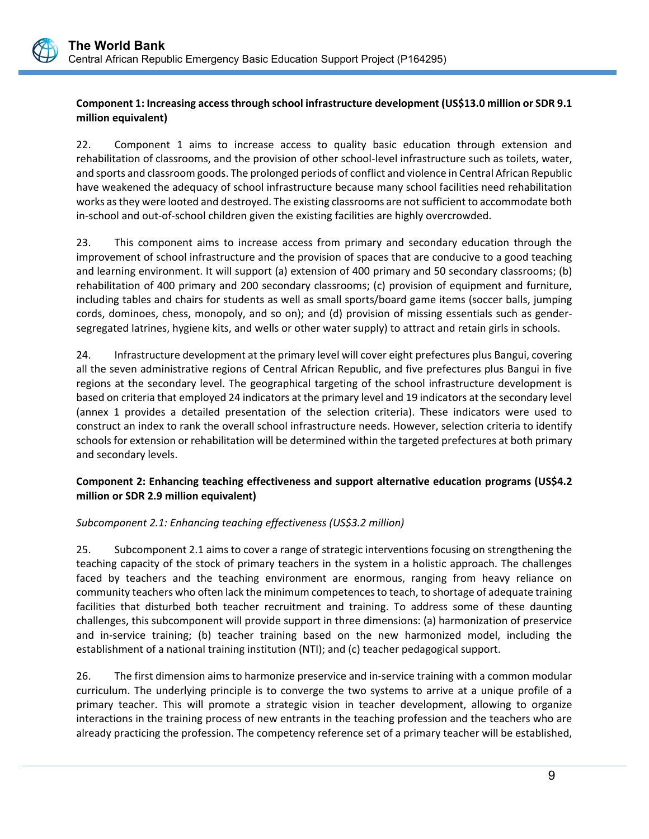

# **Component 1: Increasing access through school infrastructure development (US\$13.0 million or SDR 9.1 million equivalent)**

22. Component 1 aims to increase access to quality basic education through extension and rehabilitation of classrooms, and the provision of other school‐level infrastructure such as toilets, water, and sports and classroom goods. The prolonged periods of conflict and violence in Central African Republic have weakened the adequacy of school infrastructure because many school facilities need rehabilitation works as they were looted and destroyed. The existing classrooms are not sufficient to accommodate both in‐school and out‐of‐school children given the existing facilities are highly overcrowded.

23. This component aims to increase access from primary and secondary education through the improvement of school infrastructure and the provision of spaces that are conducive to a good teaching and learning environment. It will support (a) extension of 400 primary and 50 secondary classrooms; (b) rehabilitation of 400 primary and 200 secondary classrooms; (c) provision of equipment and furniture, including tables and chairs for students as well as small sports/board game items (soccer balls, jumping cords, dominoes, chess, monopoly, and so on); and (d) provision of missing essentials such as gender‐ segregated latrines, hygiene kits, and wells or other water supply) to attract and retain girls in schools.

24. Infrastructure development at the primary level will cover eight prefectures plus Bangui, covering all the seven administrative regions of Central African Republic, and five prefectures plus Bangui in five regions at the secondary level. The geographical targeting of the school infrastructure development is based on criteria that employed 24 indicators at the primary level and 19 indicators at the secondary level (annex 1 provides a detailed presentation of the selection criteria). These indicators were used to construct an index to rank the overall school infrastructure needs. However, selection criteria to identify schools for extension or rehabilitation will be determined within the targeted prefectures at both primary and secondary levels.

# **Component 2: Enhancing teaching effectiveness and support alternative education programs (US\$4.2 million or SDR 2.9 million equivalent)**

# *Subcomponent 2.1: Enhancing teaching effectiveness (US\$3.2 million)*

25. Subcomponent 2.1 aims to cover a range of strategic interventions focusing on strengthening the teaching capacity of the stock of primary teachers in the system in a holistic approach. The challenges faced by teachers and the teaching environment are enormous, ranging from heavy reliance on community teachers who often lack the minimum competences to teach, to shortage of adequate training facilities that disturbed both teacher recruitment and training. To address some of these daunting challenges, this subcomponent will provide support in three dimensions: (a) harmonization of preservice and in-service training; (b) teacher training based on the new harmonized model, including the establishment of a national training institution (NTI); and (c) teacher pedagogical support.

26. The first dimension aims to harmonize preservice and in‐service training with a common modular curriculum. The underlying principle is to converge the two systems to arrive at a unique profile of a primary teacher. This will promote a strategic vision in teacher development, allowing to organize interactions in the training process of new entrants in the teaching profession and the teachers who are already practicing the profession. The competency reference set of a primary teacher will be established,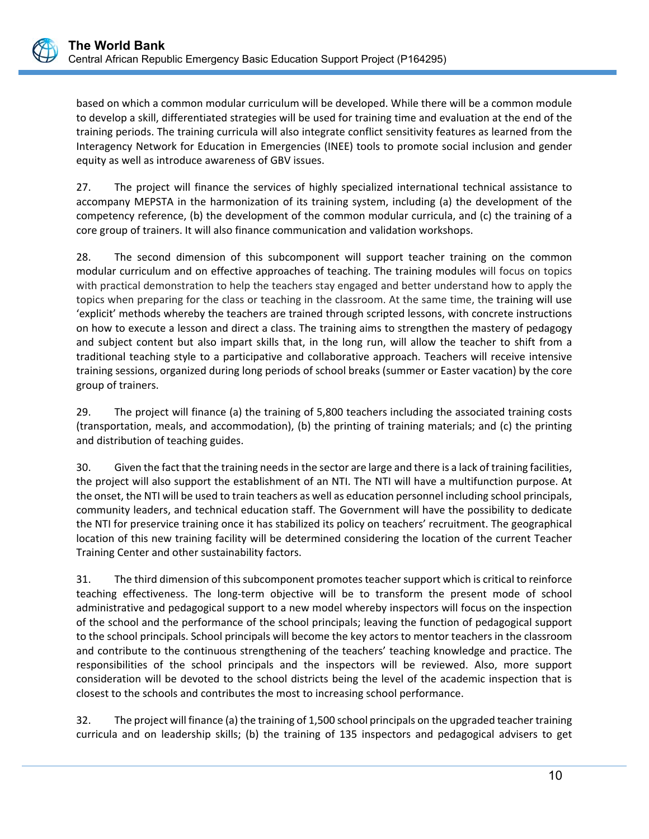based on which a common modular curriculum will be developed. While there will be a common module to develop a skill, differentiated strategies will be used for training time and evaluation at the end of the training periods. The training curricula will also integrate conflict sensitivity features as learned from the Interagency Network for Education in Emergencies (INEE) tools to promote social inclusion and gender equity as well as introduce awareness of GBV issues.

27. The project will finance the services of highly specialized international technical assistance to accompany MEPSTA in the harmonization of its training system, including (a) the development of the competency reference, (b) the development of the common modular curricula, and (c) the training of a core group of trainers. It will also finance communication and validation workshops.

28. The second dimension of this subcomponent will support teacher training on the common modular curriculum and on effective approaches of teaching. The training modules will focus on topics with practical demonstration to help the teachers stay engaged and better understand how to apply the topics when preparing for the class or teaching in the classroom. At the same time, the training will use 'explicit' methods whereby the teachers are trained through scripted lessons, with concrete instructions on how to execute a lesson and direct a class. The training aims to strengthen the mastery of pedagogy and subject content but also impart skills that, in the long run, will allow the teacher to shift from a traditional teaching style to a participative and collaborative approach. Teachers will receive intensive training sessions, organized during long periods of school breaks (summer or Easter vacation) by the core group of trainers.

29. The project will finance (a) the training of 5,800 teachers including the associated training costs (transportation, meals, and accommodation), (b) the printing of training materials; and (c) the printing and distribution of teaching guides.

30. Given the fact that the training needs in the sector are large and there is a lack of training facilities, the project will also support the establishment of an NTI. The NTI will have a multifunction purpose. At the onset, the NTI will be used to train teachers as well as education personnel including school principals, community leaders, and technical education staff. The Government will have the possibility to dedicate the NTI for preservice training once it has stabilized its policy on teachers' recruitment. The geographical location of this new training facility will be determined considering the location of the current Teacher Training Center and other sustainability factors.

31. The third dimension of this subcomponent promotes teacher support which is critical to reinforce teaching effectiveness. The long‐term objective will be to transform the present mode of school administrative and pedagogical support to a new model whereby inspectors will focus on the inspection of the school and the performance of the school principals; leaving the function of pedagogical support to the school principals. School principals will become the key actors to mentor teachers in the classroom and contribute to the continuous strengthening of the teachers' teaching knowledge and practice. The responsibilities of the school principals and the inspectors will be reviewed. Also, more support consideration will be devoted to the school districts being the level of the academic inspection that is closest to the schools and contributes the most to increasing school performance.

32. The project will finance (a) the training of 1,500 school principals on the upgraded teacher training curricula and on leadership skills; (b) the training of 135 inspectors and pedagogical advisers to get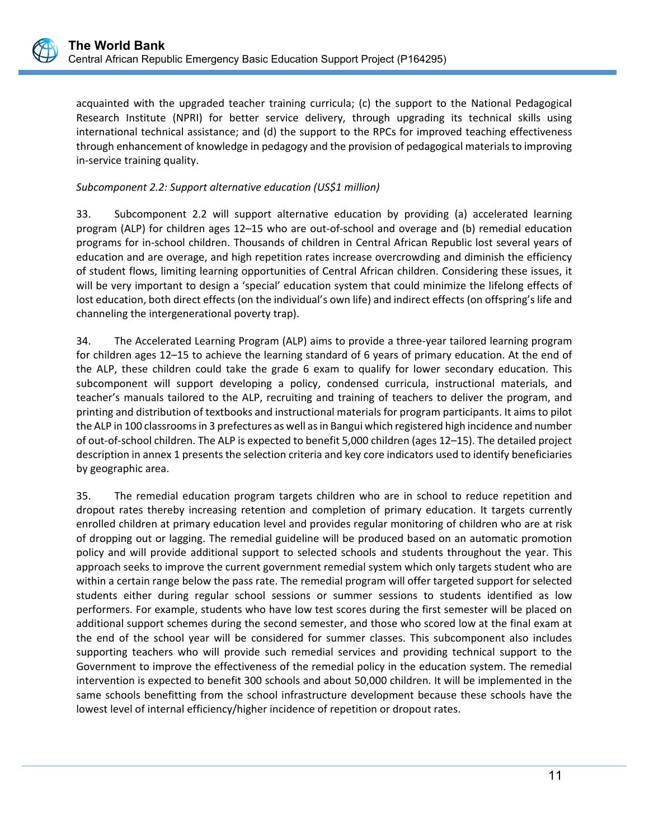

acquainted with the upgraded teacher training curricula; (c) the support to the National Pedagogical Research Institute (NPRI) for better service delivery, through upgrading its technical skills using international technical assistance; and (d) the support to the RPCs for improved teaching effectiveness through enhancement of knowledge in pedagogy and the provision of pedagogical materials to improving in‐service training quality.

# *Subcomponent 2.2: Support alternative education (US\$1 million)*

33. Subcomponent 2.2 will support alternative education by providing (a) accelerated learning program (ALP) for children ages 12–15 who are out‐of‐school and overage and (b) remedial education programs for in‐school children. Thousands of children in Central African Republic lost several years of education and are overage, and high repetition rates increase overcrowding and diminish the efficiency of student flows, limiting learning opportunities of Central African children. Considering these issues, it will be very important to design a 'special' education system that could minimize the lifelong effects of lost education, both direct effects (on the individual's own life) and indirect effects (on offspring's life and channeling the intergenerational poverty trap).

34. The Accelerated Learning Program (ALP) aims to provide a three-year tailored learning program for children ages 12–15 to achieve the learning standard of 6 years of primary education. At the end of the ALP, these children could take the grade 6 exam to qualify for lower secondary education. This subcomponent will support developing a policy, condensed curricula, instructional materials, and teacher's manuals tailored to the ALP, recruiting and training of teachers to deliver the program, and printing and distribution of textbooks and instructional materials for program participants. It aims to pilot the ALP in 100 classrooms in 3 prefectures as well as in Bangui which registered high incidence and number of out‐of‐school children. The ALP is expected to benefit 5,000 children (ages 12–15). The detailed project description in annex 1 presents the selection criteria and key core indicators used to identify beneficiaries by geographic area.

35. The remedial education program targets children who are in school to reduce repetition and dropout rates thereby increasing retention and completion of primary education. It targets currently enrolled children at primary education level and provides regular monitoring of children who are at risk of dropping out or lagging. The remedial guideline will be produced based on an automatic promotion policy and will provide additional support to selected schools and students throughout the year. This approach seeks to improve the current government remedial system which only targets student who are within a certain range below the pass rate. The remedial program will offer targeted support for selected students either during regular school sessions or summer sessions to students identified as low performers. For example, students who have low test scores during the first semester will be placed on additional support schemes during the second semester, and those who scored low at the final exam at the end of the school year will be considered for summer classes. This subcomponent also includes supporting teachers who will provide such remedial services and providing technical support to the Government to improve the effectiveness of the remedial policy in the education system. The remedial intervention is expected to benefit 300 schools and about 50,000 children. It will be implemented in the same schools benefitting from the school infrastructure development because these schools have the lowest level of internal efficiency/higher incidence of repetition or dropout rates.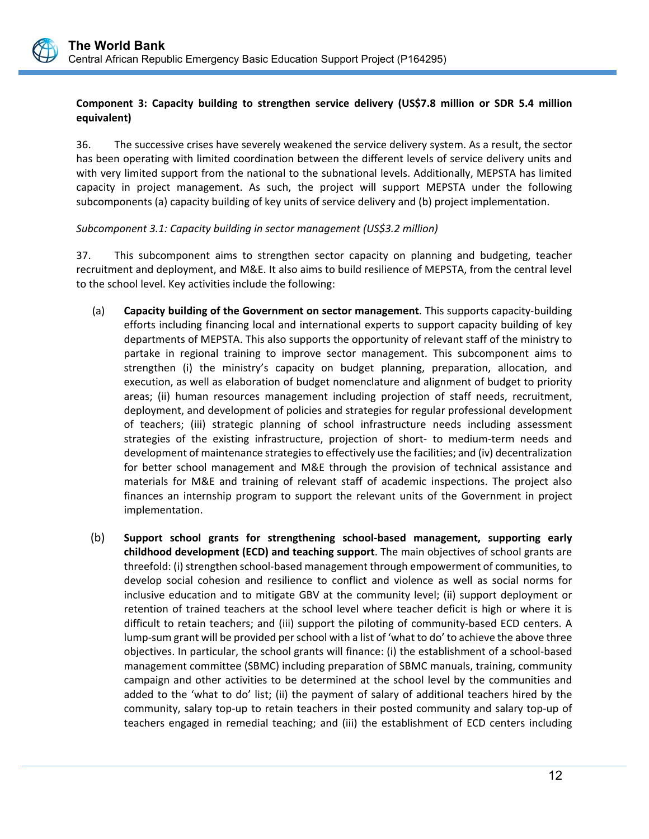

# **Component 3: Capacity building to strengthen service delivery (US\$7.8 million or SDR 5.4 million equivalent)**

36. The successive crises have severely weakened the service delivery system. As a result, the sector has been operating with limited coordination between the different levels of service delivery units and with very limited support from the national to the subnational levels. Additionally, MEPSTA has limited capacity in project management. As such, the project will support MEPSTA under the following subcomponents (a) capacity building of key units of service delivery and (b) project implementation.

# *Subcomponent 3.1: Capacity building in sector management (US\$3.2 million)*

37. This subcomponent aims to strengthen sector capacity on planning and budgeting, teacher recruitment and deployment, and M&E. It also aims to build resilience of MEPSTA, from the central level to the school level. Key activities include the following:

- (a) **Capacity building of the Government on sector management**. This supports capacity‐building efforts including financing local and international experts to support capacity building of key departments of MEPSTA. This also supports the opportunity of relevant staff of the ministry to partake in regional training to improve sector management. This subcomponent aims to strengthen (i) the ministry's capacity on budget planning, preparation, allocation, and execution, as well as elaboration of budget nomenclature and alignment of budget to priority areas; (ii) human resources management including projection of staff needs, recruitment, deployment, and development of policies and strategies for regular professional development of teachers; (iii) strategic planning of school infrastructure needs including assessment strategies of the existing infrastructure, projection of short- to medium-term needs and development of maintenance strategies to effectively use the facilities; and (iv) decentralization for better school management and M&E through the provision of technical assistance and materials for M&E and training of relevant staff of academic inspections. The project also finances an internship program to support the relevant units of the Government in project implementation.
- (b) **Support school grants for strengthening school‐based management, supporting early childhood development (ECD) and teaching support**. The main objectives of school grants are threefold: (i) strengthen school‐based management through empowerment of communities, to develop social cohesion and resilience to conflict and violence as well as social norms for inclusive education and to mitigate GBV at the community level; (ii) support deployment or retention of trained teachers at the school level where teacher deficit is high or where it is difficult to retain teachers; and (iii) support the piloting of community-based ECD centers. A lump-sum grant will be provided per school with a list of 'what to do' to achieve the above three objectives. In particular, the school grants will finance: (i) the establishment of a school‐based management committee (SBMC) including preparation of SBMC manuals, training, community campaign and other activities to be determined at the school level by the communities and added to the 'what to do' list; (ii) the payment of salary of additional teachers hired by the community, salary top-up to retain teachers in their posted community and salary top-up of teachers engaged in remedial teaching; and (iii) the establishment of ECD centers including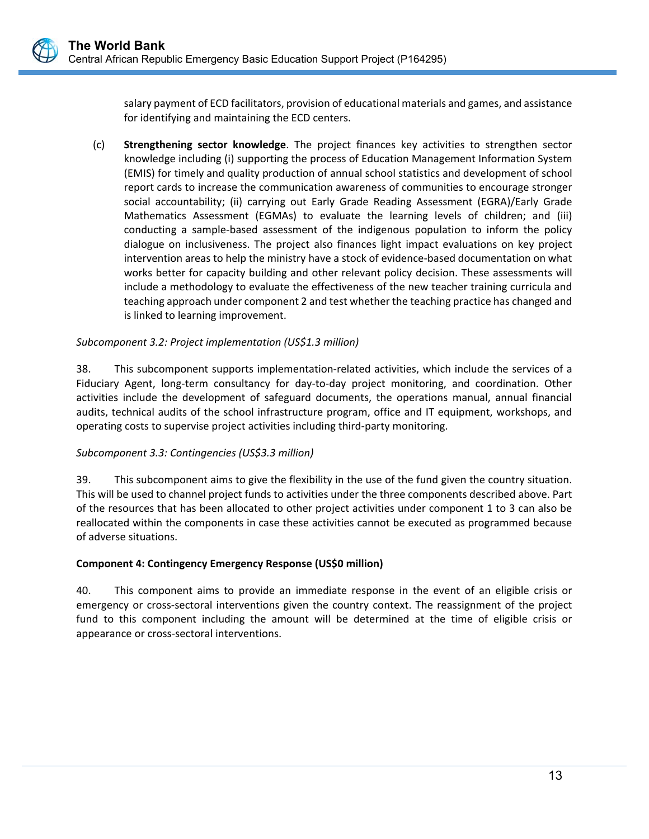salary payment of ECD facilitators, provision of educational materials and games, and assistance for identifying and maintaining the ECD centers.

(c) **Strengthening sector knowledge**. The project finances key activities to strengthen sector knowledge including (i) supporting the process of Education Management Information System (EMIS) for timely and quality production of annual school statistics and development of school report cards to increase the communication awareness of communities to encourage stronger social accountability; (ii) carrying out Early Grade Reading Assessment (EGRA)/Early Grade Mathematics Assessment (EGMAs) to evaluate the learning levels of children; and (iii) conducting a sample-based assessment of the indigenous population to inform the policy dialogue on inclusiveness. The project also finances light impact evaluations on key project intervention areas to help the ministry have a stock of evidence-based documentation on what works better for capacity building and other relevant policy decision. These assessments will include a methodology to evaluate the effectiveness of the new teacher training curricula and teaching approach under component 2 and test whether the teaching practice has changed and is linked to learning improvement.

# *Subcomponent 3.2: Project implementation (US\$1.3 million)*

38. This subcomponent supports implementation-related activities, which include the services of a Fiduciary Agent, long-term consultancy for day-to-day project monitoring, and coordination. Other activities include the development of safeguard documents, the operations manual, annual financial audits, technical audits of the school infrastructure program, office and IT equipment, workshops, and operating costs to supervise project activities including third‐party monitoring.

#### *Subcomponent 3.3: Contingencies (US\$3.3 million)*

39. This subcomponent aims to give the flexibility in the use of the fund given the country situation. This will be used to channel project funds to activities under the three components described above. Part of the resources that has been allocated to other project activities under component 1 to 3 can also be reallocated within the components in case these activities cannot be executed as programmed because of adverse situations.

#### **Component 4: Contingency Emergency Response (US\$0 million)**

40. This component aims to provide an immediate response in the event of an eligible crisis or emergency or cross-sectoral interventions given the country context. The reassignment of the project fund to this component including the amount will be determined at the time of eligible crisis or appearance or cross‐sectoral interventions.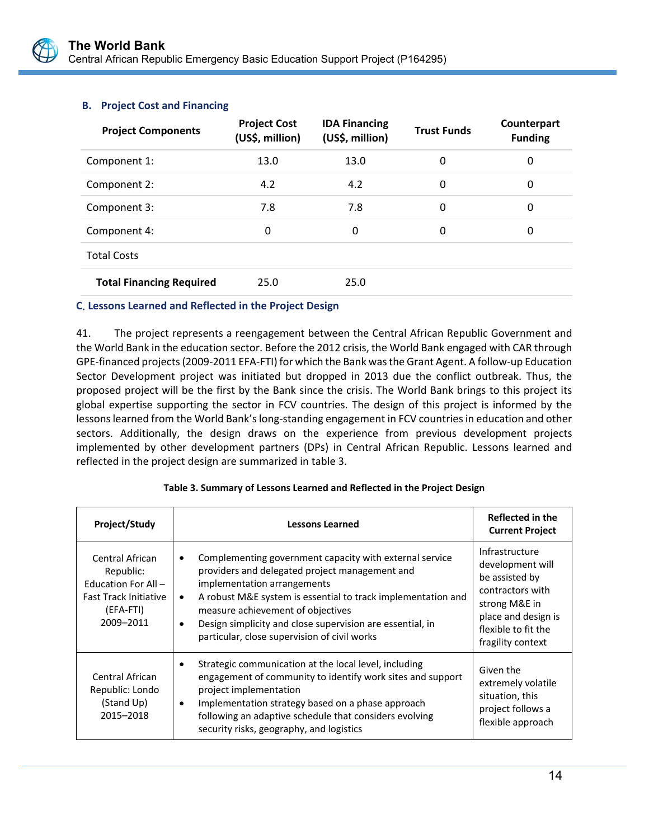

| <b>Project Components</b>       | <b>Project Cost</b><br>(US\$, million) | <b>IDA Financing</b><br>(US\$, million) | <b>Trust Funds</b> | Counterpart<br><b>Funding</b> |
|---------------------------------|----------------------------------------|-----------------------------------------|--------------------|-------------------------------|
| Component 1:                    | 13.0                                   | 13.0                                    | 0                  | 0                             |
| Component 2:                    | 4.2                                    | 4.2                                     | 0                  | 0                             |
| Component 3:                    | 7.8                                    | 7.8                                     | 0                  | 0                             |
| Component 4:                    | 0                                      | 0                                       | 0                  | 0                             |
| <b>Total Costs</b>              |                                        |                                         |                    |                               |
| <b>Total Financing Required</b> | 25.0                                   | 25.0                                    |                    |                               |

# **B. Project Cost and Financing**

# **C**. **Lessons Learned and Reflected in the Project Design**

41. The project represents a reengagement between the Central African Republic Government and the World Bank in the education sector. Before the 2012 crisis, the World Bank engaged with CAR through GPE‐financed projects (2009‐2011 EFA‐FTI) for which the Bank was the Grant Agent. A follow‐up Education Sector Development project was initiated but dropped in 2013 due the conflict outbreak. Thus, the proposed project will be the first by the Bank since the crisis. The World Bank brings to this project its global expertise supporting the sector in FCV countries. The design of this project is informed by the lessons learned from the World Bank's long‐standing engagement in FCV countries in education and other sectors. Additionally, the design draws on the experience from previous development projects implemented by other development partners (DPs) in Central African Republic. Lessons learned and reflected in the project design are summarized in table 3.

| Project/Study                                                                                                 | <b>Lessons Learned</b>                                                                                                                                                                                                                                                                                                                                                               | Reflected in the<br><b>Current Project</b>                                                                                                                   |
|---------------------------------------------------------------------------------------------------------------|--------------------------------------------------------------------------------------------------------------------------------------------------------------------------------------------------------------------------------------------------------------------------------------------------------------------------------------------------------------------------------------|--------------------------------------------------------------------------------------------------------------------------------------------------------------|
| Central African<br>Republic:<br>Education For All -<br><b>Fast Track Initiative</b><br>(EFA-FTI)<br>2009-2011 | Complementing government capacity with external service<br>providers and delegated project management and<br>implementation arrangements<br>A robust M&E system is essential to track implementation and<br>$\bullet$<br>measure achievement of objectives<br>Design simplicity and close supervision are essential, in<br>$\bullet$<br>particular, close supervision of civil works | Infrastructure<br>development will<br>be assisted by<br>contractors with<br>strong M&E in<br>place and design is<br>flexible to fit the<br>fragility context |
| Central African<br>Republic: Londo<br>(Stand Up)<br>2015-2018                                                 | Strategic communication at the local level, including<br>engagement of community to identify work sites and support<br>project implementation<br>Implementation strategy based on a phase approach<br>$\bullet$<br>following an adaptive schedule that considers evolving<br>security risks, geography, and logistics                                                                | Given the<br>extremely volatile<br>situation, this<br>project follows a<br>flexible approach                                                                 |

 $\overline{a}$ 

#### **Table 3. Summary of Lessons Learned and Reflected in the Project Design**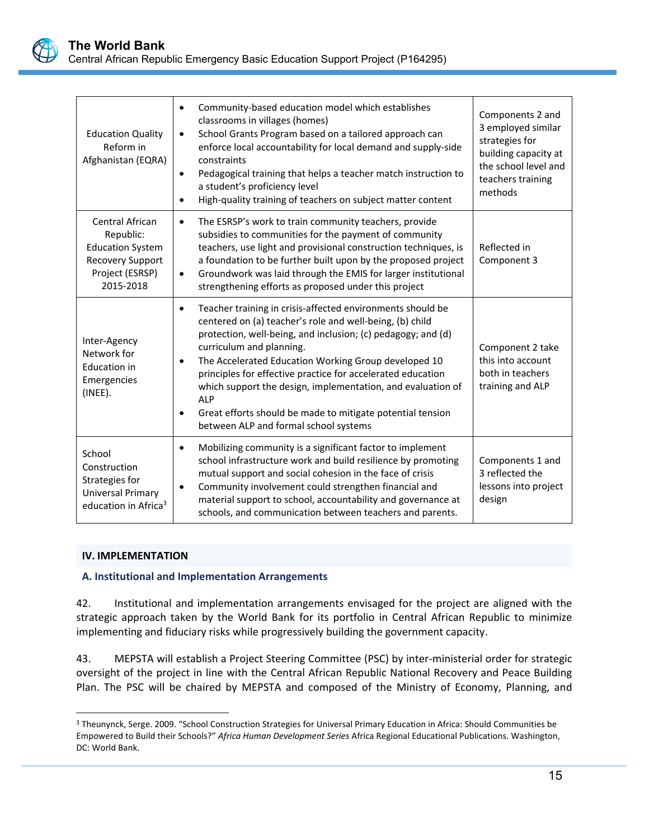

| <b>Education Quality</b><br>Reform in<br>Afghanistan (EQRA)                                                        | Community-based education model which establishes<br>$\bullet$<br>classrooms in villages (homes)<br>School Grants Program based on a tailored approach can<br>$\bullet$<br>enforce local accountability for local demand and supply-side<br>constraints<br>Pedagogical training that helps a teacher match instruction to<br>$\bullet$<br>a student's proficiency level<br>High-quality training of teachers on subject matter content                                                                                                                       | Components 2 and<br>3 employed similar<br>strategies for<br>building capacity at<br>the school level and<br>teachers training<br>methods |
|--------------------------------------------------------------------------------------------------------------------|--------------------------------------------------------------------------------------------------------------------------------------------------------------------------------------------------------------------------------------------------------------------------------------------------------------------------------------------------------------------------------------------------------------------------------------------------------------------------------------------------------------------------------------------------------------|------------------------------------------------------------------------------------------------------------------------------------------|
| Central African<br>Republic:<br><b>Education System</b><br><b>Recovery Support</b><br>Project (ESRSP)<br>2015-2018 | The ESRSP's work to train community teachers, provide<br>$\bullet$<br>subsidies to communities for the payment of community<br>teachers, use light and provisional construction techniques, is<br>a foundation to be further built upon by the proposed project<br>Groundwork was laid through the EMIS for larger institutional<br>$\bullet$<br>strengthening efforts as proposed under this project                                                                                                                                                        | Reflected in<br>Component 3                                                                                                              |
| Inter-Agency<br>Network for<br><b>Education in</b><br>Emergencies<br>(INEE).                                       | Teacher training in crisis-affected environments should be<br>$\bullet$<br>centered on (a) teacher's role and well-being, (b) child<br>protection, well-being, and inclusion; (c) pedagogy; and (d)<br>curriculum and planning.<br>The Accelerated Education Working Group developed 10<br>٠<br>principles for effective practice for accelerated education<br>which support the design, implementation, and evaluation of<br><b>ALP</b><br>Great efforts should be made to mitigate potential tension<br>$\bullet$<br>between ALP and formal school systems | Component 2 take<br>this into account<br>both in teachers<br>training and ALP                                                            |
| School<br>Construction<br>Strategies for<br><b>Universal Primary</b><br>education in Africa <sup>3</sup>           | Mobilizing community is a significant factor to implement<br>$\bullet$<br>school infrastructure work and build resilience by promoting<br>mutual support and social cohesion in the face of crisis<br>Community involvement could strengthen financial and<br>$\bullet$<br>material support to school, accountability and governance at<br>schools, and communication between teachers and parents.                                                                                                                                                          | Components 1 and<br>3 reflected the<br>lessons into project<br>design                                                                    |

#### **IV. IMPLEMENTATION**

 $\overline{a}$ 

#### **A. Institutional and Implementation Arrangements**

42. Institutional and implementation arrangements envisaged for the project are aligned with the strategic approach taken by the World Bank for its portfolio in Central African Republic to minimize implementing and fiduciary risks while progressively building the government capacity.

43. MEPSTA will establish a Project Steering Committee (PSC) by inter-ministerial order for strategic oversight of the project in line with the Central African Republic National Recovery and Peace Building Plan. The PSC will be chaired by MEPSTA and composed of the Ministry of Economy, Planning, and

<sup>3</sup> Theunynck, Serge. 2009. "School Construction Strategies for Universal Primary Education in Africa: Should Communities be Empowered to Build their Schools?" *Africa Human Development Series* Africa Regional Educational Publications. Washington, DC: World Bank.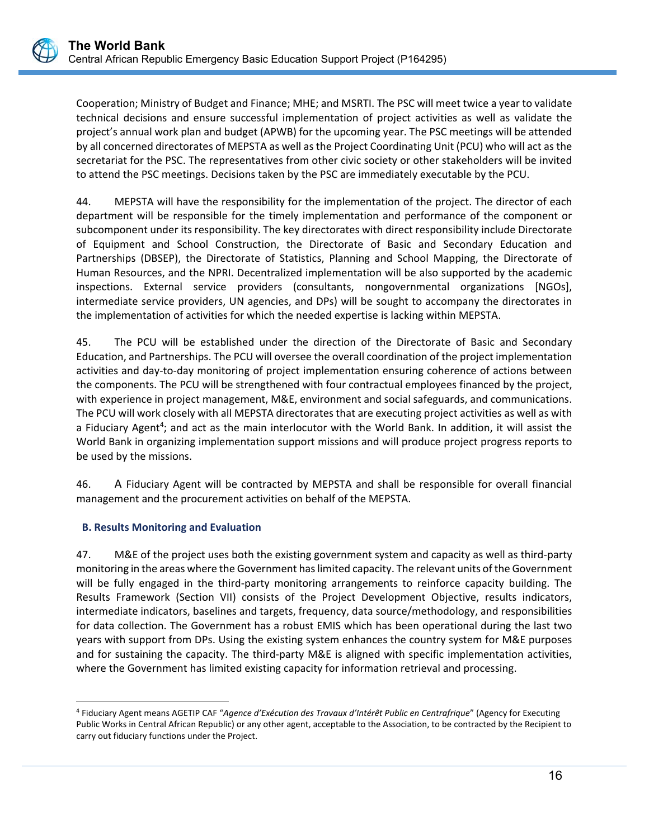Cooperation; Ministry of Budget and Finance; MHE; and MSRTI. The PSC will meet twice a year to validate technical decisions and ensure successful implementation of project activities as well as validate the project's annual work plan and budget (APWB) for the upcoming year. The PSC meetings will be attended by all concerned directorates of MEPSTA as well as the Project Coordinating Unit (PCU) who will act as the secretariat for the PSC. The representatives from other civic society or other stakeholders will be invited to attend the PSC meetings. Decisions taken by the PSC are immediately executable by the PCU.

44. MEPSTA will have the responsibility for the implementation of the project. The director of each department will be responsible for the timely implementation and performance of the component or subcomponent under its responsibility. The key directorates with direct responsibility include Directorate of Equipment and School Construction, the Directorate of Basic and Secondary Education and Partnerships (DBSEP), the Directorate of Statistics, Planning and School Mapping, the Directorate of Human Resources, and the NPRI. Decentralized implementation will be also supported by the academic inspections. External service providers (consultants, nongovernmental organizations [NGOs], intermediate service providers, UN agencies, and DPs) will be sought to accompany the directorates in the implementation of activities for which the needed expertise is lacking within MEPSTA.

45. The PCU will be established under the direction of the Directorate of Basic and Secondary Education, and Partnerships. The PCU will oversee the overall coordination of the project implementation activities and day‐to‐day monitoring of project implementation ensuring coherence of actions between the components. The PCU will be strengthened with four contractual employees financed by the project, with experience in project management, M&E, environment and social safeguards, and communications. The PCU will work closely with all MEPSTA directorates that are executing project activities as well as with a Fiduciary Agent<sup>4</sup>; and act as the main interlocutor with the World Bank. In addition, it will assist the World Bank in organizing implementation support missions and will produce project progress reports to be used by the missions.

46. A Fiduciary Agent will be contracted by MEPSTA and shall be responsible for overall financial management and the procurement activities on behalf of the MEPSTA.

# **B. Results Monitoring and Evaluation**

 $\overline{a}$ 

47. M&E of the project uses both the existing government system and capacity as well as third-party monitoring in the areas where the Government has limited capacity. The relevant units of the Government will be fully engaged in the third-party monitoring arrangements to reinforce capacity building. The Results Framework (Section VII) consists of the Project Development Objective, results indicators, intermediate indicators, baselines and targets, frequency, data source/methodology, and responsibilities for data collection. The Government has a robust EMIS which has been operational during the last two years with support from DPs. Using the existing system enhances the country system for M&E purposes and for sustaining the capacity. The third-party M&E is aligned with specific implementation activities, where the Government has limited existing capacity for information retrieval and processing.

<sup>4</sup> Fiduciary Agent means AGETIP CAF "*Agence d'Exécution des Travaux d'Intérêt Public en Centrafrique*" (Agency for Executing Public Works in Central African Republic) or any other agent, acceptable to the Association, to be contracted by the Recipient to carry out fiduciary functions under the Project.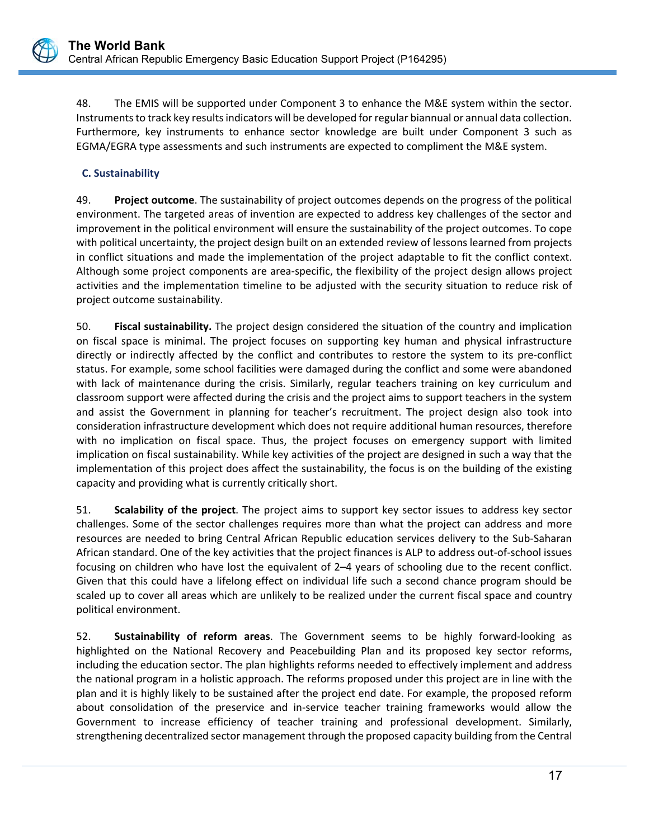

48. The EMIS will be supported under Component 3 to enhance the M&E system within the sector. Instruments to track key results indicators will be developed for regular biannual or annual data collection. Furthermore, key instruments to enhance sector knowledge are built under Component 3 such as EGMA/EGRA type assessments and such instruments are expected to compliment the M&E system.

# **C. Sustainability**

49. **Project outcome**. The sustainability of project outcomes depends on the progress of the political environment. The targeted areas of invention are expected to address key challenges of the sector and improvement in the political environment will ensure the sustainability of the project outcomes. To cope with political uncertainty, the project design built on an extended review of lessons learned from projects in conflict situations and made the implementation of the project adaptable to fit the conflict context. Although some project components are area‐specific, the flexibility of the project design allows project activities and the implementation timeline to be adjusted with the security situation to reduce risk of project outcome sustainability.

50. **Fiscal sustainability.** The project design considered the situation of the country and implication on fiscal space is minimal. The project focuses on supporting key human and physical infrastructure directly or indirectly affected by the conflict and contributes to restore the system to its pre‐conflict status. For example, some school facilities were damaged during the conflict and some were abandoned with lack of maintenance during the crisis. Similarly, regular teachers training on key curriculum and classroom support were affected during the crisis and the project aims to support teachers in the system and assist the Government in planning for teacher's recruitment. The project design also took into consideration infrastructure development which does not require additional human resources, therefore with no implication on fiscal space. Thus, the project focuses on emergency support with limited implication on fiscal sustainability. While key activities of the project are designed in such a way that the implementation of this project does affect the sustainability, the focus is on the building of the existing capacity and providing what is currently critically short.

51. **Scalability of the project**. The project aims to support key sector issues to address key sector challenges. Some of the sector challenges requires more than what the project can address and more resources are needed to bring Central African Republic education services delivery to the Sub‐Saharan African standard. One of the key activities that the project finances is ALP to address out‐of‐school issues focusing on children who have lost the equivalent of 2–4 years of schooling due to the recent conflict. Given that this could have a lifelong effect on individual life such a second chance program should be scaled up to cover all areas which are unlikely to be realized under the current fiscal space and country political environment.

52. **Sustainability of reform areas**. The Government seems to be highly forward‐looking as highlighted on the National Recovery and Peacebuilding Plan and its proposed key sector reforms, including the education sector. The plan highlights reforms needed to effectively implement and address the national program in a holistic approach. The reforms proposed under this project are in line with the plan and it is highly likely to be sustained after the project end date. For example, the proposed reform about consolidation of the preservice and in-service teacher training frameworks would allow the Government to increase efficiency of teacher training and professional development. Similarly, strengthening decentralized sector management through the proposed capacity building from the Central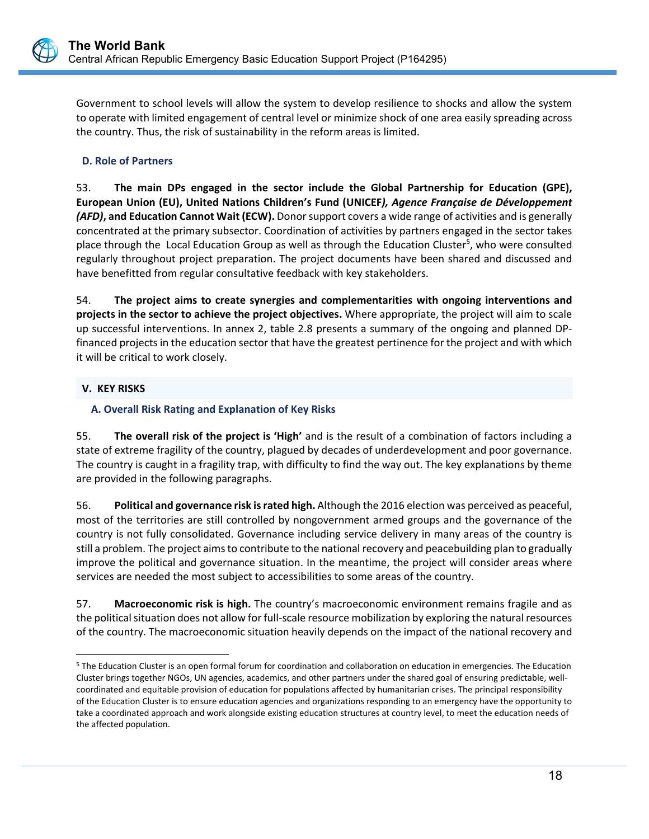

Government to school levels will allow the system to develop resilience to shocks and allow the system to operate with limited engagement of central level or minimize shock of one area easily spreading across the country. Thus, the risk of sustainability in the reform areas is limited.

# **D. Role of Partners**

53. **The main DPs engaged in the sector include the Global Partnership for Education (GPE), European Union (EU), United Nations Children's Fund (UNICEF***), Agence Française de Développement (AFD)***, and Education Cannot Wait (ECW).** Donor support covers a wide range of activities and is generally concentrated at the primary subsector. Coordination of activities by partners engaged in the sector takes place through the Local Education Group as well as through the Education Cluster<sup>5</sup>, who were consulted regularly throughout project preparation. The project documents have been shared and discussed and have benefitted from regular consultative feedback with key stakeholders.

54. **The project aims to create synergies and complementarities with ongoing interventions and projects in the sector to achieve the project objectives.** Where appropriate, the project will aim to scale up successful interventions. In annex 2, table 2.8 presents a summary of the ongoing and planned DP‐ financed projects in the education sector that have the greatest pertinence for the project and with which it will be critical to work closely.

# **V. KEY RISKS**

 $\overline{a}$ 

# **A. Overall Risk Rating and Explanation of Key Risks**

55. **The overall risk of the project is 'High'** and is the result of a combination of factors including a state of extreme fragility of the country, plagued by decades of underdevelopment and poor governance. The country is caught in a fragility trap, with difficulty to find the way out. The key explanations by theme are provided in the following paragraphs.

56. **Political and governance risk is rated high.** Although the 2016 election was perceived as peaceful, most of the territories are still controlled by nongovernment armed groups and the governance of the country is not fully consolidated. Governance including service delivery in many areas of the country is still a problem. The project aims to contribute to the national recovery and peacebuilding plan to gradually improve the political and governance situation. In the meantime, the project will consider areas where services are needed the most subject to accessibilities to some areas of the country.

57. **Macroeconomic risk is high.** The country's macroeconomic environment remains fragile and as the political situation does not allow for full‐scale resource mobilization by exploring the natural resources of the country. The macroeconomic situation heavily depends on the impact of the national recovery and

<sup>5</sup> The Education Cluster is an open formal forum for coordination and collaboration on education in emergencies. The Education Cluster brings together NGOs, UN agencies, academics, and other partners under the shared goal of ensuring predictable, well‐ coordinated and equitable provision of education for populations affected by humanitarian crises. The principal responsibility of the Education Cluster is to ensure education agencies and organizations responding to an emergency have the opportunity to take a coordinated approach and work alongside existing education structures at country level, to meet the education needs of the affected population.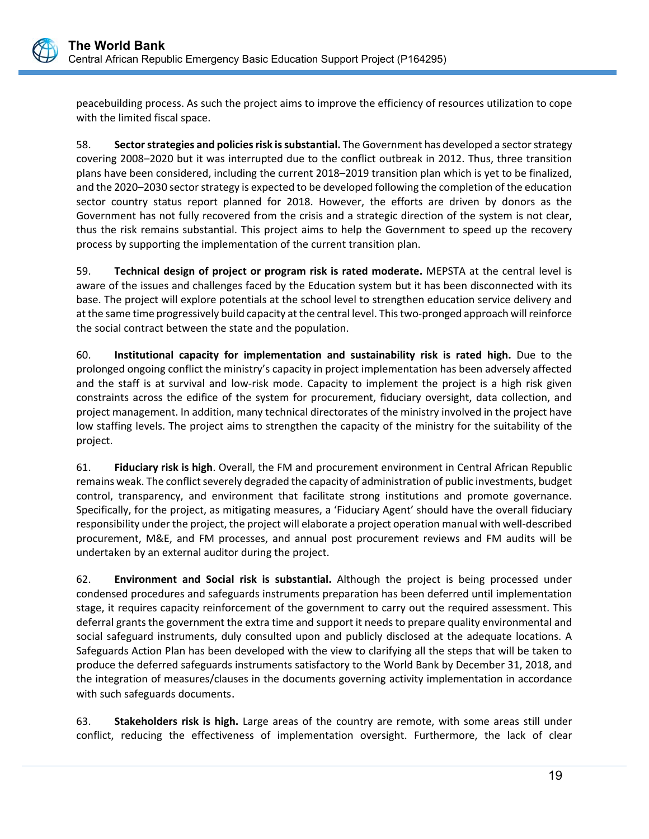

peacebuilding process. As such the project aims to improve the efficiency of resources utilization to cope with the limited fiscal space.

58. **Sector strategies and policies risk is substantial.** The Government has developed a sector strategy covering 2008–2020 but it was interrupted due to the conflict outbreak in 2012. Thus, three transition plans have been considered, including the current 2018–2019 transition plan which is yet to be finalized, and the 2020–2030 sector strategy is expected to be developed following the completion of the education sector country status report planned for 2018. However, the efforts are driven by donors as the Government has not fully recovered from the crisis and a strategic direction of the system is not clear, thus the risk remains substantial. This project aims to help the Government to speed up the recovery process by supporting the implementation of the current transition plan.

59. **Technical design of project or program risk is rated moderate.** MEPSTA at the central level is aware of the issues and challenges faced by the Education system but it has been disconnected with its base. The project will explore potentials at the school level to strengthen education service delivery and at the same time progressively build capacity at the central level. This two-pronged approach will reinforce the social contract between the state and the population.

60. **Institutional capacity for implementation and sustainability risk is rated high.** Due to the prolonged ongoing conflict the ministry's capacity in project implementation has been adversely affected and the staff is at survival and low-risk mode. Capacity to implement the project is a high risk given constraints across the edifice of the system for procurement, fiduciary oversight, data collection, and project management. In addition, many technical directorates of the ministry involved in the project have low staffing levels. The project aims to strengthen the capacity of the ministry for the suitability of the project.

61. **Fiduciary risk is high**. Overall, the FM and procurement environment in Central African Republic remains weak. The conflict severely degraded the capacity of administration of public investments, budget control, transparency, and environment that facilitate strong institutions and promote governance. Specifically, for the project, as mitigating measures, a 'Fiduciary Agent' should have the overall fiduciary responsibility under the project, the project will elaborate a project operation manual with well‐described procurement, M&E, and FM processes, and annual post procurement reviews and FM audits will be undertaken by an external auditor during the project.

62. **Environment and Social risk is substantial.** Although the project is being processed under condensed procedures and safeguards instruments preparation has been deferred until implementation stage, it requires capacity reinforcement of the government to carry out the required assessment. This deferral grants the government the extra time and support it needs to prepare quality environmental and social safeguard instruments, duly consulted upon and publicly disclosed at the adequate locations. A Safeguards Action Plan has been developed with the view to clarifying all the steps that will be taken to produce the deferred safeguards instruments satisfactory to the World Bank by December 31, 2018, and the integration of measures/clauses in the documents governing activity implementation in accordance with such safeguards documents.

63. **Stakeholders risk is high.** Large areas of the country are remote, with some areas still under conflict, reducing the effectiveness of implementation oversight. Furthermore, the lack of clear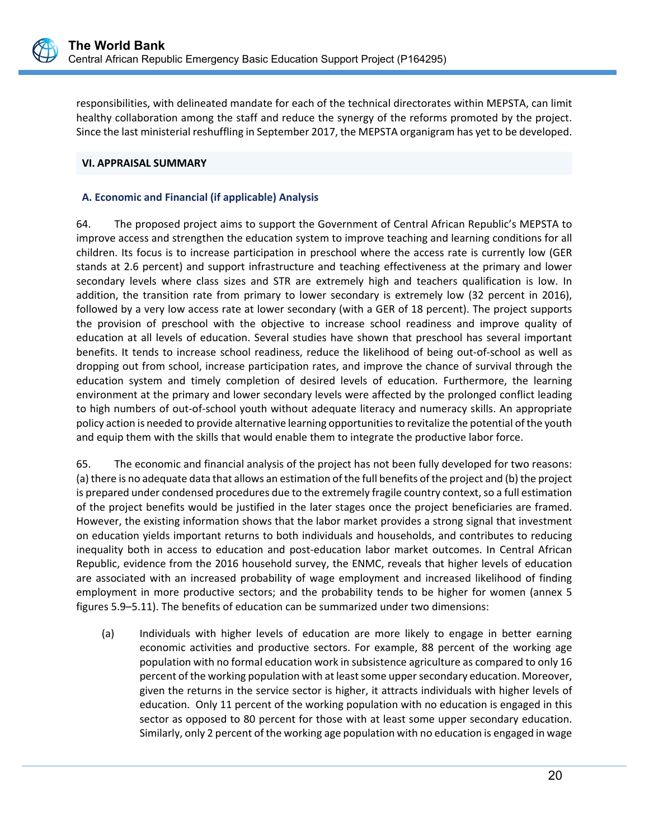

responsibilities, with delineated mandate for each of the technical directorates within MEPSTA, can limit healthy collaboration among the staff and reduce the synergy of the reforms promoted by the project. Since the last ministerial reshuffling in September 2017, the MEPSTA organigram has yet to be developed.

#### **VI. APPRAISAL SUMMARY**

### **A. Economic and Financial (if applicable) Analysis**

64. The proposed project aims to support the Government of Central African Republic's MEPSTA to improve access and strengthen the education system to improve teaching and learning conditions for all children. Its focus is to increase participation in preschool where the access rate is currently low (GER stands at 2.6 percent) and support infrastructure and teaching effectiveness at the primary and lower secondary levels where class sizes and STR are extremely high and teachers qualification is low. In addition, the transition rate from primary to lower secondary is extremely low (32 percent in 2016), followed by a very low access rate at lower secondary (with a GER of 18 percent). The project supports the provision of preschool with the objective to increase school readiness and improve quality of education at all levels of education. Several studies have shown that preschool has several important benefits. It tends to increase school readiness, reduce the likelihood of being out-of-school as well as dropping out from school, increase participation rates, and improve the chance of survival through the education system and timely completion of desired levels of education. Furthermore, the learning environment at the primary and lower secondary levels were affected by the prolonged conflict leading to high numbers of out-of-school youth without adequate literacy and numeracy skills. An appropriate policy action is needed to provide alternative learning opportunities to revitalize the potential of the youth and equip them with the skills that would enable them to integrate the productive labor force.

65. The economic and financial analysis of the project has not been fully developed for two reasons: (a) there is no adequate data that allows an estimation of the full benefits of the project and (b) the project is prepared under condensed procedures due to the extremely fragile country context, so a full estimation of the project benefits would be justified in the later stages once the project beneficiaries are framed. However, the existing information shows that the labor market provides a strong signal that investment on education yields important returns to both individuals and households, and contributes to reducing inequality both in access to education and post-education labor market outcomes. In Central African Republic, evidence from the 2016 household survey, the ENMC, reveals that higher levels of education are associated with an increased probability of wage employment and increased likelihood of finding employment in more productive sectors; and the probability tends to be higher for women (annex 5 figures 5.9–5.11). The benefits of education can be summarized under two dimensions:

(a) Individuals with higher levels of education are more likely to engage in better earning economic activities and productive sectors. For example, 88 percent of the working age population with no formal education work in subsistence agriculture as compared to only 16 percent of the working population with at least some upper secondary education. Moreover, given the returns in the service sector is higher, it attracts individuals with higher levels of education. Only 11 percent of the working population with no education is engaged in this sector as opposed to 80 percent for those with at least some upper secondary education. Similarly, only 2 percent of the working age population with no education is engaged in wage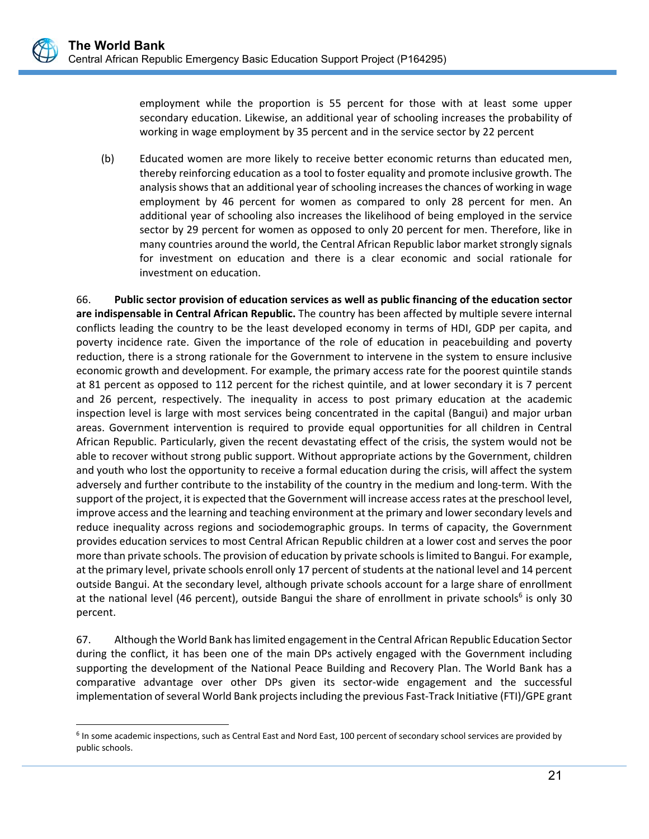employment while the proportion is 55 percent for those with at least some upper secondary education. Likewise, an additional year of schooling increases the probability of working in wage employment by 35 percent and in the service sector by 22 percent

(b) Educated women are more likely to receive better economic returns than educated men, thereby reinforcing education as a tool to foster equality and promote inclusive growth. The analysis shows that an additional year of schooling increases the chances of working in wage employment by 46 percent for women as compared to only 28 percent for men. An additional year of schooling also increases the likelihood of being employed in the service sector by 29 percent for women as opposed to only 20 percent for men. Therefore, like in many countries around the world, the Central African Republic labor market strongly signals for investment on education and there is a clear economic and social rationale for investment on education.

66. **Public sector provision of education services as well as public financing of the education sector are indispensable in Central African Republic.** The country has been affected by multiple severe internal conflicts leading the country to be the least developed economy in terms of HDI, GDP per capita, and poverty incidence rate. Given the importance of the role of education in peacebuilding and poverty reduction, there is a strong rationale for the Government to intervene in the system to ensure inclusive economic growth and development. For example, the primary access rate for the poorest quintile stands at 81 percent as opposed to 112 percent for the richest quintile, and at lower secondary it is 7 percent and 26 percent, respectively. The inequality in access to post primary education at the academic inspection level is large with most services being concentrated in the capital (Bangui) and major urban areas. Government intervention is required to provide equal opportunities for all children in Central African Republic. Particularly, given the recent devastating effect of the crisis, the system would not be able to recover without strong public support. Without appropriate actions by the Government, children and youth who lost the opportunity to receive a formal education during the crisis, will affect the system adversely and further contribute to the instability of the country in the medium and long-term. With the support of the project, it is expected that the Government will increase access rates at the preschool level, improve access and the learning and teaching environment at the primary and lower secondary levels and reduce inequality across regions and sociodemographic groups. In terms of capacity, the Government provides education services to most Central African Republic children at a lower cost and serves the poor more than private schools. The provision of education by private schools is limited to Bangui. For example, at the primary level, private schools enroll only 17 percent of students at the national level and 14 percent outside Bangui. At the secondary level, although private schools account for a large share of enrollment at the national level (46 percent), outside Bangui the share of enrollment in private schools<sup>6</sup> is only 30 percent.

67. Although the World Bank has limited engagement in the Central African Republic Education Sector during the conflict, it has been one of the main DPs actively engaged with the Government including supporting the development of the National Peace Building and Recovery Plan. The World Bank has a comparative advantage over other DPs given its sector-wide engagement and the successful implementation of several World Bank projects including the previous Fast-Track Initiative (FTI)/GPE grant

 $\overline{a}$ 

 $6$  In some academic inspections, such as Central East and Nord East, 100 percent of secondary school services are provided by public schools.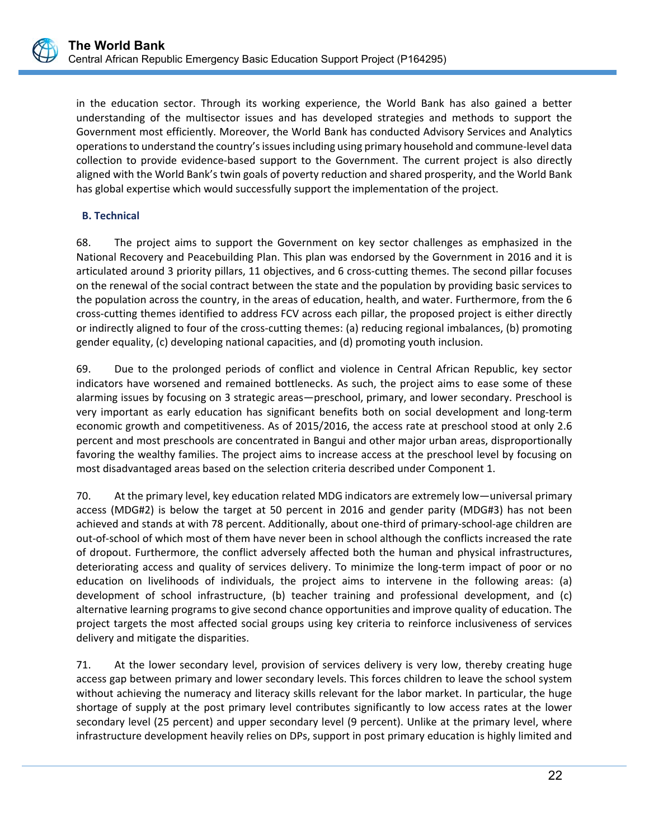

in the education sector. Through its working experience, the World Bank has also gained a better understanding of the multisector issues and has developed strategies and methods to support the Government most efficiently. Moreover, the World Bank has conducted Advisory Services and Analytics operations to understand the country's issues including using primary household and commune‐level data collection to provide evidence-based support to the Government. The current project is also directly aligned with the World Bank's twin goals of poverty reduction and shared prosperity, and the World Bank has global expertise which would successfully support the implementation of the project.

# **B. Technical**

68. The project aims to support the Government on key sector challenges as emphasized in the National Recovery and Peacebuilding Plan. This plan was endorsed by the Government in 2016 and it is articulated around 3 priority pillars, 11 objectives, and 6 cross-cutting themes. The second pillar focuses on the renewal of the social contract between the state and the population by providing basic services to the population across the country, in the areas of education, health, and water. Furthermore, from the 6 cross‐cutting themes identified to address FCV across each pillar, the proposed project is either directly or indirectly aligned to four of the cross-cutting themes: (a) reducing regional imbalances, (b) promoting gender equality, (c) developing national capacities, and (d) promoting youth inclusion.

69. Due to the prolonged periods of conflict and violence in Central African Republic, key sector indicators have worsened and remained bottlenecks. As such, the project aims to ease some of these alarming issues by focusing on 3 strategic areas—preschool, primary, and lower secondary. Preschool is very important as early education has significant benefits both on social development and long‐term economic growth and competitiveness. As of 2015/2016, the access rate at preschool stood at only 2.6 percent and most preschools are concentrated in Bangui and other major urban areas, disproportionally favoring the wealthy families. The project aims to increase access at the preschool level by focusing on most disadvantaged areas based on the selection criteria described under Component 1.

70. At the primary level, key education related MDG indicators are extremely low—universal primary access (MDG#2) is below the target at 50 percent in 2016 and gender parity (MDG#3) has not been achieved and stands at with 78 percent. Additionally, about one‐third of primary‐school‐age children are out‐of‐school of which most of them have never been in school although the conflicts increased the rate of dropout. Furthermore, the conflict adversely affected both the human and physical infrastructures, deteriorating access and quality of services delivery. To minimize the long-term impact of poor or no education on livelihoods of individuals, the project aims to intervene in the following areas: (a) development of school infrastructure, (b) teacher training and professional development, and (c) alternative learning programs to give second chance opportunities and improve quality of education. The project targets the most affected social groups using key criteria to reinforce inclusiveness of services delivery and mitigate the disparities.

71. At the lower secondary level, provision of services delivery is very low, thereby creating huge access gap between primary and lower secondary levels. This forces children to leave the school system without achieving the numeracy and literacy skills relevant for the labor market. In particular, the huge shortage of supply at the post primary level contributes significantly to low access rates at the lower secondary level (25 percent) and upper secondary level (9 percent). Unlike at the primary level, where infrastructure development heavily relies on DPs, support in post primary education is highly limited and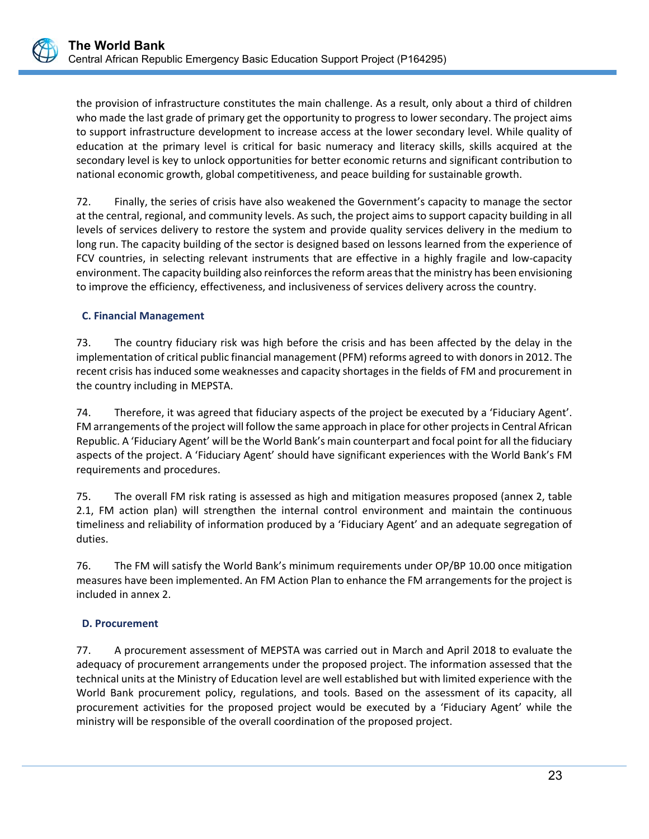the provision of infrastructure constitutes the main challenge. As a result, only about a third of children who made the last grade of primary get the opportunity to progress to lower secondary. The project aims to support infrastructure development to increase access at the lower secondary level. While quality of education at the primary level is critical for basic numeracy and literacy skills, skills acquired at the secondary level is key to unlock opportunities for better economic returns and significant contribution to national economic growth, global competitiveness, and peace building for sustainable growth.

72. Finally, the series of crisis have also weakened the Government's capacity to manage the sector at the central, regional, and community levels. As such, the project aims to support capacity building in all levels of services delivery to restore the system and provide quality services delivery in the medium to long run. The capacity building of the sector is designed based on lessons learned from the experience of FCV countries, in selecting relevant instruments that are effective in a highly fragile and low-capacity environment. The capacity building also reinforces the reform areas that the ministry has been envisioning to improve the efficiency, effectiveness, and inclusiveness of services delivery across the country.

# **C. Financial Management**

73. The country fiduciary risk was high before the crisis and has been affected by the delay in the implementation of critical public financial management (PFM) reforms agreed to with donors in 2012. The recent crisis has induced some weaknesses and capacity shortages in the fields of FM and procurement in the country including in MEPSTA.

74. Therefore, it was agreed that fiduciary aspects of the project be executed by a 'Fiduciary Agent'. FM arrangements of the project will follow the same approach in place for other projects in Central African Republic. A 'Fiduciary Agent' will be the World Bank's main counterpart and focal point for all the fiduciary aspects of the project. A 'Fiduciary Agent' should have significant experiences with the World Bank's FM requirements and procedures.

75. The overall FM risk rating is assessed as high and mitigation measures proposed (annex 2, table 2.1, FM action plan) will strengthen the internal control environment and maintain the continuous timeliness and reliability of information produced by a 'Fiduciary Agent' and an adequate segregation of duties.

76. The FM will satisfy the World Bank's minimum requirements under OP/BP 10.00 once mitigation measures have been implemented. An FM Action Plan to enhance the FM arrangements for the project is included in annex 2.

# **D. Procurement**

77. A procurement assessment of MEPSTA was carried out in March and April 2018 to evaluate the adequacy of procurement arrangements under the proposed project. The information assessed that the technical units at the Ministry of Education level are well established but with limited experience with the World Bank procurement policy, regulations, and tools. Based on the assessment of its capacity, all procurement activities for the proposed project would be executed by a 'Fiduciary Agent' while the ministry will be responsible of the overall coordination of the proposed project.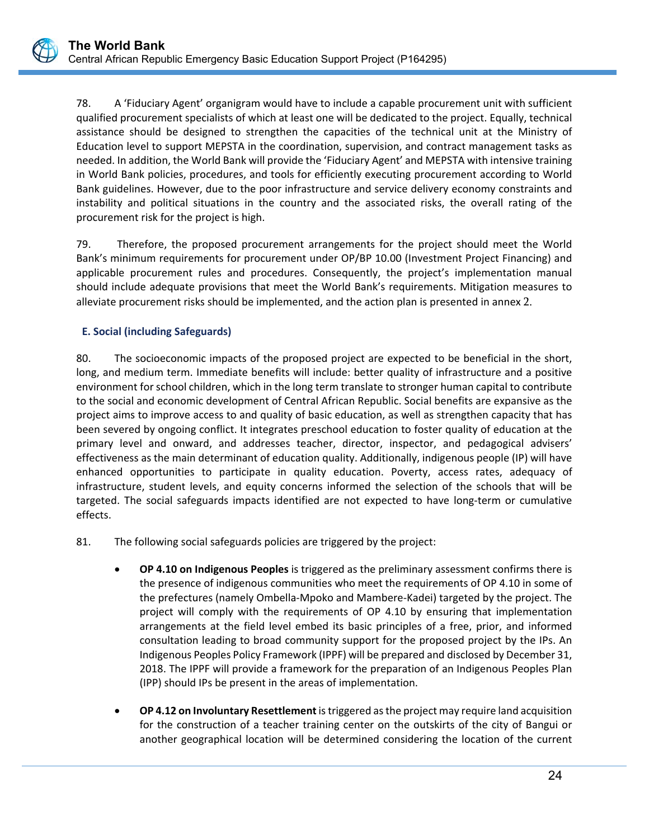78. A 'Fiduciary Agent' organigram would have to include a capable procurement unit with sufficient qualified procurement specialists of which at least one will be dedicated to the project. Equally, technical assistance should be designed to strengthen the capacities of the technical unit at the Ministry of Education level to support MEPSTA in the coordination, supervision, and contract management tasks as needed. In addition, the World Bank will provide the 'Fiduciary Agent' and MEPSTA with intensive training in World Bank policies, procedures, and tools for efficiently executing procurement according to World Bank guidelines. However, due to the poor infrastructure and service delivery economy constraints and instability and political situations in the country and the associated risks, the overall rating of the procurement risk for the project is high.

79. Therefore, the proposed procurement arrangements for the project should meet the World Bank's minimum requirements for procurement under OP/BP 10.00 (Investment Project Financing) and applicable procurement rules and procedures. Consequently, the project's implementation manual should include adequate provisions that meet the World Bank's requirements. Mitigation measures to alleviate procurement risks should be implemented, and the action plan is presented in annex 2.

# **E. Social (including Safeguards)**

80. The socioeconomic impacts of the proposed project are expected to be beneficial in the short, long, and medium term. Immediate benefits will include: better quality of infrastructure and a positive environment for school children, which in the long term translate to stronger human capital to contribute to the social and economic development of Central African Republic. Social benefits are expansive as the project aims to improve access to and quality of basic education, as well as strengthen capacity that has been severed by ongoing conflict. It integrates preschool education to foster quality of education at the primary level and onward, and addresses teacher, director, inspector, and pedagogical advisers' effectiveness as the main determinant of education quality. Additionally, indigenous people (IP) will have enhanced opportunities to participate in quality education. Poverty, access rates, adequacy of infrastructure, student levels, and equity concerns informed the selection of the schools that will be targeted. The social safeguards impacts identified are not expected to have long-term or cumulative effects.

- 81. The following social safeguards policies are triggered by the project:
	- **OP 4.10 on Indigenous Peoples** is triggered as the preliminary assessment confirms there is the presence of indigenous communities who meet the requirements of OP 4.10 in some of the prefectures (namely Ombella‐Mpoko and Mambere‐Kadei) targeted by the project. The project will comply with the requirements of OP 4.10 by ensuring that implementation arrangements at the field level embed its basic principles of a free, prior, and informed consultation leading to broad community support for the proposed project by the IPs. An Indigenous Peoples Policy Framework (IPPF) will be prepared and disclosed by December 31, 2018. The IPPF will provide a framework for the preparation of an Indigenous Peoples Plan (IPP) should IPs be present in the areas of implementation.
	- **OP 4.12 on Involuntary Resettlement** is triggered as the project may require land acquisition for the construction of a teacher training center on the outskirts of the city of Bangui or another geographical location will be determined considering the location of the current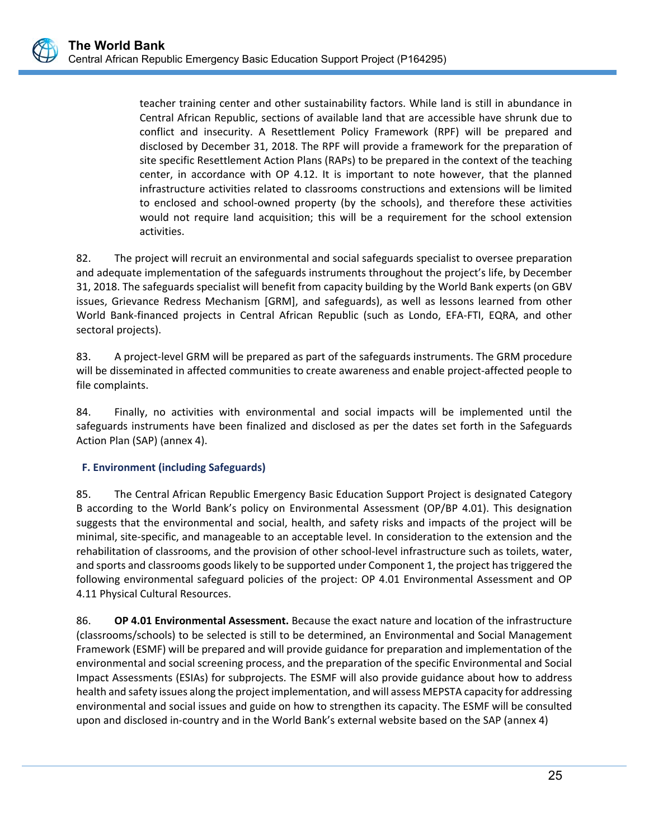teacher training center and other sustainability factors. While land is still in abundance in Central African Republic, sections of available land that are accessible have shrunk due to conflict and insecurity. A Resettlement Policy Framework (RPF) will be prepared and disclosed by December 31, 2018. The RPF will provide a framework for the preparation of site specific Resettlement Action Plans (RAPs) to be prepared in the context of the teaching center, in accordance with OP 4.12. It is important to note however, that the planned infrastructure activities related to classrooms constructions and extensions will be limited to enclosed and school-owned property (by the schools), and therefore these activities would not require land acquisition; this will be a requirement for the school extension activities.

82. The project will recruit an environmental and social safeguards specialist to oversee preparation and adequate implementation of the safeguards instruments throughout the project's life, by December 31, 2018. The safeguards specialist will benefit from capacity building by the World Bank experts (on GBV issues, Grievance Redress Mechanism [GRM], and safeguards), as well as lessons learned from other World Bank‐financed projects in Central African Republic (such as Londo, EFA‐FTI, EQRA, and other sectoral projects).

83. A project-level GRM will be prepared as part of the safeguards instruments. The GRM procedure will be disseminated in affected communities to create awareness and enable project‐affected people to file complaints.

84. Finally, no activities with environmental and social impacts will be implemented until the safeguards instruments have been finalized and disclosed as per the dates set forth in the Safeguards Action Plan (SAP) (annex 4).

# **F. Environment (including Safeguards)**

85. The Central African Republic Emergency Basic Education Support Project is designated Category B according to the World Bank's policy on Environmental Assessment (OP/BP 4.01). This designation suggests that the environmental and social, health, and safety risks and impacts of the project will be minimal, site‐specific, and manageable to an acceptable level. In consideration to the extension and the rehabilitation of classrooms, and the provision of other school-level infrastructure such as toilets, water, and sports and classrooms goods likely to be supported under Component 1, the project has triggered the following environmental safeguard policies of the project: OP 4.01 Environmental Assessment and OP 4.11 Physical Cultural Resources.

86. **OP 4.01 Environmental Assessment.** Because the exact nature and location of the infrastructure (classrooms/schools) to be selected is still to be determined, an Environmental and Social Management Framework (ESMF) will be prepared and will provide guidance for preparation and implementation of the environmental and social screening process, and the preparation of the specific Environmental and Social Impact Assessments (ESIAs) for subprojects. The ESMF will also provide guidance about how to address health and safety issues along the project implementation, and will assess MEPSTA capacity for addressing environmental and social issues and guide on how to strengthen its capacity. The ESMF will be consulted upon and disclosed in‐country and in the World Bank's external website based on the SAP (annex 4)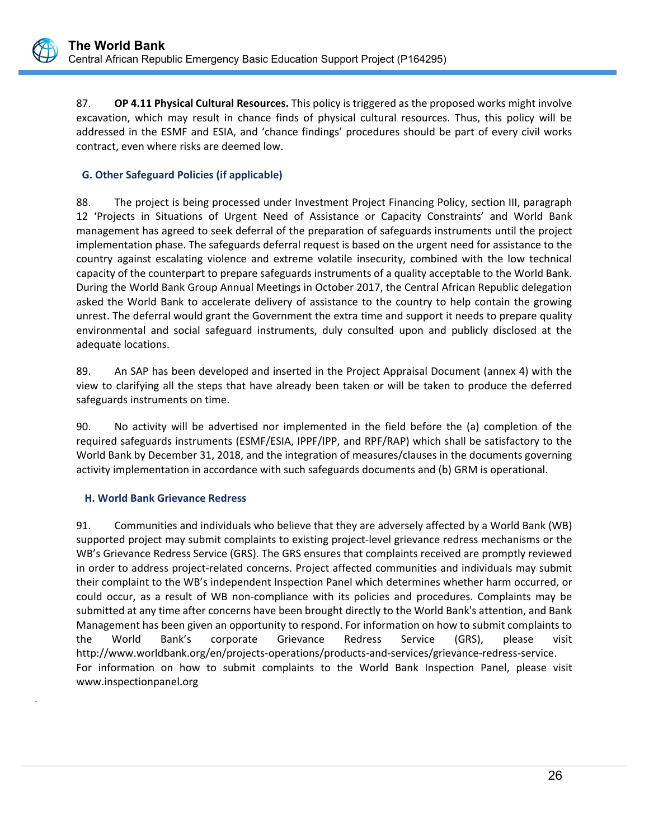

.

87. **OP 4.11 Physical Cultural Resources.** This policy is triggered as the proposed works might involve excavation, which may result in chance finds of physical cultural resources. Thus, this policy will be addressed in the ESMF and ESIA, and 'chance findings' procedures should be part of every civil works contract, even where risks are deemed low.

# **G. Other Safeguard Policies (if applicable)**

88. The project is being processed under Investment Project Financing Policy, section III, paragraph 12 'Projects in Situations of Urgent Need of Assistance or Capacity Constraints' and World Bank management has agreed to seek deferral of the preparation of safeguards instruments until the project implementation phase. The safeguards deferral request is based on the urgent need for assistance to the country against escalating violence and extreme volatile insecurity, combined with the low technical capacity of the counterpart to prepare safeguards instruments of a quality acceptable to the World Bank. During the World Bank Group Annual Meetings in October 2017, the Central African Republic delegation asked the World Bank to accelerate delivery of assistance to the country to help contain the growing unrest. The deferral would grant the Government the extra time and support it needs to prepare quality environmental and social safeguard instruments, duly consulted upon and publicly disclosed at the adequate locations.

89. An SAP has been developed and inserted in the Project Appraisal Document (annex 4) with the view to clarifying all the steps that have already been taken or will be taken to produce the deferred safeguards instruments on time.

90. No activity will be advertised nor implemented in the field before the (a) completion of the required safeguards instruments (ESMF/ESIA, IPPF/IPP, and RPF/RAP) which shall be satisfactory to the World Bank by December 31, 2018, and the integration of measures/clauses in the documents governing activity implementation in accordance with such safeguards documents and (b) GRM is operational.

# **H. World Bank Grievance Redress**

91. Communities and individuals who believe that they are adversely affected by a World Bank (WB) supported project may submit complaints to existing project-level grievance redress mechanisms or the WB's Grievance Redress Service (GRS). The GRS ensures that complaints received are promptly reviewed in order to address project‐related concerns. Project affected communities and individuals may submit their complaint to the WB's independent Inspection Panel which determines whether harm occurred, or could occur, as a result of WB non-compliance with its policies and procedures. Complaints may be submitted at any time after concerns have been brought directly to the World Bank's attention, and Bank Management has been given an opportunity to respond. For information on how to submit complaints to the World Bank's corporate Grievance Redress Service (GRS), please visit http://www.worldbank.org/en/projects‐operations/products‐and‐services/grievance‐redress‐service. For information on how to submit complaints to the World Bank Inspection Panel, please visit www.inspectionpanel.org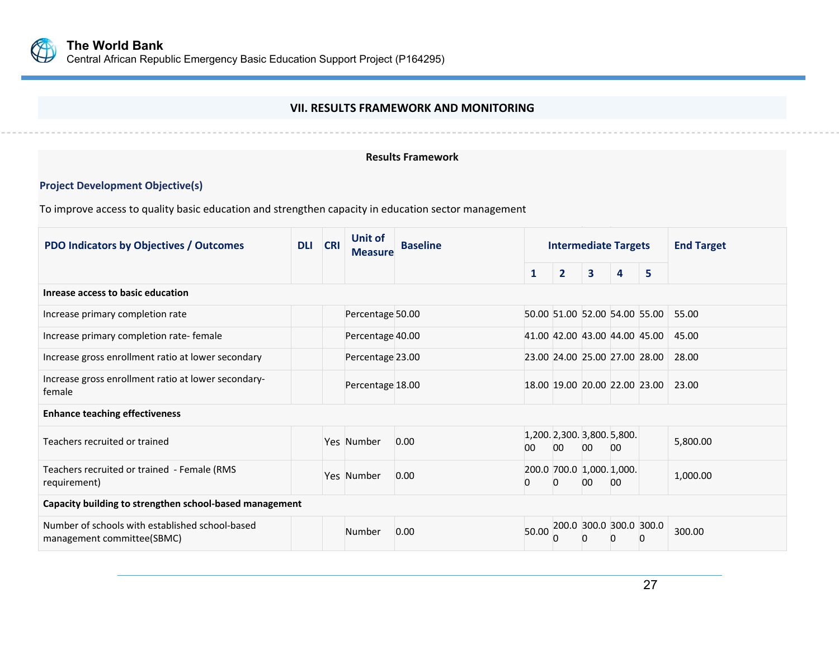

### **VII. RESULTS FRAMEWORK AND MONITORING**

#### **Results Framework**

# **Project Development Objective(s)**

To improve access to quality basic education and strengthen capacity in education sector management

| PDO Indicators by Objectives / Outcomes                                       | <b>DLI</b> | <b>CRI</b> | Unit of<br><b>Measure</b> | <b>Baseline</b> | <b>Intermediate Targets</b> |                |                         |                                 |                               | <b>End Target</b> |
|-------------------------------------------------------------------------------|------------|------------|---------------------------|-----------------|-----------------------------|----------------|-------------------------|---------------------------------|-------------------------------|-------------------|
|                                                                               |            |            |                           |                 | $\mathbf{1}$                | $\overline{2}$ | $\overline{\mathbf{3}}$ | 4                               | 5                             |                   |
| Inrease access to basic education                                             |            |            |                           |                 |                             |                |                         |                                 |                               |                   |
| Increase primary completion rate                                              |            |            | Percentage 50.00          |                 |                             |                |                         |                                 | 50.00 51.00 52.00 54.00 55.00 | 55.00             |
| Increase primary completion rate-female                                       |            |            | Percentage 40.00          |                 |                             |                |                         | 41.00 42.00 43.00 44.00 45.00   |                               | 45.00             |
| Increase gross enrollment ratio at lower secondary                            |            |            | Percentage 23.00          |                 |                             |                |                         | 23.00 24.00 25.00 27.00 28.00   |                               | 28.00             |
| Increase gross enrollment ratio at lower secondary-<br>female                 |            |            | Percentage 18.00          |                 |                             |                |                         |                                 | 18.00 19.00 20.00 22.00 23.00 | 23.00             |
| <b>Enhance teaching effectiveness</b>                                         |            |            |                           |                 |                             |                |                         |                                 |                               |                   |
| Teachers recruited or trained                                                 |            |            | Yes Number                | 0.00            | 00                          | 00             | 00                      | 1,200.2,300.3,800.5,800.<br>00  |                               | 5,800.00          |
| Teachers recruited or trained - Female (RMS<br>requirement)                   |            |            | Yes Number                | 0.00            | 0                           | 0              | 00                      | 200.0 700.0 1,000. 1,000.<br>00 |                               | 1,000.00          |
| Capacity building to strengthen school-based management                       |            |            |                           |                 |                             |                |                         |                                 |                               |                   |
| Number of schools with established school-based<br>management committee(SBMC) |            |            | Number                    | 0.00            | 50.00                       |                |                         | 200.0 300.0 300.0 300.0         | 0                             | 300.00            |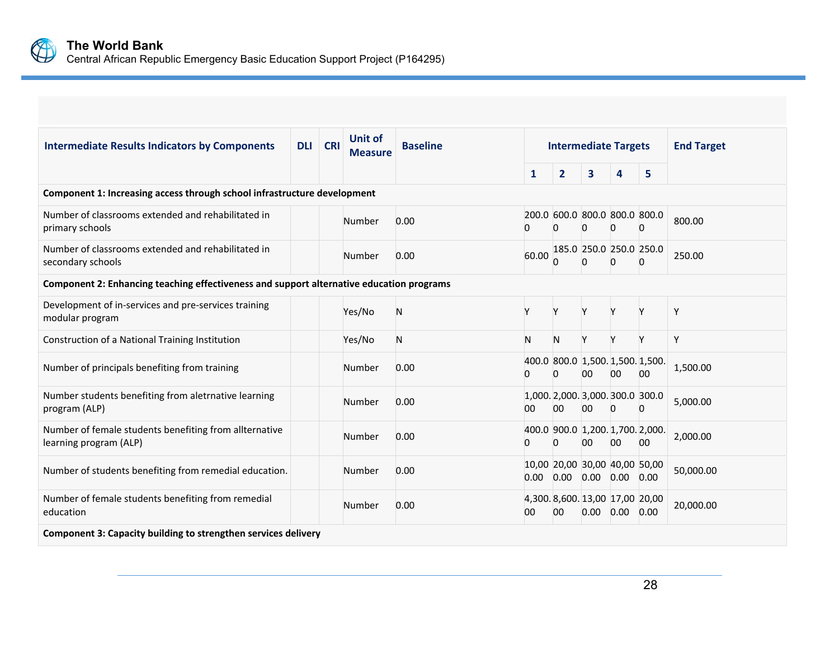

| <b>Intermediate Results Indicators by Components</b>                                     | <b>DLI</b> | <b>CRI</b> | Unit of<br><b>Measure</b> | <b>Baseline</b> |              |                                         |              | <b>Intermediate Targets</b>                          | <b>End Target</b>                      |           |
|------------------------------------------------------------------------------------------|------------|------------|---------------------------|-----------------|--------------|-----------------------------------------|--------------|------------------------------------------------------|----------------------------------------|-----------|
|                                                                                          |            |            |                           |                 | $\mathbf{1}$ | $\overline{2}$                          | 3            | 4                                                    | 5                                      |           |
| Component 1: Increasing access through school infrastructure development                 |            |            |                           |                 |              |                                         |              |                                                      |                                        |           |
| Number of classrooms extended and rehabilitated in<br>primary schools                    |            |            | Number                    | 0.00            | 0            | $\Omega$                                | $\Omega$     | 200.0 600.0 800.0 800.0 800.0<br>$\Omega$            | $\mathbf 0$                            | 800.00    |
| Number of classrooms extended and rehabilitated in<br>secondary schools                  |            |            | Number                    | 0.00            | 60.00        | n.                                      | <sup>0</sup> | 185.0 250.0 250.0 250.0<br>$\Omega$                  | $\Omega$                               | 250.00    |
| Component 2: Enhancing teaching effectiveness and support alternative education programs |            |            |                           |                 |              |                                         |              |                                                      |                                        |           |
| Development of in-services and pre-services training<br>modular program                  |            |            | Yes/No                    | N               |              |                                         |              |                                                      | Y                                      | Y         |
| Construction of a National Training Institution                                          |            |            | Yes/No                    | N               | N            | N                                       | Y            | Y                                                    | Y                                      | Y         |
| Number of principals benefiting from training                                            |            |            | Number                    | 0.00            | $\Omega$     | $\Omega$                                | 00           | 00                                                   | 400.0 800.0 1,500. 1,500. 1,500.<br>00 | 1,500.00  |
| Number students benefiting from aletrnative learning<br>program (ALP)                    |            |            | Number                    | 0.00            | 00           | 00                                      | 00           | $1,000.$ 2,000. 3,000. 300.0 300.0<br>$\overline{0}$ | $\mathbf 0$                            | 5,000.00  |
| Number of female students benefiting from allternative<br>learning program (ALP)         |            |            | Number                    | 0.00            | $\Omega$     | $\Omega$                                | 00           | 00                                                   | 400.0 900.0 1,200. 1,700. 2,000.<br>00 | 2,000.00  |
| Number of students benefiting from remedial education.                                   |            |            | Number                    | 0.00            |              | $0.00 \quad 0.00 \quad 0.00 \quad 0.00$ |              | 10,00 20,00 30,00 40,00 50,00                        | 0.00                                   | 50,000.00 |
| Number of female students benefiting from remedial<br>education                          |            |            | Number                    | 0.00            | 00           | 00                                      | 0.00         | 4,300.8,600.13,00 17,00 20,00<br>0.00                | 0.00                                   | 20,000.00 |
| Component 3: Capacity building to strengthen services delivery                           |            |            |                           |                 |              |                                         |              |                                                      |                                        |           |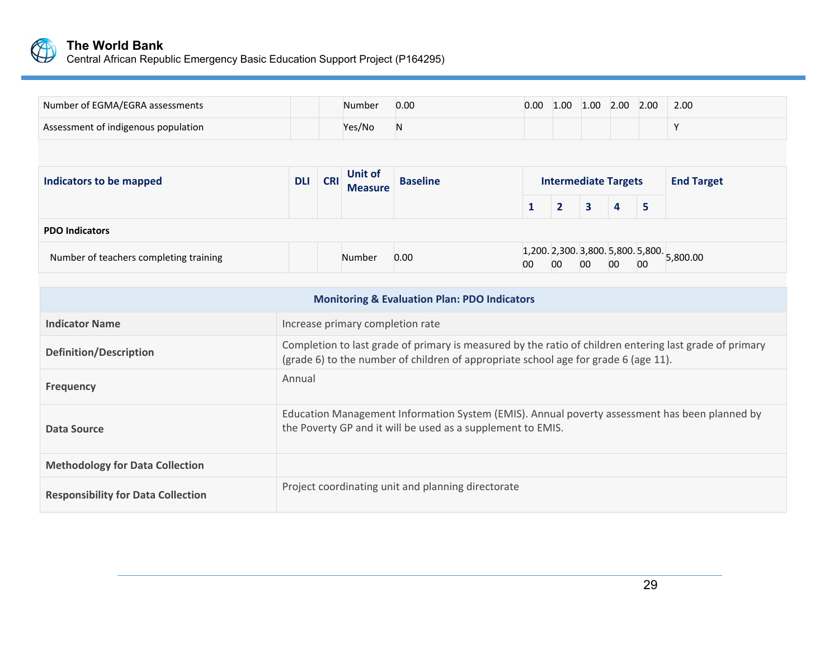

**The World Bank** Central African Republic Emergency Basic Education Support Project (P164295)

| Number of EGMA/EGRA assessments           |                                                                                                                                                                                                |  | Number | 0.00                                                    |              |                | $0.00$ 1.00 1.00 2.00 2.00  |                   |    | 2.00                                        |
|-------------------------------------------|------------------------------------------------------------------------------------------------------------------------------------------------------------------------------------------------|--|--------|---------------------------------------------------------|--------------|----------------|-----------------------------|-------------------|----|---------------------------------------------|
| Assessment of indigenous population       |                                                                                                                                                                                                |  | Yes/No | N                                                       |              |                |                             |                   |    | Y                                           |
|                                           |                                                                                                                                                                                                |  |        |                                                         |              |                |                             |                   |    |                                             |
| <b>Indicators to be mapped</b>            | <b>Unit of</b><br><b>CRI</b><br><b>DLI</b><br><b>Baseline</b><br><b>Measure</b>                                                                                                                |  |        |                                                         |              |                | <b>Intermediate Targets</b> | <b>End Target</b> |    |                                             |
|                                           |                                                                                                                                                                                                |  |        |                                                         | $\mathbf{1}$ | $\overline{2}$ | 3                           | 4                 | 5  |                                             |
| <b>PDO Indicators</b>                     |                                                                                                                                                                                                |  |        |                                                         |              |                |                             |                   |    |                                             |
| Number of teachers completing training    |                                                                                                                                                                                                |  | Number | 0.00                                                    | 00           | 00             | 00                          | 00                | 00 | 1,200. 2,300. 3,800. 5,800. 5,800. 5,800.00 |
|                                           |                                                                                                                                                                                                |  |        |                                                         |              |                |                             |                   |    |                                             |
|                                           |                                                                                                                                                                                                |  |        | <b>Monitoring &amp; Evaluation Plan: PDO Indicators</b> |              |                |                             |                   |    |                                             |
| <b>Indicator Name</b>                     | Increase primary completion rate                                                                                                                                                               |  |        |                                                         |              |                |                             |                   |    |                                             |
| <b>Definition/Description</b>             | Completion to last grade of primary is measured by the ratio of children entering last grade of primary<br>(grade 6) to the number of children of appropriate school age for grade 6 (age 11). |  |        |                                                         |              |                |                             |                   |    |                                             |
| <b>Frequency</b>                          | Annual                                                                                                                                                                                         |  |        |                                                         |              |                |                             |                   |    |                                             |
| Data Source                               | Education Management Information System (EMIS). Annual poverty assessment has been planned by<br>the Poverty GP and it will be used as a supplement to EMIS.                                   |  |        |                                                         |              |                |                             |                   |    |                                             |
| <b>Methodology for Data Collection</b>    |                                                                                                                                                                                                |  |        |                                                         |              |                |                             |                   |    |                                             |
| <b>Responsibility for Data Collection</b> | Project coordinating unit and planning directorate                                                                                                                                             |  |        |                                                         |              |                |                             |                   |    |                                             |
|                                           |                                                                                                                                                                                                |  |        |                                                         |              |                |                             |                   |    |                                             |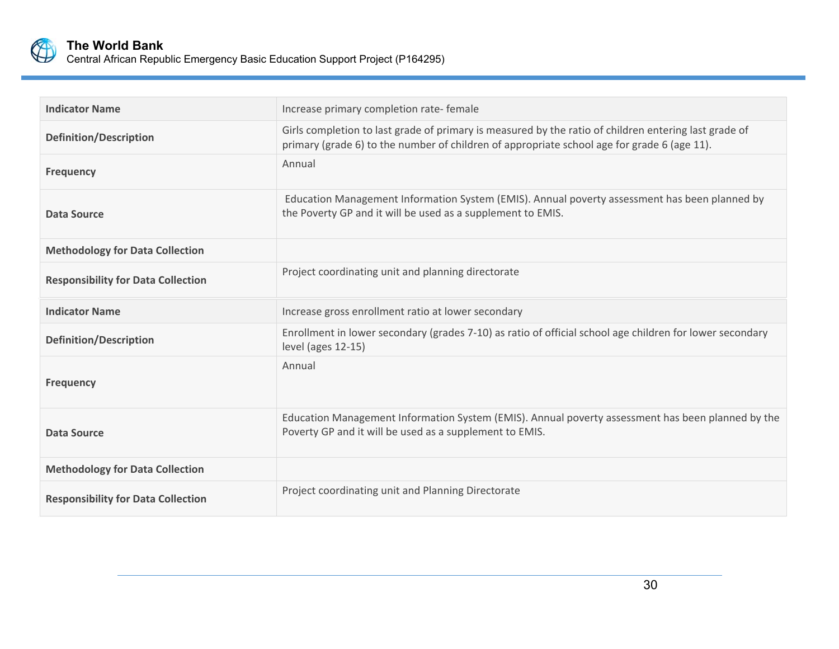

| <b>Indicator Name</b>                     | Increase primary completion rate-female                                                                                                                                                              |
|-------------------------------------------|------------------------------------------------------------------------------------------------------------------------------------------------------------------------------------------------------|
| <b>Definition/Description</b>             | Girls completion to last grade of primary is measured by the ratio of children entering last grade of<br>primary (grade 6) to the number of children of appropriate school age for grade 6 (age 11). |
| <b>Frequency</b>                          | Annual                                                                                                                                                                                               |
| <b>Data Source</b>                        | Education Management Information System (EMIS). Annual poverty assessment has been planned by<br>the Poverty GP and it will be used as a supplement to EMIS.                                         |
| <b>Methodology for Data Collection</b>    |                                                                                                                                                                                                      |
| <b>Responsibility for Data Collection</b> | Project coordinating unit and planning directorate                                                                                                                                                   |
| <b>Indicator Name</b>                     | Increase gross enrollment ratio at lower secondary                                                                                                                                                   |
| <b>Definition/Description</b>             | Enrollment in lower secondary (grades 7-10) as ratio of official school age children for lower secondary<br>level (ages 12-15)                                                                       |
| <b>Frequency</b>                          | Annual                                                                                                                                                                                               |
| <b>Data Source</b>                        | Education Management Information System (EMIS). Annual poverty assessment has been planned by the<br>Poverty GP and it will be used as a supplement to EMIS.                                         |
| <b>Methodology for Data Collection</b>    |                                                                                                                                                                                                      |
| <b>Responsibility for Data Collection</b> | Project coordinating unit and Planning Directorate                                                                                                                                                   |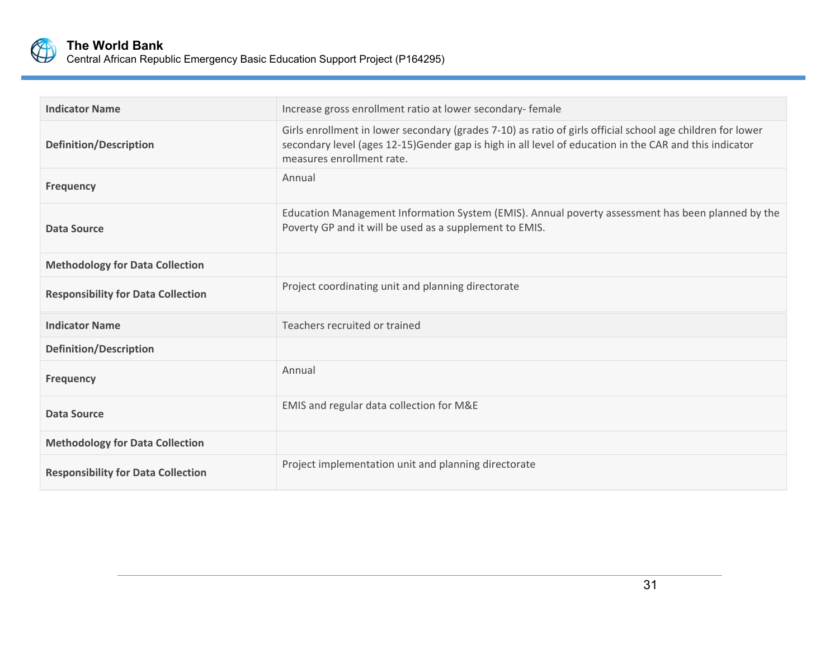

| <b>Indicator Name</b>                     | Increase gross enrollment ratio at lower secondary- female                                                                                                                                                                                         |
|-------------------------------------------|----------------------------------------------------------------------------------------------------------------------------------------------------------------------------------------------------------------------------------------------------|
| <b>Definition/Description</b>             | Girls enrollment in lower secondary (grades 7-10) as ratio of girls official school age children for lower<br>secondary level (ages 12-15) Gender gap is high in all level of education in the CAR and this indicator<br>measures enrollment rate. |
| <b>Frequency</b>                          | Annual                                                                                                                                                                                                                                             |
| <b>Data Source</b>                        | Education Management Information System (EMIS). Annual poverty assessment has been planned by the<br>Poverty GP and it will be used as a supplement to EMIS.                                                                                       |
| <b>Methodology for Data Collection</b>    |                                                                                                                                                                                                                                                    |
| <b>Responsibility for Data Collection</b> | Project coordinating unit and planning directorate                                                                                                                                                                                                 |
| <b>Indicator Name</b>                     | Teachers recruited or trained                                                                                                                                                                                                                      |
| <b>Definition/Description</b>             |                                                                                                                                                                                                                                                    |
| <b>Frequency</b>                          | Annual                                                                                                                                                                                                                                             |
| <b>Data Source</b>                        | EMIS and regular data collection for M&E                                                                                                                                                                                                           |
| <b>Methodology for Data Collection</b>    |                                                                                                                                                                                                                                                    |
| <b>Responsibility for Data Collection</b> | Project implementation unit and planning directorate                                                                                                                                                                                               |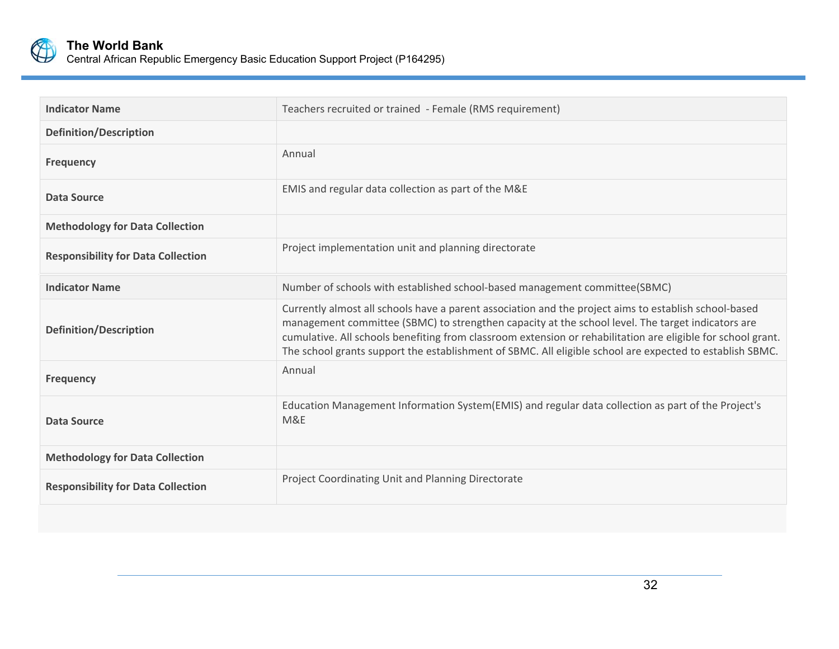

| <b>Indicator Name</b>                     | Teachers recruited or trained - Female (RMS requirement)                                                                                                                                                                                                                                                                                                                                                                               |
|-------------------------------------------|----------------------------------------------------------------------------------------------------------------------------------------------------------------------------------------------------------------------------------------------------------------------------------------------------------------------------------------------------------------------------------------------------------------------------------------|
| <b>Definition/Description</b>             |                                                                                                                                                                                                                                                                                                                                                                                                                                        |
| <b>Frequency</b>                          | Annual                                                                                                                                                                                                                                                                                                                                                                                                                                 |
| <b>Data Source</b>                        | EMIS and regular data collection as part of the M&E                                                                                                                                                                                                                                                                                                                                                                                    |
| <b>Methodology for Data Collection</b>    |                                                                                                                                                                                                                                                                                                                                                                                                                                        |
| <b>Responsibility for Data Collection</b> | Project implementation unit and planning directorate                                                                                                                                                                                                                                                                                                                                                                                   |
| <b>Indicator Name</b>                     | Number of schools with established school-based management committee(SBMC)                                                                                                                                                                                                                                                                                                                                                             |
| <b>Definition/Description</b>             | Currently almost all schools have a parent association and the project aims to establish school-based<br>management committee (SBMC) to strengthen capacity at the school level. The target indicators are<br>cumulative. All schools benefiting from classroom extension or rehabilitation are eligible for school grant.<br>The school grants support the establishment of SBMC. All eligible school are expected to establish SBMC. |
| <b>Frequency</b>                          | Annual                                                                                                                                                                                                                                                                                                                                                                                                                                 |
| <b>Data Source</b>                        | Education Management Information System(EMIS) and regular data collection as part of the Project's<br>M&E                                                                                                                                                                                                                                                                                                                              |
| <b>Methodology for Data Collection</b>    |                                                                                                                                                                                                                                                                                                                                                                                                                                        |
| <b>Responsibility for Data Collection</b> | Project Coordinating Unit and Planning Directorate                                                                                                                                                                                                                                                                                                                                                                                     |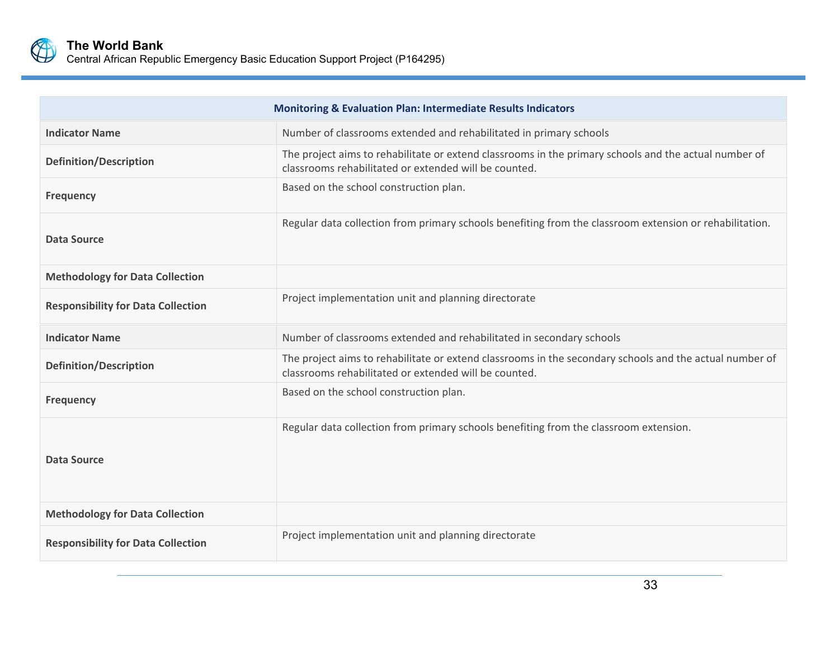

**The World Bank** Central African Republic Emergency Basic Education Support Project (P164295)

| <b>Monitoring &amp; Evaluation Plan: Intermediate Results Indicators</b> |                                                                                                                                                                  |  |  |  |  |  |
|--------------------------------------------------------------------------|------------------------------------------------------------------------------------------------------------------------------------------------------------------|--|--|--|--|--|
| <b>Indicator Name</b>                                                    | Number of classrooms extended and rehabilitated in primary schools                                                                                               |  |  |  |  |  |
| <b>Definition/Description</b>                                            | The project aims to rehabilitate or extend classrooms in the primary schools and the actual number of<br>classrooms rehabilitated or extended will be counted.   |  |  |  |  |  |
| <b>Frequency</b>                                                         | Based on the school construction plan.                                                                                                                           |  |  |  |  |  |
| <b>Data Source</b>                                                       | Regular data collection from primary schools benefiting from the classroom extension or rehabilitation.                                                          |  |  |  |  |  |
| <b>Methodology for Data Collection</b>                                   |                                                                                                                                                                  |  |  |  |  |  |
| <b>Responsibility for Data Collection</b>                                | Project implementation unit and planning directorate                                                                                                             |  |  |  |  |  |
| <b>Indicator Name</b>                                                    | Number of classrooms extended and rehabilitated in secondary schools                                                                                             |  |  |  |  |  |
| <b>Definition/Description</b>                                            | The project aims to rehabilitate or extend classrooms in the secondary schools and the actual number of<br>classrooms rehabilitated or extended will be counted. |  |  |  |  |  |
| <b>Frequency</b>                                                         | Based on the school construction plan.                                                                                                                           |  |  |  |  |  |
| <b>Data Source</b>                                                       | Regular data collection from primary schools benefiting from the classroom extension.                                                                            |  |  |  |  |  |
| <b>Methodology for Data Collection</b>                                   |                                                                                                                                                                  |  |  |  |  |  |
| <b>Responsibility for Data Collection</b>                                | Project implementation unit and planning directorate                                                                                                             |  |  |  |  |  |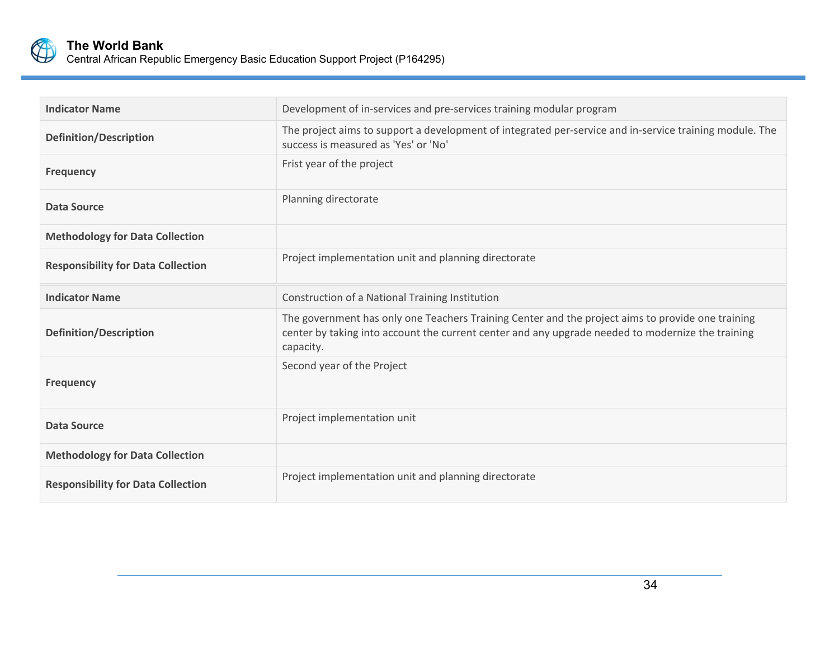

| <b>Indicator Name</b>                     | Development of in-services and pre-services training modular program                                                                                                                                                |
|-------------------------------------------|---------------------------------------------------------------------------------------------------------------------------------------------------------------------------------------------------------------------|
| <b>Definition/Description</b>             | The project aims to support a development of integrated per-service and in-service training module. The<br>success is measured as 'Yes' or 'No'                                                                     |
| <b>Frequency</b>                          | Frist year of the project                                                                                                                                                                                           |
| Data Source                               | Planning directorate                                                                                                                                                                                                |
| <b>Methodology for Data Collection</b>    |                                                                                                                                                                                                                     |
| <b>Responsibility for Data Collection</b> | Project implementation unit and planning directorate                                                                                                                                                                |
| <b>Indicator Name</b>                     | Construction of a National Training Institution                                                                                                                                                                     |
| <b>Definition/Description</b>             | The government has only one Teachers Training Center and the project aims to provide one training<br>center by taking into account the current center and any upgrade needed to modernize the training<br>capacity. |
| <b>Frequency</b>                          | Second year of the Project                                                                                                                                                                                          |
| <b>Data Source</b>                        | Project implementation unit                                                                                                                                                                                         |
| <b>Methodology for Data Collection</b>    |                                                                                                                                                                                                                     |
| <b>Responsibility for Data Collection</b> | Project implementation unit and planning directorate                                                                                                                                                                |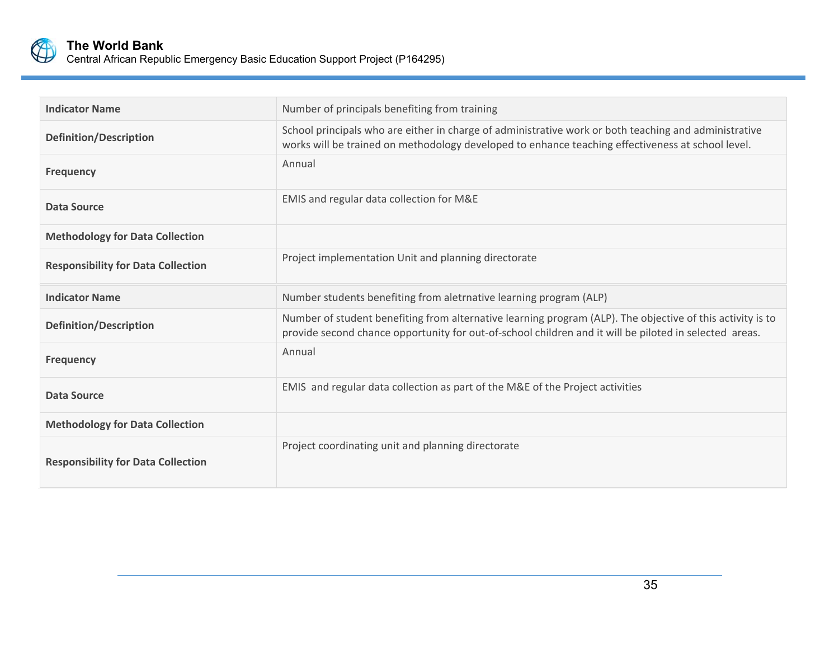

| <b>Indicator Name</b>                     | Number of principals benefiting from training                                                                                                                                                                        |
|-------------------------------------------|----------------------------------------------------------------------------------------------------------------------------------------------------------------------------------------------------------------------|
| <b>Definition/Description</b>             | School principals who are either in charge of administrative work or both teaching and administrative<br>works will be trained on methodology developed to enhance teaching effectiveness at school level.           |
| <b>Frequency</b>                          | Annual                                                                                                                                                                                                               |
| <b>Data Source</b>                        | EMIS and regular data collection for M&E                                                                                                                                                                             |
| <b>Methodology for Data Collection</b>    |                                                                                                                                                                                                                      |
| <b>Responsibility for Data Collection</b> | Project implementation Unit and planning directorate                                                                                                                                                                 |
| <b>Indicator Name</b>                     | Number students benefiting from aletrnative learning program (ALP)                                                                                                                                                   |
| <b>Definition/Description</b>             | Number of student benefiting from alternative learning program (ALP). The objective of this activity is to<br>provide second chance opportunity for out-of-school children and it will be piloted in selected areas. |
| <b>Frequency</b>                          | Annual                                                                                                                                                                                                               |
| Data Source                               | EMIS and regular data collection as part of the M&E of the Project activities                                                                                                                                        |
| <b>Methodology for Data Collection</b>    |                                                                                                                                                                                                                      |
| <b>Responsibility for Data Collection</b> | Project coordinating unit and planning directorate                                                                                                                                                                   |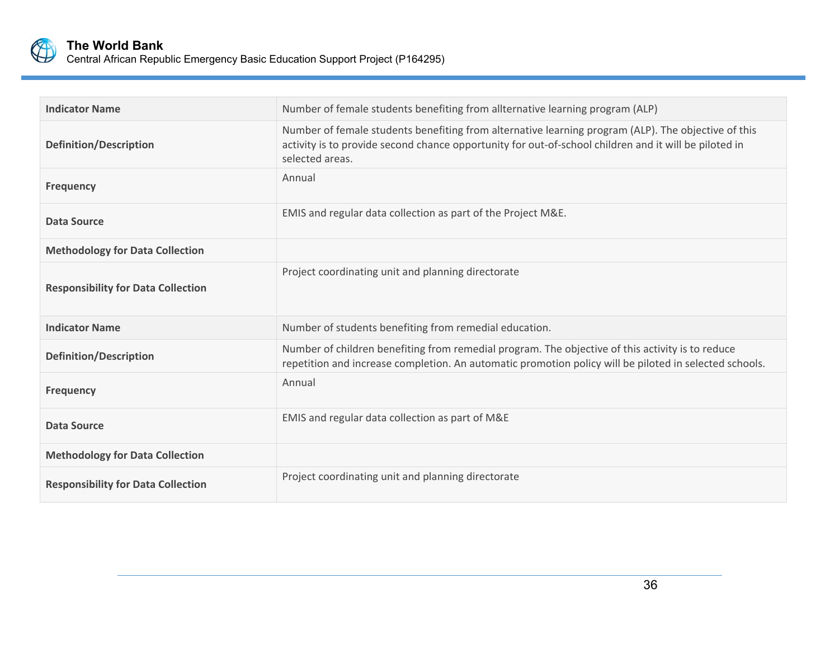

| <b>Indicator Name</b>                     | Number of female students benefiting from allternative learning program (ALP)                                                                                                                                                   |
|-------------------------------------------|---------------------------------------------------------------------------------------------------------------------------------------------------------------------------------------------------------------------------------|
| <b>Definition/Description</b>             | Number of female students benefiting from alternative learning program (ALP). The objective of this<br>activity is to provide second chance opportunity for out-of-school children and it will be piloted in<br>selected areas. |
| <b>Frequency</b>                          | Annual                                                                                                                                                                                                                          |
| <b>Data Source</b>                        | EMIS and regular data collection as part of the Project M&E.                                                                                                                                                                    |
| <b>Methodology for Data Collection</b>    |                                                                                                                                                                                                                                 |
| <b>Responsibility for Data Collection</b> | Project coordinating unit and planning directorate                                                                                                                                                                              |
| <b>Indicator Name</b>                     | Number of students benefiting from remedial education.                                                                                                                                                                          |
| <b>Definition/Description</b>             | Number of children benefiting from remedial program. The objective of this activity is to reduce<br>repetition and increase completion. An automatic promotion policy will be piloted in selected schools.                      |
| <b>Frequency</b>                          | Annual                                                                                                                                                                                                                          |
| <b>Data Source</b>                        | EMIS and regular data collection as part of M&E                                                                                                                                                                                 |
| <b>Methodology for Data Collection</b>    |                                                                                                                                                                                                                                 |
| <b>Responsibility for Data Collection</b> | Project coordinating unit and planning directorate                                                                                                                                                                              |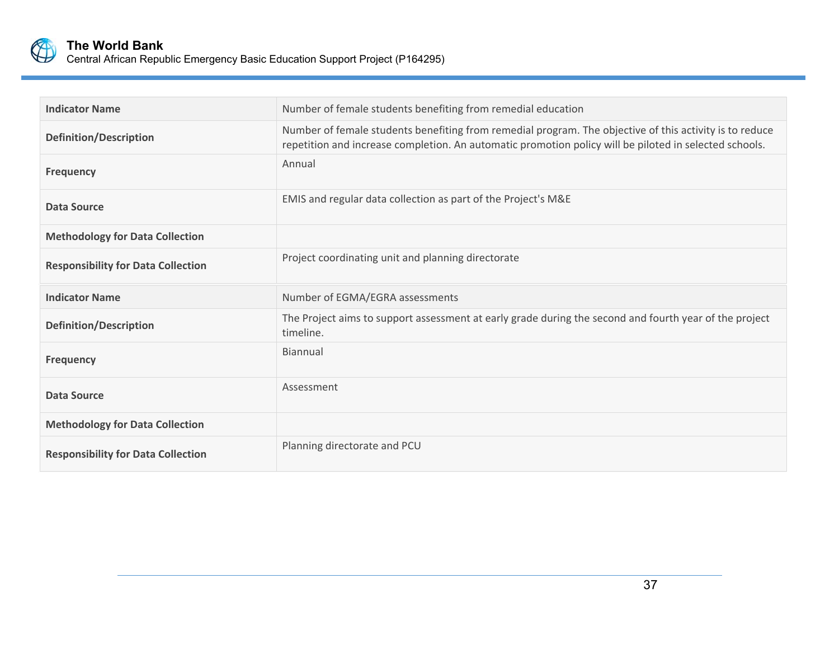

| <b>Indicator Name</b>                     | Number of female students benefiting from remedial education                                                                                                                                                      |
|-------------------------------------------|-------------------------------------------------------------------------------------------------------------------------------------------------------------------------------------------------------------------|
| <b>Definition/Description</b>             | Number of female students benefiting from remedial program. The objective of this activity is to reduce<br>repetition and increase completion. An automatic promotion policy will be piloted in selected schools. |
| <b>Frequency</b>                          | Annual                                                                                                                                                                                                            |
| Data Source                               | EMIS and regular data collection as part of the Project's M&E                                                                                                                                                     |
| <b>Methodology for Data Collection</b>    |                                                                                                                                                                                                                   |
| <b>Responsibility for Data Collection</b> | Project coordinating unit and planning directorate                                                                                                                                                                |
|                                           |                                                                                                                                                                                                                   |
| <b>Indicator Name</b>                     | Number of EGMA/EGRA assessments                                                                                                                                                                                   |
| <b>Definition/Description</b>             | The Project aims to support assessment at early grade during the second and fourth year of the project<br>timeline.                                                                                               |
| <b>Frequency</b>                          | Biannual                                                                                                                                                                                                          |
| Data Source                               | Assessment                                                                                                                                                                                                        |
| <b>Methodology for Data Collection</b>    |                                                                                                                                                                                                                   |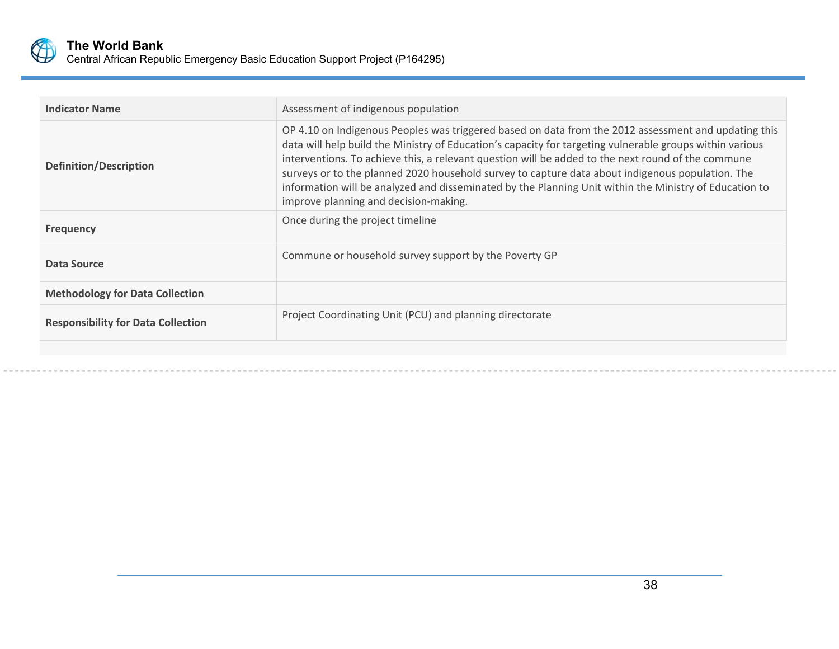

| <b>Indicator Name</b>                     | Assessment of indigenous population                                                                                                                                                                                                                                                                                                                                                                                                                                                                                                                                           |
|-------------------------------------------|-------------------------------------------------------------------------------------------------------------------------------------------------------------------------------------------------------------------------------------------------------------------------------------------------------------------------------------------------------------------------------------------------------------------------------------------------------------------------------------------------------------------------------------------------------------------------------|
| <b>Definition/Description</b>             | OP 4.10 on Indigenous Peoples was triggered based on data from the 2012 assessment and updating this<br>data will help build the Ministry of Education's capacity for targeting vulnerable groups within various<br>interventions. To achieve this, a relevant question will be added to the next round of the commune<br>surveys or to the planned 2020 household survey to capture data about indigenous population. The<br>information will be analyzed and disseminated by the Planning Unit within the Ministry of Education to<br>improve planning and decision-making. |
| <b>Frequency</b>                          | Once during the project timeline                                                                                                                                                                                                                                                                                                                                                                                                                                                                                                                                              |
| Data Source                               | Commune or household survey support by the Poverty GP                                                                                                                                                                                                                                                                                                                                                                                                                                                                                                                         |
| <b>Methodology for Data Collection</b>    |                                                                                                                                                                                                                                                                                                                                                                                                                                                                                                                                                                               |
| <b>Responsibility for Data Collection</b> | Project Coordinating Unit (PCU) and planning directorate                                                                                                                                                                                                                                                                                                                                                                                                                                                                                                                      |
|                                           |                                                                                                                                                                                                                                                                                                                                                                                                                                                                                                                                                                               |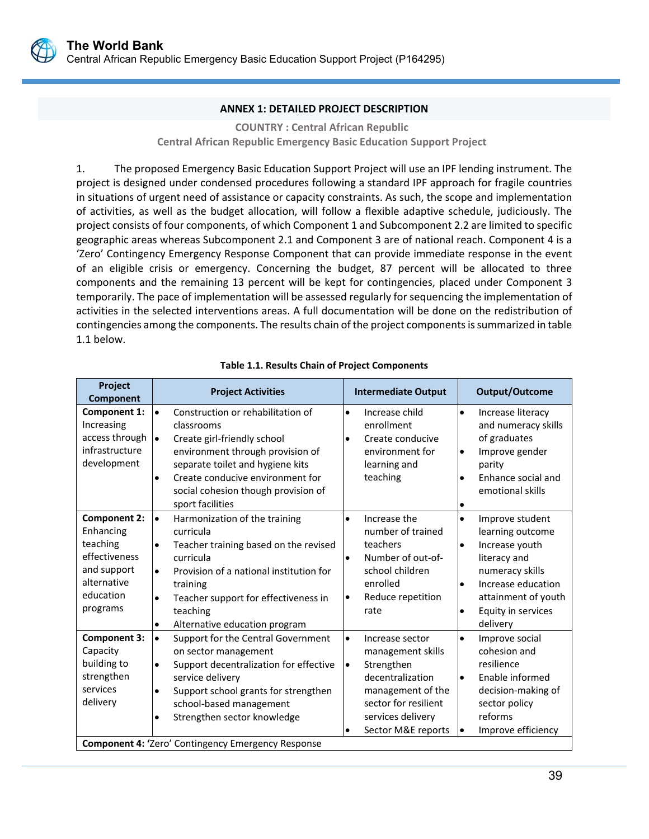#### **ANNEX 1: DETAILED PROJECT DESCRIPTION**

**COUNTRY : Central African Republic Central African Republic Emergency Basic Education Support Project** 

1. The proposed Emergency Basic Education Support Project will use an IPF lending instrument. The project is designed under condensed procedures following a standard IPF approach for fragile countries in situations of urgent need of assistance or capacity constraints. As such, the scope and implementation of activities, as well as the budget allocation, will follow a flexible adaptive schedule, judiciously. The project consists of four components, of which Component 1 and Subcomponent 2.2 are limited to specific geographic areas whereas Subcomponent 2.1 and Component 3 are of national reach. Component 4 is a 'Zero' Contingency Emergency Response Component that can provide immediate response in the event of an eligible crisis or emergency. Concerning the budget, 87 percent will be allocated to three components and the remaining 13 percent will be kept for contingencies, placed under Component 3 temporarily. The pace of implementation will be assessed regularly for sequencing the implementation of activities in the selected interventions areas. A full documentation will be done on the redistribution of contingencies among the components. The results chain of the project components is summarized in table 1.1 below.

| Project<br><b>Component</b>                                                                                          | <b>Project Activities</b>                                                                                                                                                                                                                                                                                                            | <b>Intermediate Output</b>                                                                                                                                                               | Output/Outcome                                                                                                                                                                                                 |
|----------------------------------------------------------------------------------------------------------------------|--------------------------------------------------------------------------------------------------------------------------------------------------------------------------------------------------------------------------------------------------------------------------------------------------------------------------------------|------------------------------------------------------------------------------------------------------------------------------------------------------------------------------------------|----------------------------------------------------------------------------------------------------------------------------------------------------------------------------------------------------------------|
| <b>Component 1:</b><br>Increasing<br>access through<br>infrastructure<br>development                                 | Construction or rehabilitation of<br>$\bullet$<br>classrooms<br>Create girl-friendly school<br>l o<br>environment through provision of<br>separate toilet and hygiene kits<br>Create conducive environment for<br>$\bullet$<br>social cohesion though provision of<br>sport facilities                                               | Increase child<br>$\bullet$<br>enrollment<br>Create conducive<br>$\bullet$<br>environment for<br>learning and<br>teaching                                                                | Increase literacy<br>$\bullet$<br>and numeracy skills<br>of graduates<br>Improve gender<br>$\bullet$<br>parity<br>Enhance social and<br>emotional skills                                                       |
| <b>Component 2:</b><br>Enhancing<br>teaching<br>effectiveness<br>and support<br>alternative<br>education<br>programs | Harmonization of the training<br>$\bullet$<br>curricula<br>Teacher training based on the revised<br>$\bullet$<br>curricula<br>Provision of a national institution for<br>$\bullet$<br>training<br>Teacher support for effectiveness in<br>$\bullet$<br>teaching<br>Alternative education program<br>$\bullet$                        | Increase the<br>$\bullet$<br>number of trained<br>teachers<br>Number of out-of-<br>$\bullet$<br>school children<br>enrolled<br>Reduce repetition<br>$\bullet$<br>rate                    | Improve student<br>$\bullet$<br>learning outcome<br>Increase youth<br>$\bullet$<br>literacy and<br>numeracy skills<br>Increase education<br>$\bullet$<br>attainment of youth<br>Equity in services<br>delivery |
| <b>Component 3:</b><br>Capacity<br>building to<br>strengthen<br>services<br>delivery                                 | Support for the Central Government<br>$\bullet$<br>on sector management<br>Support decentralization for effective<br>$\bullet$<br>service delivery<br>Support school grants for strengthen<br>$\bullet$<br>school-based management<br>Strengthen sector knowledge<br>$\bullet$<br>Component 4: 'Zero' Contingency Emergency Response | Increase sector<br>$\bullet$<br>management skills<br>Strengthen<br>$\bullet$<br>decentralization<br>management of the<br>sector for resilient<br>services delivery<br>Sector M&E reports | Improve social<br>$\bullet$<br>cohesion and<br>resilience<br>Enable informed<br>$\bullet$<br>decision-making of<br>sector policy<br>reforms<br>Improve efficiency<br>$\bullet$                                 |

 $\overline{a}$ 

### **Table 1.1. Results Chain of Project Components**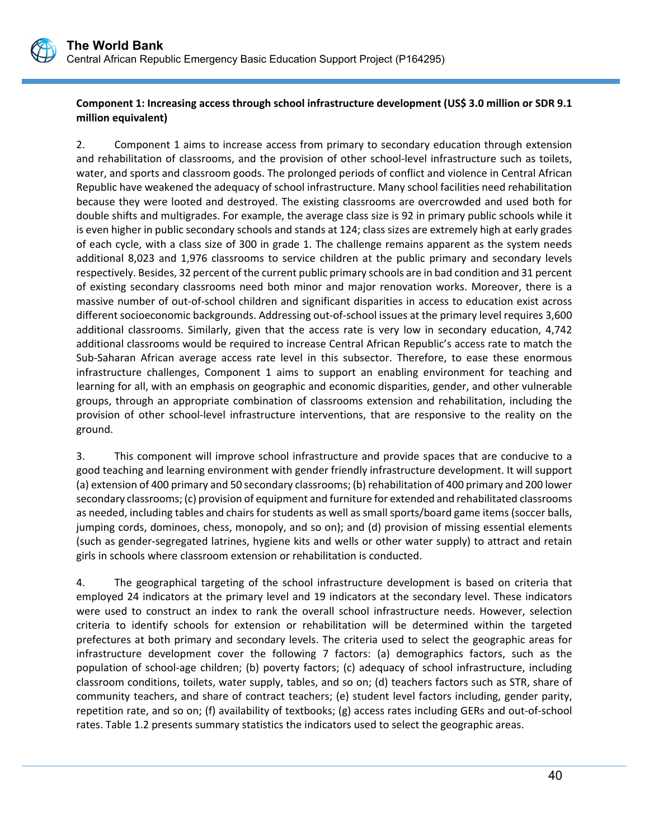

# **Component 1: Increasing access through school infrastructure development (US\$ 3.0 million or SDR 9.1 million equivalent)**

2. Component 1 aims to increase access from primary to secondary education through extension and rehabilitation of classrooms, and the provision of other school‐level infrastructure such as toilets, water, and sports and classroom goods. The prolonged periods of conflict and violence in Central African Republic have weakened the adequacy of school infrastructure. Many school facilities need rehabilitation because they were looted and destroyed. The existing classrooms are overcrowded and used both for double shifts and multigrades. For example, the average class size is 92 in primary public schools while it is even higher in public secondary schools and stands at 124; class sizes are extremely high at early grades of each cycle, with a class size of 300 in grade 1. The challenge remains apparent as the system needs additional 8,023 and 1,976 classrooms to service children at the public primary and secondary levels respectively. Besides, 32 percent of the current public primary schools are in bad condition and 31 percent of existing secondary classrooms need both minor and major renovation works. Moreover, there is a massive number of out‐of‐school children and significant disparities in access to education exist across different socioeconomic backgrounds. Addressing out‐of‐school issues at the primary level requires 3,600 additional classrooms. Similarly, given that the access rate is very low in secondary education, 4,742 additional classrooms would be required to increase Central African Republic's access rate to match the Sub‐Saharan African average access rate level in this subsector. Therefore, to ease these enormous infrastructure challenges, Component 1 aims to support an enabling environment for teaching and learning for all, with an emphasis on geographic and economic disparities, gender, and other vulnerable groups, through an appropriate combination of classrooms extension and rehabilitation, including the provision of other school-level infrastructure interventions, that are responsive to the reality on the ground.

3. This component will improve school infrastructure and provide spaces that are conducive to a good teaching and learning environment with gender friendly infrastructure development. It will support (a) extension of 400 primary and 50 secondary classrooms; (b) rehabilitation of 400 primary and 200 lower secondary classrooms; (c) provision of equipment and furniture for extended and rehabilitated classrooms as needed, including tables and chairs for students as well as small sports/board game items (soccer balls, jumping cords, dominoes, chess, monopoly, and so on); and (d) provision of missing essential elements (such as gender‐segregated latrines, hygiene kits and wells or other water supply) to attract and retain girls in schools where classroom extension or rehabilitation is conducted.

4. The geographical targeting of the school infrastructure development is based on criteria that employed 24 indicators at the primary level and 19 indicators at the secondary level. These indicators were used to construct an index to rank the overall school infrastructure needs. However, selection criteria to identify schools for extension or rehabilitation will be determined within the targeted prefectures at both primary and secondary levels. The criteria used to select the geographic areas for infrastructure development cover the following 7 factors: (a) demographics factors, such as the population of school-age children; (b) poverty factors; (c) adequacy of school infrastructure, including classroom conditions, toilets, water supply, tables, and so on; (d) teachers factors such as STR, share of community teachers, and share of contract teachers; (e) student level factors including, gender parity, repetition rate, and so on; (f) availability of textbooks; (g) access rates including GERs and out‐of‐school rates. Table 1.2 presents summary statistics the indicators used to select the geographic areas.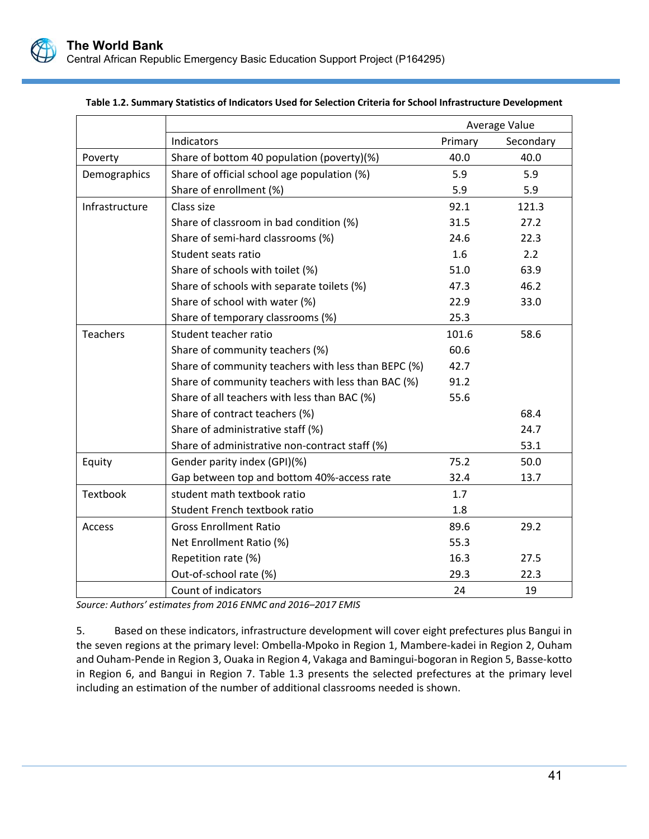

|                 |                                                     |         | Average Value |
|-----------------|-----------------------------------------------------|---------|---------------|
|                 | Indicators                                          | Primary | Secondary     |
| Poverty         | Share of bottom 40 population (poverty)(%)          | 40.0    | 40.0          |
| Demographics    | Share of official school age population (%)         | 5.9     | 5.9           |
|                 | Share of enrollment (%)                             | 5.9     | 5.9           |
| Infrastructure  | Class size                                          | 92.1    | 121.3         |
|                 | Share of classroom in bad condition (%)             | 31.5    | 27.2          |
|                 | Share of semi-hard classrooms (%)                   | 24.6    | 22.3          |
|                 | Student seats ratio                                 | 1.6     | 2.2           |
|                 | Share of schools with toilet (%)                    | 51.0    | 63.9          |
|                 | Share of schools with separate toilets (%)          | 47.3    | 46.2          |
|                 | Share of school with water (%)                      | 22.9    | 33.0          |
|                 | Share of temporary classrooms (%)                   | 25.3    |               |
| <b>Teachers</b> | Student teacher ratio                               | 101.6   | 58.6          |
|                 | Share of community teachers (%)                     | 60.6    |               |
|                 | Share of community teachers with less than BEPC (%) | 42.7    |               |
|                 | Share of community teachers with less than BAC (%)  | 91.2    |               |
|                 | Share of all teachers with less than BAC (%)        | 55.6    |               |
|                 | Share of contract teachers (%)                      |         | 68.4          |
|                 | Share of administrative staff (%)                   |         | 24.7          |
|                 | Share of administrative non-contract staff (%)      |         | 53.1          |
| Equity          | Gender parity index (GPI)(%)                        | 75.2    | 50.0          |
|                 | Gap between top and bottom 40%-access rate          | 32.4    | 13.7          |
| Textbook        | student math textbook ratio                         | 1.7     |               |
|                 | Student French textbook ratio                       | 1.8     |               |
| Access          | <b>Gross Enrollment Ratio</b>                       | 89.6    | 29.2          |
|                 | Net Enrollment Ratio (%)                            | 55.3    |               |
|                 | Repetition rate (%)                                 | 16.3    | 27.5          |
|                 | Out-of-school rate (%)                              | 29.3    | 22.3          |
|                 | Count of indicators                                 | 24      | 19            |

## **Table 1.2. Summary Statistics of Indicators Used for Selection Criteria for School Infrastructure Development**

*Source: Authors' estimates from 2016 ENMC and 2016–2017 EMIS*

5. Based on these indicators, infrastructure development will cover eight prefectures plus Bangui in the seven regions at the primary level: Ombella‐Mpoko in Region 1, Mambere‐kadei in Region 2, Ouham and Ouham‐Pende in Region 3, Ouaka in Region 4, Vakaga and Bamingui‐bogoran in Region 5, Basse‐kotto in Region 6, and Bangui in Region 7. Table 1.3 presents the selected prefectures at the primary level including an estimation of the number of additional classrooms needed is shown.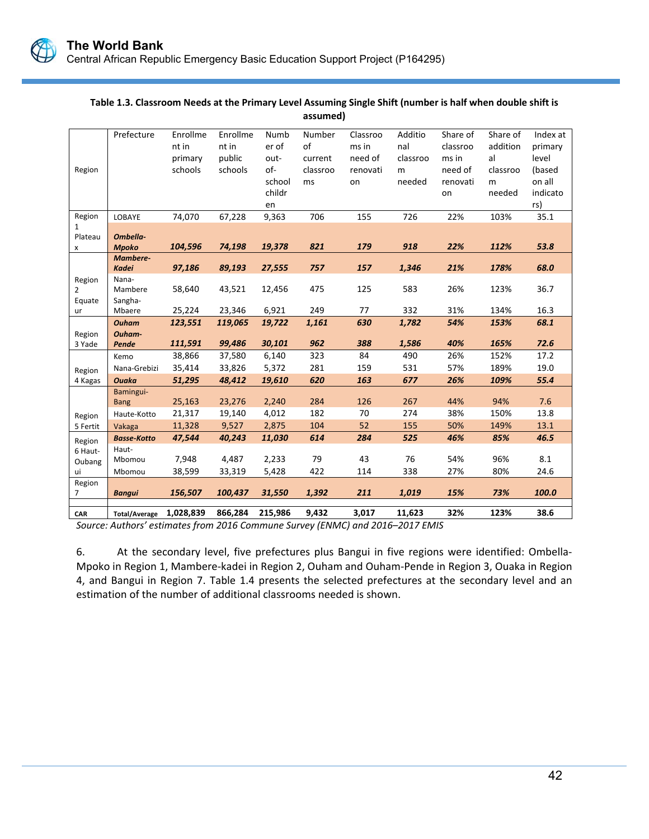

|                          |                          |           |          |         | assumeu  |          |          |          |          |          |
|--------------------------|--------------------------|-----------|----------|---------|----------|----------|----------|----------|----------|----------|
|                          | Prefecture               | Enrollme  | Enrollme | Numb    | Number   | Classroo | Additio  | Share of | Share of | Index at |
|                          |                          | nt in     | nt in    | er of   | of       | ms in    | nal      | classroo | addition | primary  |
|                          |                          | primary   | public   | out-    | current  | need of  | classroo | ms in    | al       | level    |
| Region                   |                          | schools   | schools  | of-     | classroo | renovati | m        | need of  | classroo | (based   |
|                          |                          |           |          | school  | ms       | on       | needed   | renovati | m        | on all   |
|                          |                          |           |          | childr  |          |          |          | on       | needed   | indicato |
|                          |                          |           |          | en      |          |          |          |          |          | rs)      |
| Region<br>$\mathbf{1}$   | LOBAYE                   | 74,070    | 67,228   | 9,363   | 706      | 155      | 726      | 22%      | 103%     | 35.1     |
| Plateau                  | Ombella-                 |           |          |         |          |          |          |          |          |          |
| x                        | <b>Mpoko</b>             | 104,596   | 74,198   | 19,378  | 821      | 179      | 918      | 22%      | 112%     | 53.8     |
|                          | Mambere-                 |           |          |         |          |          |          |          |          |          |
|                          | <b>Kadei</b><br>Nana-    | 97,186    | 89,193   | 27,555  | 757      | 157      | 1,346    | 21%      | 178%     | 68.0     |
| Region<br>$\overline{2}$ | Mambere                  | 58,640    | 43,521   | 12,456  | 475      | 125      | 583      | 26%      | 123%     | 36.7     |
| Equate                   | Sangha-                  |           |          |         |          |          |          |          |          |          |
| ur                       | Mbaere                   | 25,224    | 23,346   | 6,921   | 249      | 77       | 332      | 31%      | 134%     | 16.3     |
|                          | <b>Ouham</b>             | 123,551   | 119,065  | 19,722  | 1,161    | 630      | 1,782    | 54%      | 153%     | 68.1     |
| Region                   | Ouham-                   |           |          |         |          |          |          |          |          |          |
| 3 Yade                   | Pende                    | 111,591   | 99,486   | 30,101  | 962      | 388      | 1,586    | 40%      | 165%     | 72.6     |
|                          | Kemo                     | 38,866    | 37,580   | 6,140   | 323      | 84       | 490      | 26%      | 152%     | 17.2     |
| Region                   | Nana-Grebizi             | 35,414    | 33,826   | 5,372   | 281      | 159      | 531      | 57%      | 189%     | 19.0     |
| 4 Kagas                  | <b>Ouaka</b>             | 51,295    | 48,412   | 19,610  | 620      | 163      | 677      | 26%      | 109%     | 55.4     |
|                          | Bamingui-<br><b>Bang</b> | 25,163    | 23,276   | 2,240   | 284      | 126      | 267      | 44%      | 94%      | 7.6      |
| Region                   | Haute-Kotto              | 21,317    | 19,140   | 4,012   | 182      | 70       | 274      | 38%      | 150%     | 13.8     |
| 5 Fertit                 | Vakaga                   | 11,328    | 9,527    | 2,875   | 104      | 52       | 155      | 50%      | 149%     | 13.1     |
| Region                   | <b>Basse-Kotto</b>       | 47,544    | 40,243   | 11,030  | 614      | 284      | 525      | 46%      | 85%      | 46.5     |
| 6 Haut-                  | Haut-                    |           |          |         |          |          |          |          |          |          |
| Oubang                   | Mbomou                   | 7,948     | 4,487    | 2,233   | 79       | 43       | 76       | 54%      | 96%      | 8.1      |
| ui                       | Mbomou                   | 38,599    | 33,319   | 5,428   | 422      | 114      | 338      | 27%      | 80%      | 24.6     |
| Region<br>$\overline{7}$ | <b>Bangui</b>            | 156,507   | 100,437  | 31,550  | 1,392    | 211      | 1,019    | 15%      | 73%      | 100.0    |
|                          |                          |           |          |         |          |          |          |          |          |          |
| CAR                      | <b>Total/Average</b>     | 1,028,839 | 866,284  | 215,986 | 9,432    | 3,017    | 11,623   | 32%      | 123%     | 38.6     |

#### **Table 1.3. Classroom Needs at the Primary Level Assuming Single Shift (number is half when double shift is assumed)**

*Source: Authors' estimates from 2016 Commune Survey (ENMC) and 2016–2017 EMIS*

6. At the secondary level, five prefectures plus Bangui in five regions were identified: Ombella‐ Mpoko in Region 1, Mambere‐kadei in Region 2, Ouham and Ouham‐Pende in Region 3, Ouaka in Region 4, and Bangui in Region 7. Table 1.4 presents the selected prefectures at the secondary level and an estimation of the number of additional classrooms needed is shown.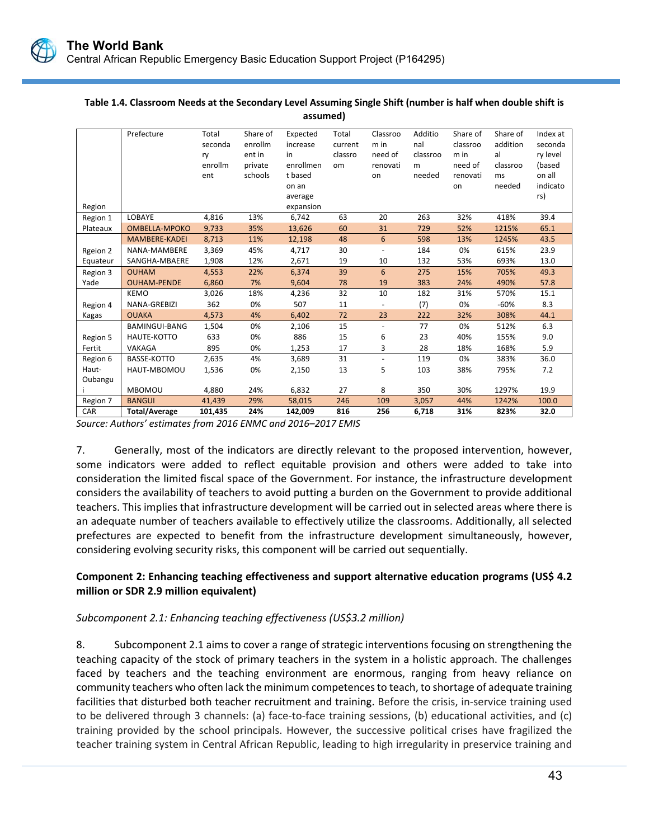

#### **Table 1.4. Classroom Needs at the Secondary Level Assuming Single Shift (number is half when double shift is assumed)**

|          | Prefecture           | Total<br>seconda<br>ry<br>enrollm<br>ent | Share of<br>enrollm<br>ent in<br>private<br>schools | Expected<br>increase<br>in<br>enrollmen<br>t based<br>on an | Total<br>current<br>classro<br>om | Classroo<br>$m$ in<br>need of<br>renovati<br>on | Additio<br>nal<br>classroo<br>m<br>needed | Share of<br>classroo<br>$m$ in<br>need of<br>renovati<br>on | Share of<br>addition<br>al<br>classroo<br>ms<br>needed | Index at<br>seconda<br>ry level<br>(based<br>on all<br>indicato<br>rs) |
|----------|----------------------|------------------------------------------|-----------------------------------------------------|-------------------------------------------------------------|-----------------------------------|-------------------------------------------------|-------------------------------------------|-------------------------------------------------------------|--------------------------------------------------------|------------------------------------------------------------------------|
| Region   |                      |                                          |                                                     | average<br>expansion                                        |                                   |                                                 |                                           |                                                             |                                                        |                                                                        |
| Region 1 | LOBAYE               | 4,816                                    | 13%                                                 | 6,742                                                       | 63                                | 20                                              | 263                                       | 32%                                                         | 418%                                                   | 39.4                                                                   |
| Plateaux | <b>OMBELLA-MPOKO</b> | 9,733                                    | 35%                                                 | 13,626                                                      | 60                                | 31                                              | 729                                       | 52%                                                         | 1215%                                                  | 65.1                                                                   |
|          | <b>MAMBERE-KADEI</b> | 8,713                                    | 11%                                                 | 12,198                                                      | 48                                | 6                                               | 598                                       | 13%                                                         | 1245%                                                  | 43.5                                                                   |
| Rgeion 2 | NANA-MAMBERE         | 3,369                                    | 45%                                                 | 4,717                                                       | 30                                |                                                 | 184                                       | 0%                                                          | 615%                                                   | 23.9                                                                   |
| Equateur | SANGHA-MBAERE        | 1,908                                    | 12%                                                 | 2,671                                                       | 19                                | 10                                              | 132                                       | 53%                                                         | 693%                                                   | 13.0                                                                   |
| Region 3 | <b>OUHAM</b>         | 4,553                                    | 22%                                                 | 6,374                                                       | 39                                | 6                                               | 275                                       | 15%                                                         | 705%                                                   | 49.3                                                                   |
| Yade     | <b>OUHAM-PENDE</b>   | 6,860                                    | 7%                                                  | 9,604                                                       | 78                                | 19                                              | 383                                       | 24%                                                         | 490%                                                   | 57.8                                                                   |
|          | <b>KEMO</b>          | 3,026                                    | 18%                                                 | 4,236                                                       | 32                                | 10                                              | 182                                       | 31%                                                         | 570%                                                   | 15.1                                                                   |
| Region 4 | NANA-GREBIZI         | 362                                      | 0%                                                  | 507                                                         | 11                                | $\blacksquare$                                  | (7)                                       | 0%                                                          | $-60%$                                                 | 8.3                                                                    |
| Kagas    | <b>OUAKA</b>         | 4,573                                    | 4%                                                  | 6,402                                                       | 72                                | 23                                              | 222                                       | 32%                                                         | 308%                                                   | 44.1                                                                   |
|          | <b>BAMINGUI-BANG</b> | 1,504                                    | 0%                                                  | 2,106                                                       | 15                                | $\overline{\phantom{a}}$                        | 77                                        | 0%                                                          | 512%                                                   | 6.3                                                                    |
| Region 5 | HAUTE-KOTTO          | 633                                      | 0%                                                  | 886                                                         | 15                                | 6                                               | 23                                        | 40%                                                         | 155%                                                   | 9.0                                                                    |
| Fertit   | VAKAGA               | 895                                      | 0%                                                  | 1,253                                                       | 17                                | 3                                               | 28                                        | 18%                                                         | 168%                                                   | 5.9                                                                    |
| Region 6 | <b>BASSE-KOTTO</b>   | 2,635                                    | 4%                                                  | 3,689                                                       | 31                                | $\blacksquare$                                  | 119                                       | 0%                                                          | 383%                                                   | 36.0                                                                   |
| Haut-    | HAUT-MBOMOU          | 1,536                                    | 0%                                                  | 2,150                                                       | 13                                | 5                                               | 103                                       | 38%                                                         | 795%                                                   | 7.2                                                                    |
| Oubangu  |                      |                                          |                                                     |                                                             |                                   |                                                 |                                           |                                                             |                                                        |                                                                        |
|          | <b>MBOMOU</b>        | 4,880                                    | 24%                                                 | 6,832                                                       | 27                                | 8                                               | 350                                       | 30%                                                         | 1297%                                                  | 19.9                                                                   |
| Region 7 | <b>BANGUI</b>        | 41,439                                   | 29%                                                 | 58,015                                                      | 246                               | 109                                             | 3,057                                     | 44%                                                         | 1242%                                                  | 100.0                                                                  |
| CAR      | <b>Total/Average</b> | 101,435                                  | 24%                                                 | 142,009                                                     | 816                               | 256                                             | 6,718                                     | 31%                                                         | 823%                                                   | 32.0                                                                   |

*Source: Authors' estimates from 2016 ENMC and 2016–2017 EMIS*

7. Generally, most of the indicators are directly relevant to the proposed intervention, however, some indicators were added to reflect equitable provision and others were added to take into consideration the limited fiscal space of the Government. For instance, the infrastructure development considers the availability of teachers to avoid putting a burden on the Government to provide additional teachers. This implies that infrastructure development will be carried out in selected areas where there is an adequate number of teachers available to effectively utilize the classrooms. Additionally, all selected prefectures are expected to benefit from the infrastructure development simultaneously, however, considering evolving security risks, this component will be carried out sequentially.

# **Component 2: Enhancing teaching effectiveness and support alternative education programs (US\$ 4.2 million or SDR 2.9 million equivalent)**

# *Subcomponent 2.1: Enhancing teaching effectiveness (US\$3.2 million)*

8. Subcomponent 2.1 aims to cover a range of strategic interventions focusing on strengthening the teaching capacity of the stock of primary teachers in the system in a holistic approach. The challenges faced by teachers and the teaching environment are enormous, ranging from heavy reliance on community teachers who often lack the minimum competences to teach, to shortage of adequate training facilities that disturbed both teacher recruitment and training. Before the crisis, in‐service training used to be delivered through 3 channels: (a) face-to-face training sessions, (b) educational activities, and (c) training provided by the school principals. However, the successive political crises have fragilized the teacher training system in Central African Republic, leading to high irregularity in preservice training and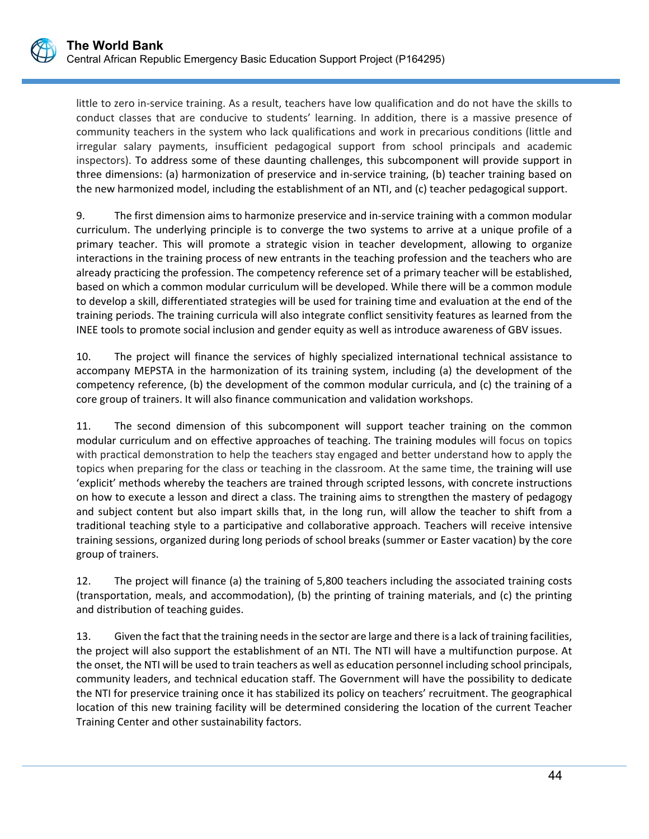little to zero in‐service training. As a result, teachers have low qualification and do not have the skills to conduct classes that are conducive to students' learning. In addition, there is a massive presence of community teachers in the system who lack qualifications and work in precarious conditions (little and irregular salary payments, insufficient pedagogical support from school principals and academic inspectors). To address some of these daunting challenges, this subcomponent will provide support in three dimensions: (a) harmonization of preservice and in‐service training, (b) teacher training based on the new harmonized model, including the establishment of an NTI, and (c) teacher pedagogical support.

9. The first dimension aims to harmonize preservice and in-service training with a common modular curriculum. The underlying principle is to converge the two systems to arrive at a unique profile of a primary teacher. This will promote a strategic vision in teacher development, allowing to organize interactions in the training process of new entrants in the teaching profession and the teachers who are already practicing the profession. The competency reference set of a primary teacher will be established, based on which a common modular curriculum will be developed. While there will be a common module to develop a skill, differentiated strategies will be used for training time and evaluation at the end of the training periods. The training curricula will also integrate conflict sensitivity features as learned from the INEE tools to promote social inclusion and gender equity as well as introduce awareness of GBV issues.

10. The project will finance the services of highly specialized international technical assistance to accompany MEPSTA in the harmonization of its training system, including (a) the development of the competency reference, (b) the development of the common modular curricula, and (c) the training of a core group of trainers. It will also finance communication and validation workshops.

11. The second dimension of this subcomponent will support teacher training on the common modular curriculum and on effective approaches of teaching. The training modules will focus on topics with practical demonstration to help the teachers stay engaged and better understand how to apply the topics when preparing for the class or teaching in the classroom. At the same time, the training will use 'explicit' methods whereby the teachers are trained through scripted lessons, with concrete instructions on how to execute a lesson and direct a class. The training aims to strengthen the mastery of pedagogy and subject content but also impart skills that, in the long run, will allow the teacher to shift from a traditional teaching style to a participative and collaborative approach. Teachers will receive intensive training sessions, organized during long periods of school breaks (summer or Easter vacation) by the core group of trainers.

12. The project will finance (a) the training of 5,800 teachers including the associated training costs (transportation, meals, and accommodation), (b) the printing of training materials, and (c) the printing and distribution of teaching guides.

13. Given the fact that the training needs in the sector are large and there is a lack of training facilities, the project will also support the establishment of an NTI. The NTI will have a multifunction purpose. At the onset, the NTI will be used to train teachers as well as education personnel including school principals, community leaders, and technical education staff. The Government will have the possibility to dedicate the NTI for preservice training once it has stabilized its policy on teachers' recruitment. The geographical location of this new training facility will be determined considering the location of the current Teacher Training Center and other sustainability factors.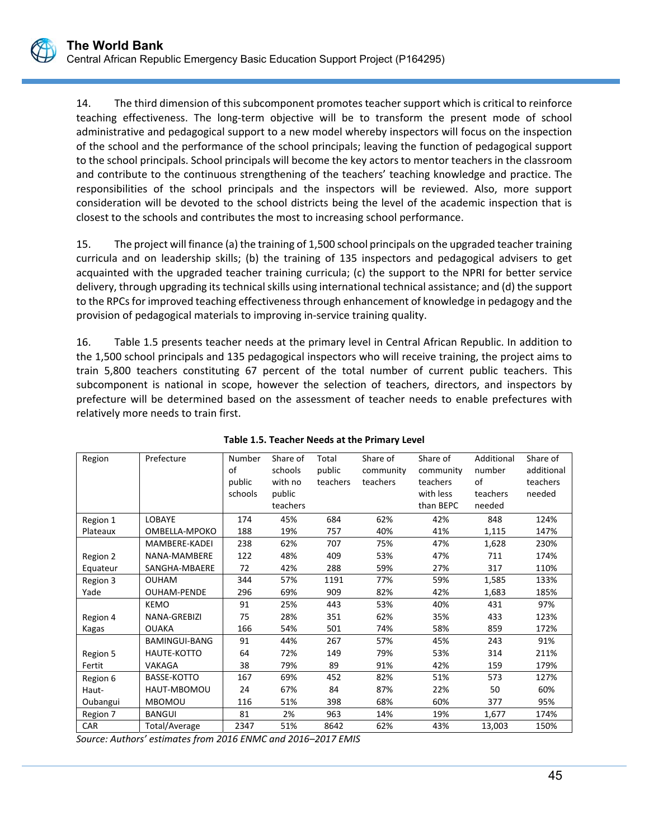14. The third dimension of this subcomponent promotes teacher support which is critical to reinforce teaching effectiveness. The long‐term objective will be to transform the present mode of school administrative and pedagogical support to a new model whereby inspectors will focus on the inspection of the school and the performance of the school principals; leaving the function of pedagogical support to the school principals. School principals will become the key actors to mentor teachers in the classroom and contribute to the continuous strengthening of the teachers' teaching knowledge and practice. The responsibilities of the school principals and the inspectors will be reviewed. Also, more support consideration will be devoted to the school districts being the level of the academic inspection that is closest to the schools and contributes the most to increasing school performance.

15. The project will finance (a) the training of 1,500 school principals on the upgraded teacher training curricula and on leadership skills; (b) the training of 135 inspectors and pedagogical advisers to get acquainted with the upgraded teacher training curricula; (c) the support to the NPRI for better service delivery, through upgrading its technical skills using international technical assistance; and (d) the support to the RPCs for improved teaching effectiveness through enhancement of knowledge in pedagogy and the provision of pedagogical materials to improving in‐service training quality.

16. Table 1.5 presents teacher needs at the primary level in Central African Republic. In addition to the 1,500 school principals and 135 pedagogical inspectors who will receive training, the project aims to train 5,800 teachers constituting 67 percent of the total number of current public teachers. This subcomponent is national in scope, however the selection of teachers, directors, and inspectors by prefecture will be determined based on the assessment of teacher needs to enable prefectures with relatively more needs to train first.

| Region   | Prefecture           | Number  | Share of | Total    | Share of  | Share of  | Additional | Share of   |
|----------|----------------------|---------|----------|----------|-----------|-----------|------------|------------|
|          |                      | of      | schools  | public   | community | community | number     | additional |
|          |                      | public  | with no  | teachers | teachers  | teachers  | of         | teachers   |
|          |                      | schools | public   |          |           | with less | teachers   | needed     |
|          |                      |         | teachers |          |           | than BEPC | needed     |            |
| Region 1 | <b>LOBAYE</b>        | 174     | 45%      | 684      | 62%       | 42%       | 848        | 124%       |
| Plateaux | OMBELLA-MPOKO        | 188     | 19%      | 757      | 40%       | 41%       | 1,115      | 147%       |
|          | MAMBERE-KADEI        | 238     | 62%      | 707      | 75%       | 47%       | 1,628      | 230%       |
| Region 2 | NANA-MAMBERE         | 122     | 48%      | 409      | 53%       | 47%       | 711        | 174%       |
| Equateur | SANGHA-MBAERE        | 72      | 42%      | 288      | 59%       | 27%       | 317        | 110%       |
| Region 3 | <b>OUHAM</b>         | 344     | 57%      | 1191     | 77%       | 59%       | 1,585      | 133%       |
| Yade     | <b>OUHAM-PENDE</b>   | 296     | 69%      | 909      | 82%       | 42%       | 1,683      | 185%       |
|          | <b>KEMO</b>          | 91      | 25%      | 443      | 53%       | 40%       | 431        | 97%        |
| Region 4 | NANA-GREBIZI         | 75      | 28%      | 351      | 62%       | 35%       | 433        | 123%       |
| Kagas    | <b>OUAKA</b>         | 166     | 54%      | 501      | 74%       | 58%       | 859        | 172%       |
|          | <b>BAMINGUI-BANG</b> | 91      | 44%      | 267      | 57%       | 45%       | 243        | 91%        |
| Region 5 | HAUTE-KOTTO          | 64      | 72%      | 149      | 79%       | 53%       | 314        | 211%       |
| Fertit   | VAKAGA               | 38      | 79%      | 89       | 91%       | 42%       | 159        | 179%       |
| Region 6 | <b>BASSE-KOTTO</b>   | 167     | 69%      | 452      | 82%       | 51%       | 573        | 127%       |
| Haut-    | HAUT-MBOMOU          | 24      | 67%      | 84       | 87%       | 22%       | 50         | 60%        |
| Oubangui | <b>MBOMOU</b>        | 116     | 51%      | 398      | 68%       | 60%       | 377        | 95%        |
| Region 7 | <b>BANGUI</b>        | 81      | 2%       | 963      | 14%       | 19%       | 1,677      | 174%       |
| CAR      | Total/Average        | 2347    | 51%      | 8642     | 62%       | 43%       | 13,003     | 150%       |

 $\overline{a}$ 

**Table 1.5. Teacher Needs at the Primary Level** 

*Source: Authors' estimates from 2016 ENMC and 2016–2017 EMIS*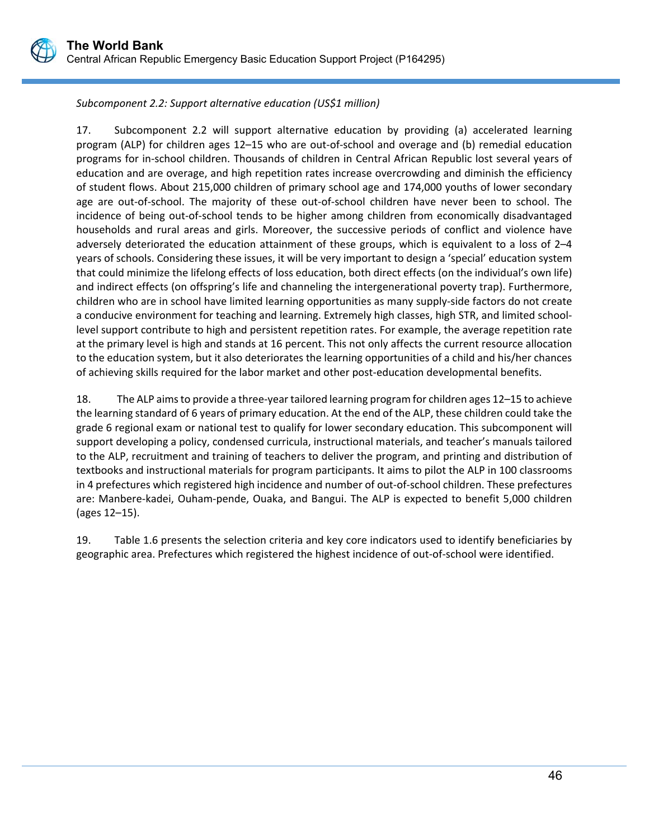

*Subcomponent 2.2: Support alternative education (US\$1 million)* 

17. Subcomponent 2.2 will support alternative education by providing (a) accelerated learning program (ALP) for children ages 12–15 who are out‐of‐school and overage and (b) remedial education programs for in‐school children. Thousands of children in Central African Republic lost several years of education and are overage, and high repetition rates increase overcrowding and diminish the efficiency of student flows. About 215,000 children of primary school age and 174,000 youths of lower secondary age are out-of-school. The majority of these out-of-school children have never been to school. The incidence of being out‐of‐school tends to be higher among children from economically disadvantaged households and rural areas and girls. Moreover, the successive periods of conflict and violence have adversely deteriorated the education attainment of these groups, which is equivalent to a loss of 2–4 years of schools. Considering these issues, it will be very important to design a 'special' education system that could minimize the lifelong effects of loss education, both direct effects (on the individual's own life) and indirect effects (on offspring's life and channeling the intergenerational poverty trap). Furthermore, children who are in school have limited learning opportunities as many supply‐side factors do not create a conducive environment for teaching and learning. Extremely high classes, high STR, and limited school‐ level support contribute to high and persistent repetition rates. For example, the average repetition rate at the primary level is high and stands at 16 percent. This not only affects the current resource allocation to the education system, but it also deteriorates the learning opportunities of a child and his/her chances of achieving skills required for the labor market and other post-education developmental benefits.

18. The ALP aims to provide a three-year tailored learning program for children ages 12–15 to achieve the learning standard of 6 years of primary education. At the end of the ALP, these children could take the grade 6 regional exam or national test to qualify for lower secondary education. This subcomponent will support developing a policy, condensed curricula, instructional materials, and teacher's manuals tailored to the ALP, recruitment and training of teachers to deliver the program, and printing and distribution of textbooks and instructional materials for program participants. It aims to pilot the ALP in 100 classrooms in 4 prefectures which registered high incidence and number of out‐of‐school children. These prefectures are: Manbere‐kadei, Ouham‐pende, Ouaka, and Bangui. The ALP is expected to benefit 5,000 children (ages 12–15).

19. Table 1.6 presents the selection criteria and key core indicators used to identify beneficiaries by geographic area. Prefectures which registered the highest incidence of out‐of‐school were identified.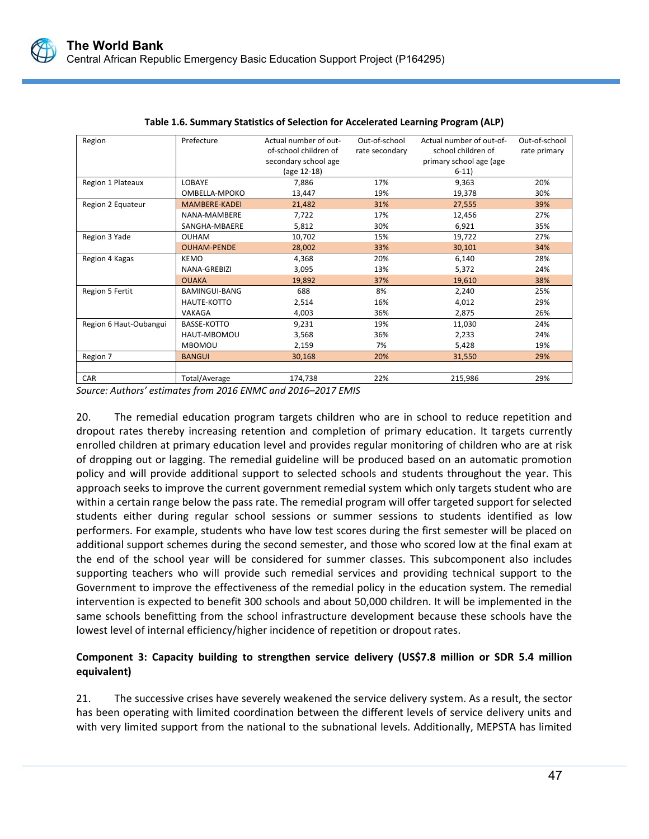

| Region                 | Prefecture           | Actual number of out-<br>of-school children of<br>secondary school age<br>(age 12-18) | Out-of-school<br>rate secondary | Actual number of out-of-<br>school children of<br>primary school age (age<br>$6-11)$ | Out-of-school<br>rate primary |
|------------------------|----------------------|---------------------------------------------------------------------------------------|---------------------------------|--------------------------------------------------------------------------------------|-------------------------------|
| Region 1 Plateaux      | LOBAYE               | 7,886                                                                                 | 17%                             | 9,363                                                                                | 20%                           |
|                        | OMBELLA-MPOKO        | 13,447                                                                                | 19%                             | 19,378                                                                               | 30%                           |
| Region 2 Equateur      | <b>MAMBERE-KADEI</b> | 21,482                                                                                | 31%                             | 27,555                                                                               | 39%                           |
|                        | NANA-MAMBERE         | 7,722                                                                                 | 17%                             | 12,456                                                                               | 27%                           |
|                        | SANGHA-MBAERE        | 5,812                                                                                 | 30%                             | 6,921                                                                                | 35%                           |
| Region 3 Yade          | <b>OUHAM</b>         | 10,702                                                                                | 15%                             | 19,722                                                                               | 27%                           |
|                        | <b>OUHAM-PENDE</b>   | 28,002                                                                                | 33%                             | 30,101                                                                               | 34%                           |
| Region 4 Kagas         | KEMO                 | 4,368                                                                                 | 20%                             | 6,140                                                                                | 28%                           |
|                        | NANA-GREBIZI         | 3,095                                                                                 | 13%                             | 5,372                                                                                | 24%                           |
|                        | <b>OUAKA</b>         | 19,892                                                                                | 37%                             | 19,610                                                                               | 38%                           |
| Region 5 Fertit        | <b>BAMINGUI-BANG</b> | 688                                                                                   | 8%                              | 2,240                                                                                | 25%                           |
|                        | <b>HAUTE-KOTTO</b>   | 2,514                                                                                 | 16%                             | 4,012                                                                                | 29%                           |
|                        | VAKAGA               | 4,003                                                                                 | 36%                             | 2,875                                                                                | 26%                           |
| Region 6 Haut-Oubangui | <b>BASSE-KOTTO</b>   | 9,231                                                                                 | 19%                             | 11,030                                                                               | 24%                           |
|                        | HAUT-MBOMOU          | 3,568                                                                                 | 36%                             | 2,233                                                                                | 24%                           |
|                        | <b>MBOMOU</b>        | 2,159                                                                                 | 7%                              | 5,428                                                                                | 19%                           |
| Region 7               | <b>BANGUI</b>        | 30,168                                                                                | 20%                             | 31,550                                                                               | 29%                           |
|                        |                      |                                                                                       |                                 |                                                                                      |                               |
| CAR                    | Total/Average        | 174,738                                                                               | 22%                             | 215,986                                                                              | 29%                           |

| Table 1.6. Summary Statistics of Selection for Accelerated Learning Program (ALP) |  |
|-----------------------------------------------------------------------------------|--|
|-----------------------------------------------------------------------------------|--|

*Source: Authors' estimates from 2016 ENMC and 2016–2017 EMIS*

20. The remedial education program targets children who are in school to reduce repetition and dropout rates thereby increasing retention and completion of primary education. It targets currently enrolled children at primary education level and provides regular monitoring of children who are at risk of dropping out or lagging. The remedial guideline will be produced based on an automatic promotion policy and will provide additional support to selected schools and students throughout the year. This approach seeks to improve the current government remedial system which only targets student who are within a certain range below the pass rate. The remedial program will offer targeted support for selected students either during regular school sessions or summer sessions to students identified as low performers. For example, students who have low test scores during the first semester will be placed on additional support schemes during the second semester, and those who scored low at the final exam at the end of the school year will be considered for summer classes. This subcomponent also includes supporting teachers who will provide such remedial services and providing technical support to the Government to improve the effectiveness of the remedial policy in the education system. The remedial intervention is expected to benefit 300 schools and about 50,000 children. It will be implemented in the same schools benefitting from the school infrastructure development because these schools have the lowest level of internal efficiency/higher incidence of repetition or dropout rates.

## **Component 3: Capacity building to strengthen service delivery (US\$7.8 million or SDR 5.4 million equivalent)**

21. The successive crises have severely weakened the service delivery system. As a result, the sector has been operating with limited coordination between the different levels of service delivery units and with very limited support from the national to the subnational levels. Additionally, MEPSTA has limited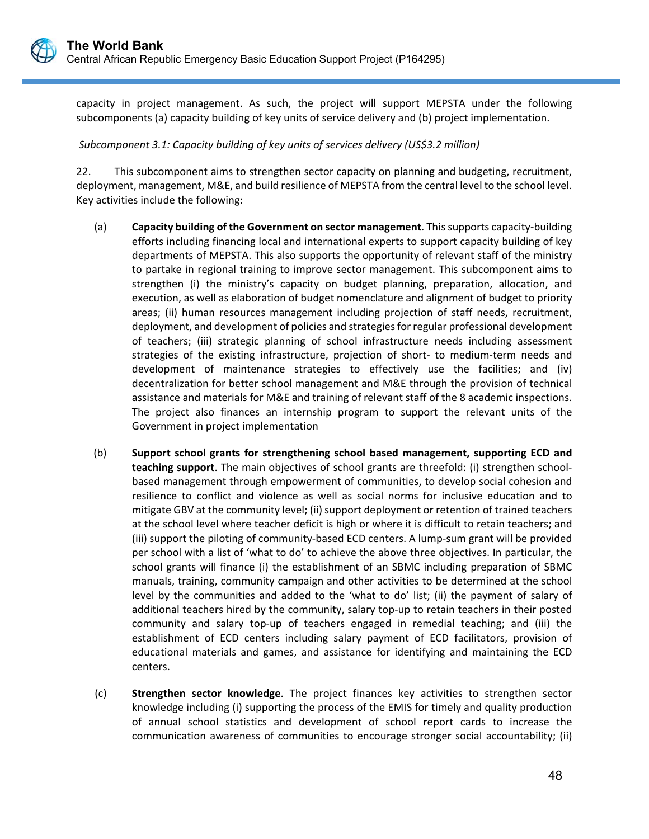capacity in project management. As such, the project will support MEPSTA under the following subcomponents (a) capacity building of key units of service delivery and (b) project implementation.

*Subcomponent 3.1: Capacity building of key units of services delivery (US\$3.2 million)* 

22. This subcomponent aims to strengthen sector capacity on planning and budgeting, recruitment, deployment, management, M&E, and build resilience of MEPSTA from the central level to the school level. Key activities include the following:

- (a) **Capacity building of the Government on sector management**. This supports capacity‐building efforts including financing local and international experts to support capacity building of key departments of MEPSTA. This also supports the opportunity of relevant staff of the ministry to partake in regional training to improve sector management. This subcomponent aims to strengthen (i) the ministry's capacity on budget planning, preparation, allocation, and execution, as well as elaboration of budget nomenclature and alignment of budget to priority areas; (ii) human resources management including projection of staff needs, recruitment, deployment, and development of policies and strategies for regular professional development of teachers; (iii) strategic planning of school infrastructure needs including assessment strategies of the existing infrastructure, projection of short- to medium-term needs and development of maintenance strategies to effectively use the facilities; and (iv) decentralization for better school management and M&E through the provision of technical assistance and materials for M&E and training of relevant staff of the 8 academic inspections. The project also finances an internship program to support the relevant units of the Government in project implementation
- (b) **Support school grants for strengthening school based management, supporting ECD and teaching support**. The main objectives of school grants are threefold: (i) strengthen school‐ based management through empowerment of communities, to develop social cohesion and resilience to conflict and violence as well as social norms for inclusive education and to mitigate GBV at the community level; (ii) support deployment or retention of trained teachers at the school level where teacher deficit is high or where it is difficult to retain teachers; and (iii) support the piloting of community‐based ECD centers. A lump‐sum grant will be provided per school with a list of 'what to do' to achieve the above three objectives. In particular, the school grants will finance (i) the establishment of an SBMC including preparation of SBMC manuals, training, community campaign and other activities to be determined at the school level by the communities and added to the 'what to do' list; (ii) the payment of salary of additional teachers hired by the community, salary top‐up to retain teachers in their posted community and salary top-up of teachers engaged in remedial teaching; and (iii) the establishment of ECD centers including salary payment of ECD facilitators, provision of educational materials and games, and assistance for identifying and maintaining the ECD centers.
- (c) **Strengthen sector knowledge**. The project finances key activities to strengthen sector knowledge including (i) supporting the process of the EMIS for timely and quality production of annual school statistics and development of school report cards to increase the communication awareness of communities to encourage stronger social accountability; (ii)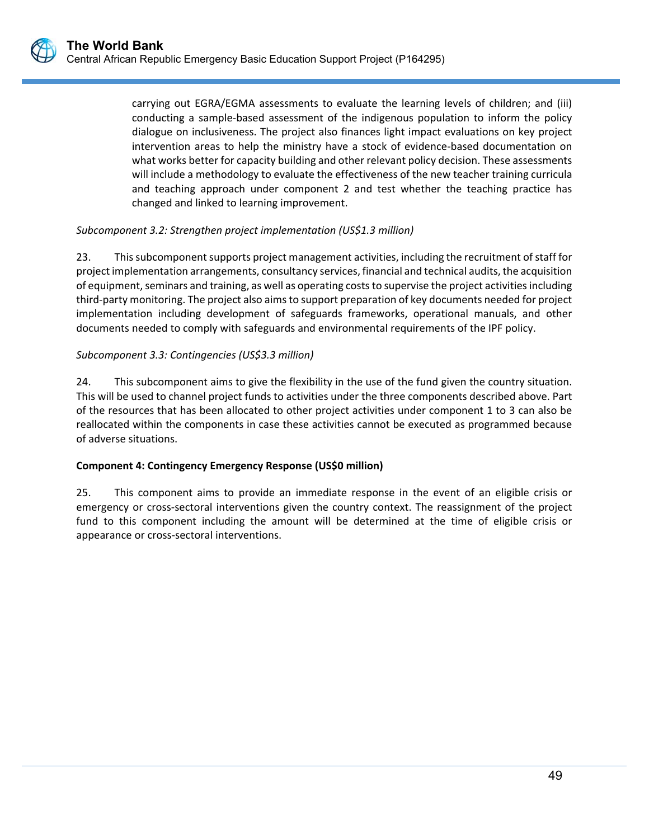carrying out EGRA/EGMA assessments to evaluate the learning levels of children; and (iii) conducting a sample-based assessment of the indigenous population to inform the policy dialogue on inclusiveness. The project also finances light impact evaluations on key project intervention areas to help the ministry have a stock of evidence‐based documentation on what works better for capacity building and other relevant policy decision. These assessments will include a methodology to evaluate the effectiveness of the new teacher training curricula and teaching approach under component 2 and test whether the teaching practice has changed and linked to learning improvement.

# *Subcomponent 3.2: Strengthen project implementation (US\$1.3 million)*

23. This subcomponent supports project management activities, including the recruitment of staff for project implementation arrangements, consultancy services, financial and technical audits, the acquisition of equipment, seminars and training, as well as operating costs to supervise the project activities including third‐party monitoring. The project also aims to support preparation of key documents needed for project implementation including development of safeguards frameworks, operational manuals, and other documents needed to comply with safeguards and environmental requirements of the IPF policy.

## *Subcomponent 3.3: Contingencies (US\$3.3 million)*

24. This subcomponent aims to give the flexibility in the use of the fund given the country situation. This will be used to channel project funds to activities under the three components described above. Part of the resources that has been allocated to other project activities under component 1 to 3 can also be reallocated within the components in case these activities cannot be executed as programmed because of adverse situations.

### **Component 4: Contingency Emergency Response (US\$0 million)**

25. This component aims to provide an immediate response in the event of an eligible crisis or emergency or cross-sectoral interventions given the country context. The reassignment of the project fund to this component including the amount will be determined at the time of eligible crisis or appearance or cross‐sectoral interventions.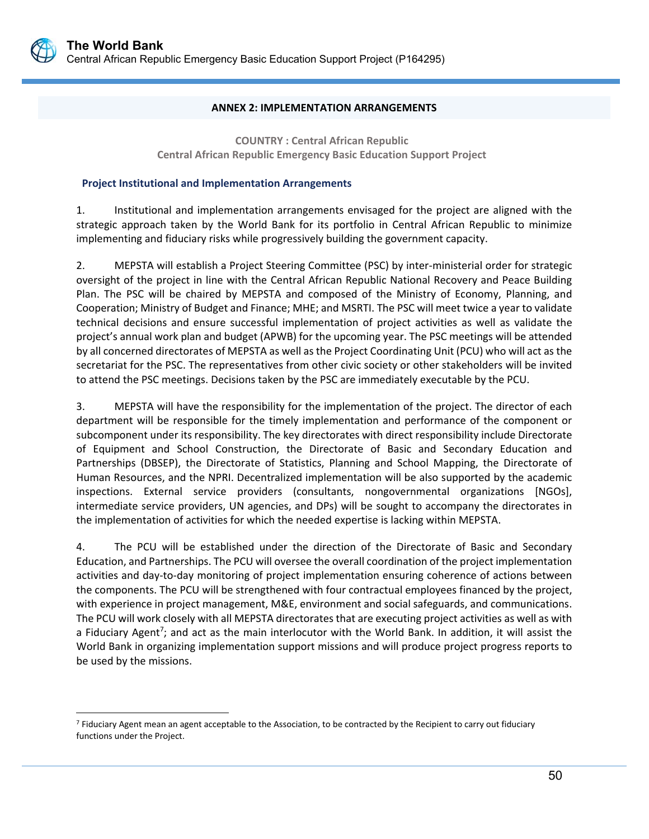$\overline{a}$ 

## **ANNEX 2: IMPLEMENTATION ARRANGEMENTS**

**COUNTRY : Central African Republic Central African Republic Emergency Basic Education Support Project** 

## **Project Institutional and Implementation Arrangements**

1. Institutional and implementation arrangements envisaged for the project are aligned with the strategic approach taken by the World Bank for its portfolio in Central African Republic to minimize implementing and fiduciary risks while progressively building the government capacity.

2. MEPSTA will establish a Project Steering Committee (PSC) by inter-ministerial order for strategic oversight of the project in line with the Central African Republic National Recovery and Peace Building Plan. The PSC will be chaired by MEPSTA and composed of the Ministry of Economy, Planning, and Cooperation; Ministry of Budget and Finance; MHE; and MSRTI. The PSC will meet twice a year to validate technical decisions and ensure successful implementation of project activities as well as validate the project's annual work plan and budget (APWB) for the upcoming year. The PSC meetings will be attended by all concerned directorates of MEPSTA as well as the Project Coordinating Unit (PCU) who will act as the secretariat for the PSC. The representatives from other civic society or other stakeholders will be invited to attend the PSC meetings. Decisions taken by the PSC are immediately executable by the PCU.

3. MEPSTA will have the responsibility for the implementation of the project. The director of each department will be responsible for the timely implementation and performance of the component or subcomponent under its responsibility. The key directorates with direct responsibility include Directorate of Equipment and School Construction, the Directorate of Basic and Secondary Education and Partnerships (DBSEP), the Directorate of Statistics, Planning and School Mapping, the Directorate of Human Resources, and the NPRI. Decentralized implementation will be also supported by the academic inspections. External service providers (consultants, nongovernmental organizations [NGOs], intermediate service providers, UN agencies, and DPs) will be sought to accompany the directorates in the implementation of activities for which the needed expertise is lacking within MEPSTA.

4. The PCU will be established under the direction of the Directorate of Basic and Secondary Education, and Partnerships. The PCU will oversee the overall coordination of the project implementation activities and day‐to‐day monitoring of project implementation ensuring coherence of actions between the components. The PCU will be strengthened with four contractual employees financed by the project, with experience in project management, M&E, environment and social safeguards, and communications. The PCU will work closely with all MEPSTA directorates that are executing project activities as well as with a Fiduciary Agent<sup>7</sup>; and act as the main interlocutor with the World Bank. In addition, it will assist the World Bank in organizing implementation support missions and will produce project progress reports to be used by the missions.

 $<sup>7</sup>$  Fiduciary Agent mean an agent acceptable to the Association, to be contracted by the Recipient to carry out fiduciary</sup> functions under the Project.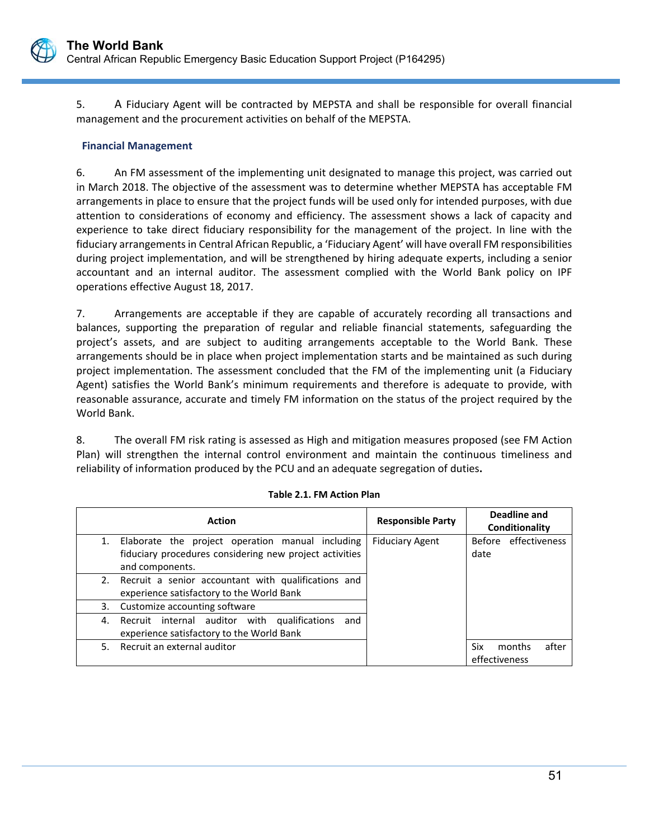

5. A Fiduciary Agent will be contracted by MEPSTA and shall be responsible for overall financial management and the procurement activities on behalf of the MEPSTA.

## **Financial Management**

6. An FM assessment of the implementing unit designated to manage this project, was carried out in March 2018. The objective of the assessment was to determine whether MEPSTA has acceptable FM arrangements in place to ensure that the project funds will be used only for intended purposes, with due attention to considerations of economy and efficiency. The assessment shows a lack of capacity and experience to take direct fiduciary responsibility for the management of the project. In line with the fiduciary arrangements in Central African Republic, a 'Fiduciary Agent' will have overall FM responsibilities during project implementation, and will be strengthened by hiring adequate experts, including a senior accountant and an internal auditor. The assessment complied with the World Bank policy on IPF operations effective August 18, 2017.

7. Arrangements are acceptable if they are capable of accurately recording all transactions and balances, supporting the preparation of regular and reliable financial statements, safeguarding the project's assets, and are subject to auditing arrangements acceptable to the World Bank. These arrangements should be in place when project implementation starts and be maintained as such during project implementation. The assessment concluded that the FM of the implementing unit (a Fiduciary Agent) satisfies the World Bank's minimum requirements and therefore is adequate to provide, with reasonable assurance, accurate and timely FM information on the status of the project required by the World Bank.

8. The overall FM risk rating is assessed as High and mitigation measures proposed (see FM Action Plan) will strengthen the internal control environment and maintain the continuous timeliness and reliability of information produced by the PCU and an adequate segregation of duties**.** 

|    | Action                                                                                                                         | <b>Responsible Party</b> | Deadline and<br>Conditionality          |
|----|--------------------------------------------------------------------------------------------------------------------------------|--------------------------|-----------------------------------------|
|    | Elaborate the project operation manual including<br>fiduciary procedures considering new project activities<br>and components. | <b>Fiduciary Agent</b>   | Before effectiveness<br>date            |
| 2. | Recruit a senior accountant with qualifications and<br>experience satisfactory to the World Bank                               |                          |                                         |
| 3. | Customize accounting software                                                                                                  |                          |                                         |
| 4. | Recruit internal auditor with<br>qualifications<br>and<br>experience satisfactory to the World Bank                            |                          |                                         |
| 5. | Recruit an external auditor                                                                                                    |                          | after<br>months<br>Six<br>effectiveness |

 $\overline{a}$ 

### **Table 2.1. FM Action Plan**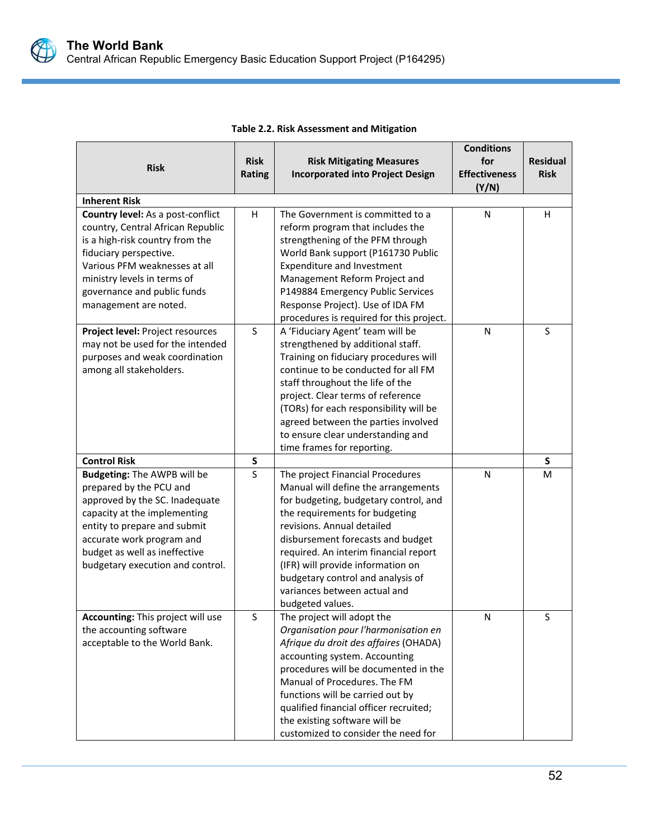

| <b>Risk</b>                                                                                                                                                                                                                                                        | <b>Risk</b><br><b>Rating</b> | <b>Risk Mitigating Measures</b><br><b>Incorporated into Project Design</b>                                                                                                                                                                                                                                                                                                                   | <b>Conditions</b><br>for<br><b>Effectiveness</b><br>(Y/N) | <b>Residual</b><br><b>Risk</b> |
|--------------------------------------------------------------------------------------------------------------------------------------------------------------------------------------------------------------------------------------------------------------------|------------------------------|----------------------------------------------------------------------------------------------------------------------------------------------------------------------------------------------------------------------------------------------------------------------------------------------------------------------------------------------------------------------------------------------|-----------------------------------------------------------|--------------------------------|
| <b>Inherent Risk</b>                                                                                                                                                                                                                                               |                              |                                                                                                                                                                                                                                                                                                                                                                                              |                                                           |                                |
| <b>Country level:</b> As a post-conflict<br>country, Central African Republic<br>is a high-risk country from the<br>fiduciary perspective.<br>Various PFM weaknesses at all<br>ministry levels in terms of<br>governance and public funds<br>management are noted. | H                            | The Government is committed to a<br>reform program that includes the<br>strengthening of the PFM through<br>World Bank support (P161730 Public<br>Expenditure and Investment<br>Management Reform Project and<br>P149884 Emergency Public Services<br>Response Project). Use of IDA FM<br>procedures is required for this project.                                                           | N                                                         | H.                             |
| Project level: Project resources<br>may not be used for the intended<br>purposes and weak coordination<br>among all stakeholders.                                                                                                                                  | S                            | A 'Fiduciary Agent' team will be<br>strengthened by additional staff.<br>Training on fiduciary procedures will<br>continue to be conducted for all FM<br>staff throughout the life of the<br>project. Clear terms of reference<br>(TORs) for each responsibility will be<br>agreed between the parties involved<br>to ensure clear understanding and<br>time frames for reporting.           | N                                                         | S                              |
| <b>Control Risk</b>                                                                                                                                                                                                                                                | $\sf S$                      |                                                                                                                                                                                                                                                                                                                                                                                              |                                                           | S                              |
| Budgeting: The AWPB will be<br>prepared by the PCU and<br>approved by the SC. Inadequate<br>capacity at the implementing<br>entity to prepare and submit<br>accurate work program and<br>budget as well as ineffective<br>budgetary execution and control.         | S                            | The project Financial Procedures<br>Manual will define the arrangements<br>for budgeting, budgetary control, and<br>the requirements for budgeting<br>revisions. Annual detailed<br>disbursement forecasts and budget<br>required. An interim financial report<br>(IFR) will provide information on<br>budgetary control and analysis of<br>variances between actual and<br>budgeted values. | N                                                         | м                              |
| <b>Accounting:</b> This project will use<br>the accounting software<br>acceptable to the World Bank.                                                                                                                                                               | S                            | The project will adopt the<br>Organisation pour l'harmonisation en<br>Afrique du droit des affaires (OHADA)<br>accounting system. Accounting<br>procedures will be documented in the<br>Manual of Procedures. The FM<br>functions will be carried out by<br>qualified financial officer recruited;<br>the existing software will be<br>customized to consider the need for                   | N                                                         | S                              |

**Table 2.2. Risk Assessment and Mitigation**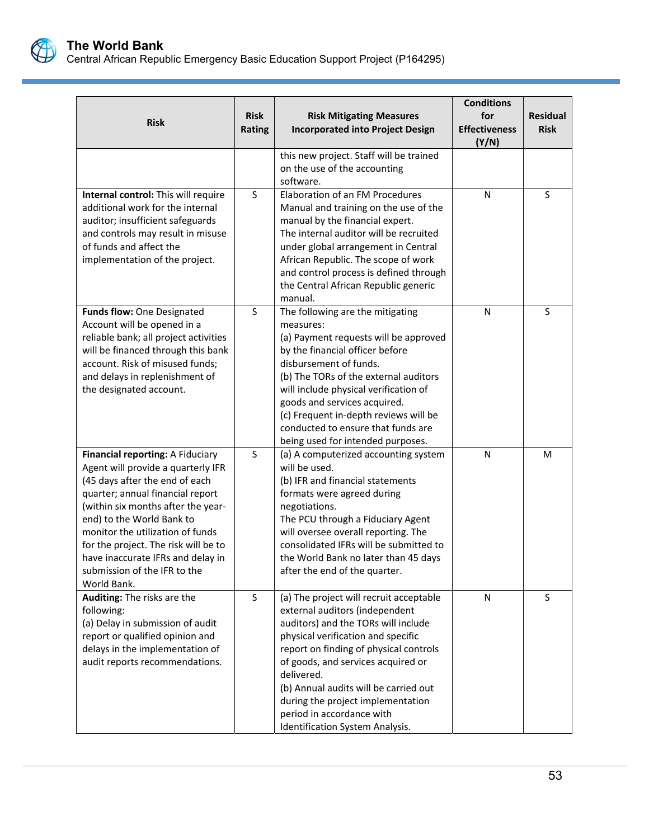

Central African Republic Emergency Basic Education Support Project (P164295)

| <b>Risk</b>                                                                                                                                                                                                                                                                                                                                                                     | <b>Risk</b><br>Rating | <b>Risk Mitigating Measures</b><br><b>Incorporated into Project Design</b>                                                                                                                                                                                                                                                                                                                         | <b>Conditions</b><br>for<br><b>Effectiveness</b><br>(Y/N) | <b>Residual</b><br><b>Risk</b> |
|---------------------------------------------------------------------------------------------------------------------------------------------------------------------------------------------------------------------------------------------------------------------------------------------------------------------------------------------------------------------------------|-----------------------|----------------------------------------------------------------------------------------------------------------------------------------------------------------------------------------------------------------------------------------------------------------------------------------------------------------------------------------------------------------------------------------------------|-----------------------------------------------------------|--------------------------------|
|                                                                                                                                                                                                                                                                                                                                                                                 |                       | this new project. Staff will be trained<br>on the use of the accounting<br>software.                                                                                                                                                                                                                                                                                                               |                                                           |                                |
| Internal control: This will require<br>additional work for the internal<br>auditor; insufficient safeguards<br>and controls may result in misuse<br>of funds and affect the<br>implementation of the project.                                                                                                                                                                   | $\sf S$               | Elaboration of an FM Procedures<br>Manual and training on the use of the<br>manual by the financial expert.<br>The internal auditor will be recruited<br>under global arrangement in Central<br>African Republic. The scope of work<br>and control process is defined through<br>the Central African Republic generic<br>manual.                                                                   | N                                                         | $\sf S$                        |
| Funds flow: One Designated<br>Account will be opened in a<br>reliable bank; all project activities<br>will be financed through this bank<br>account. Risk of misused funds;<br>and delays in replenishment of<br>the designated account.                                                                                                                                        | $\sf S$               | The following are the mitigating<br>measures:<br>(a) Payment requests will be approved<br>by the financial officer before<br>disbursement of funds.<br>(b) The TORs of the external auditors<br>will include physical verification of<br>goods and services acquired.<br>(c) Frequent in-depth reviews will be<br>conducted to ensure that funds are<br>being used for intended purposes.          | N                                                         | $\sf S$                        |
| Financial reporting: A Fiduciary<br>Agent will provide a quarterly IFR<br>(45 days after the end of each<br>quarter; annual financial report<br>(within six months after the year-<br>end) to the World Bank to<br>monitor the utilization of funds<br>for the project. The risk will be to<br>have inaccurate IFRs and delay in<br>submission of the IFR to the<br>World Bank. | S                     | (a) A computerized accounting system<br>will be used.<br>(b) IFR and financial statements<br>formats were agreed during<br>negotiations.<br>The PCU through a Fiduciary Agent<br>will oversee overall reporting. The<br>consolidated IFRs will be submitted to<br>the World Bank no later than 45 days<br>after the end of the quarter.                                                            | N                                                         | м                              |
| Auditing: The risks are the<br>following:<br>(a) Delay in submission of audit<br>report or qualified opinion and<br>delays in the implementation of<br>audit reports recommendations.                                                                                                                                                                                           | S                     | (a) The project will recruit acceptable<br>external auditors (independent<br>auditors) and the TORs will include<br>physical verification and specific<br>report on finding of physical controls<br>of goods, and services acquired or<br>delivered.<br>(b) Annual audits will be carried out<br>during the project implementation<br>period in accordance with<br>Identification System Analysis. | N                                                         | $\sf S$                        |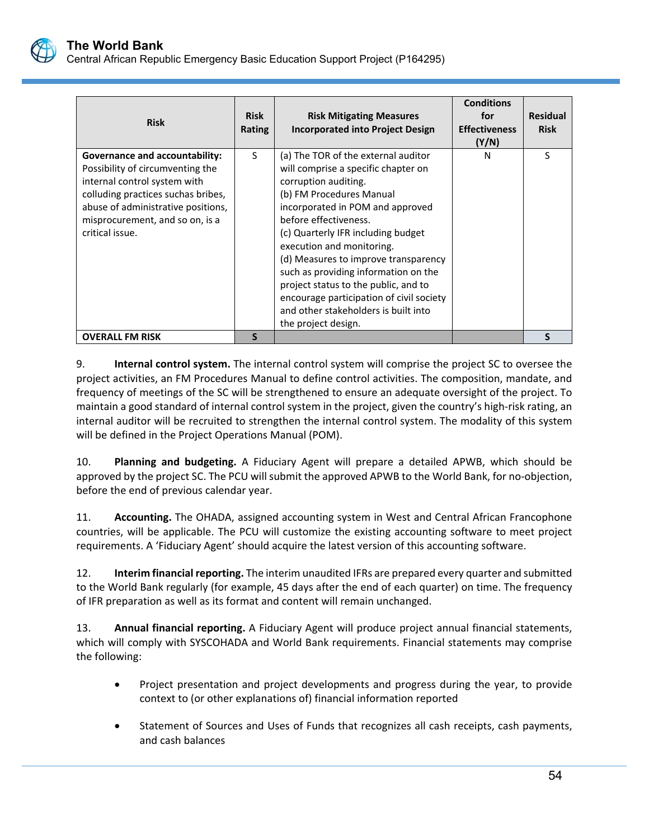

| <b>Risk</b>                                                                                                                                                                                                                                 | <b>Risk</b><br>Rating | <b>Risk Mitigating Measures</b><br><b>Incorporated into Project Design</b>                                                                                                                                                                                                                                                                                                                                                                                                                        | <b>Conditions</b><br>for<br><b>Effectiveness</b><br>(Y/N) | <b>Residual</b><br><b>Risk</b> |
|---------------------------------------------------------------------------------------------------------------------------------------------------------------------------------------------------------------------------------------------|-----------------------|---------------------------------------------------------------------------------------------------------------------------------------------------------------------------------------------------------------------------------------------------------------------------------------------------------------------------------------------------------------------------------------------------------------------------------------------------------------------------------------------------|-----------------------------------------------------------|--------------------------------|
| <b>Governance and accountability:</b><br>Possibility of circumventing the<br>internal control system with<br>colluding practices suchas bribes,<br>abuse of administrative positions,<br>misprocurement, and so on, is a<br>critical issue. | S.                    | (a) The TOR of the external auditor<br>will comprise a specific chapter on<br>corruption auditing.<br>(b) FM Procedures Manual<br>incorporated in POM and approved<br>before effectiveness.<br>(c) Quarterly IFR including budget<br>execution and monitoring.<br>(d) Measures to improve transparency<br>such as providing information on the<br>project status to the public, and to<br>encourage participation of civil society<br>and other stakeholders is built into<br>the project design. | N                                                         | S                              |
| <b>OVERALL FM RISK</b>                                                                                                                                                                                                                      | S                     |                                                                                                                                                                                                                                                                                                                                                                                                                                                                                                   |                                                           | S                              |

9. **Internal control system.** The internal control system will comprise the project SC to oversee the project activities, an FM Procedures Manual to define control activities. The composition, mandate, and frequency of meetings of the SC will be strengthened to ensure an adequate oversight of the project. To maintain a good standard of internal control system in the project, given the country's high‐risk rating, an internal auditor will be recruited to strengthen the internal control system. The modality of this system will be defined in the Project Operations Manual (POM).

10. **Planning and budgeting.** A Fiduciary Agent will prepare a detailed APWB, which should be approved by the project SC. The PCU will submit the approved APWB to the World Bank, for no‐objection, before the end of previous calendar year.

11. **Accounting.** The OHADA, assigned accounting system in West and Central African Francophone countries, will be applicable. The PCU will customize the existing accounting software to meet project requirements. A 'Fiduciary Agent' should acquire the latest version of this accounting software.

12. **Interim financial reporting.** The interim unaudited IFRs are prepared every quarter and submitted to the World Bank regularly (for example, 45 days after the end of each quarter) on time. The frequency of IFR preparation as well as its format and content will remain unchanged.

13. **Annual financial reporting.** A Fiduciary Agent will produce project annual financial statements, which will comply with SYSCOHADA and World Bank requirements. Financial statements may comprise the following:

- Project presentation and project developments and progress during the year, to provide context to (or other explanations of) financial information reported
- Statement of Sources and Uses of Funds that recognizes all cash receipts, cash payments, and cash balances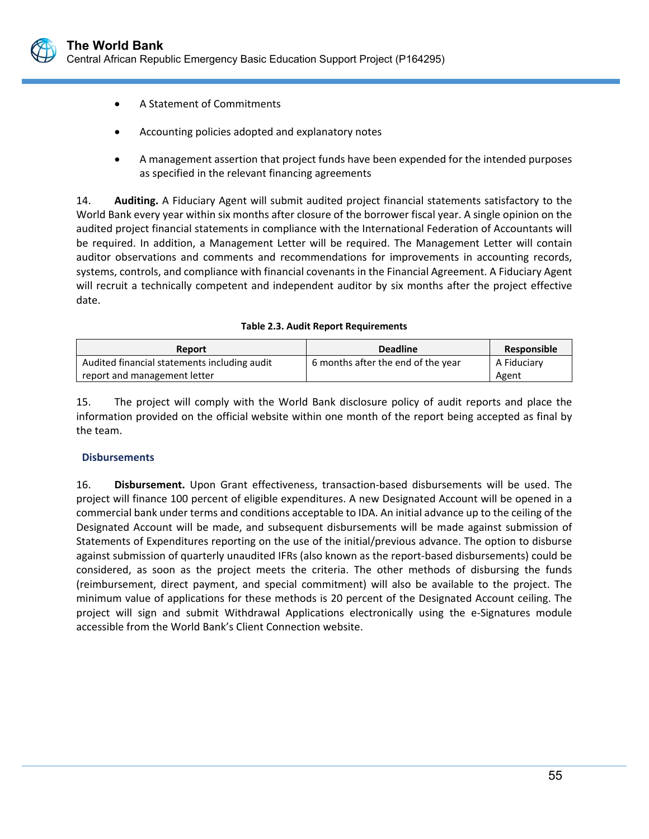

- A Statement of Commitments
- Accounting policies adopted and explanatory notes
- A management assertion that project funds have been expended for the intended purposes as specified in the relevant financing agreements

14. **Auditing.** A Fiduciary Agent will submit audited project financial statements satisfactory to the World Bank every year within six months after closure of the borrower fiscal year. A single opinion on the audited project financial statements in compliance with the International Federation of Accountants will be required. In addition, a Management Letter will be required. The Management Letter will contain auditor observations and comments and recommendations for improvements in accounting records, systems, controls, and compliance with financial covenants in the Financial Agreement. A Fiduciary Agent will recruit a technically competent and independent auditor by six months after the project effective date.

#### **Table 2.3. Audit Report Requirements**

| <b>Report</b>                                | <b>Deadline</b>                    | Responsible |
|----------------------------------------------|------------------------------------|-------------|
| Audited financial statements including audit | 6 months after the end of the year | A Fiduciary |
| report and management letter                 |                                    | Agent       |

15. The project will comply with the World Bank disclosure policy of audit reports and place the information provided on the official website within one month of the report being accepted as final by the team.

### **Disbursements**

16. **Disbursement.** Upon Grant effectiveness, transaction-based disbursements will be used. The project will finance 100 percent of eligible expenditures. A new Designated Account will be opened in a commercial bank under terms and conditions acceptable to IDA. An initial advance up to the ceiling of the Designated Account will be made, and subsequent disbursements will be made against submission of Statements of Expenditures reporting on the use of the initial/previous advance. The option to disburse against submission of quarterly unaudited IFRs (also known as the report‐based disbursements) could be considered, as soon as the project meets the criteria. The other methods of disbursing the funds (reimbursement, direct payment, and special commitment) will also be available to the project. The minimum value of applications for these methods is 20 percent of the Designated Account ceiling. The project will sign and submit Withdrawal Applications electronically using the e‐Signatures module accessible from the World Bank's Client Connection website.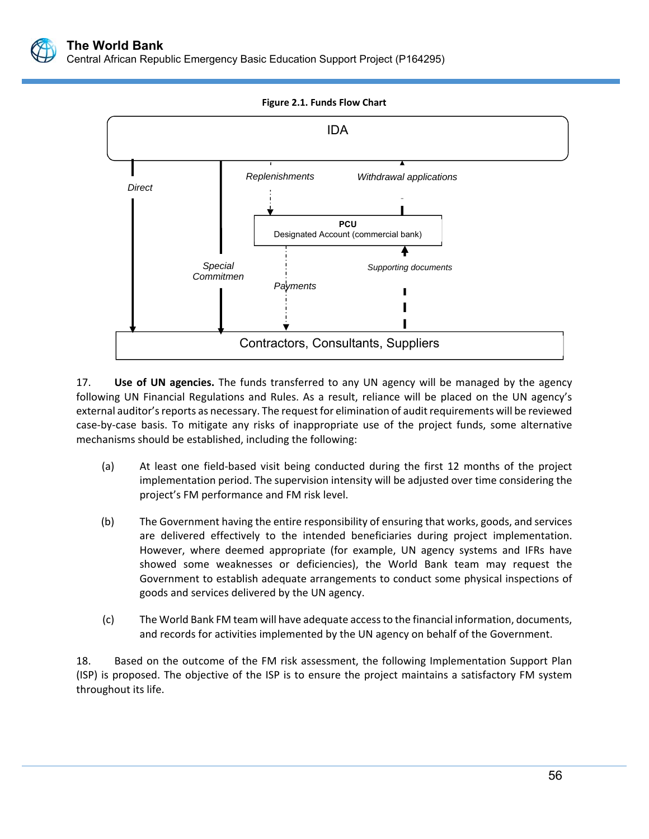

17. **Use of UN agencies.** The funds transferred to any UN agency will be managed by the agency following UN Financial Regulations and Rules. As a result, reliance will be placed on the UN agency's external auditor's reports as necessary. The request for elimination of audit requirements will be reviewed case-by-case basis. To mitigate any risks of inappropriate use of the project funds, some alternative mechanisms should be established, including the following:

- (a) At least one field‐based visit being conducted during the first 12 months of the project implementation period. The supervision intensity will be adjusted over time considering the project's FM performance and FM risk level.
- (b) The Government having the entire responsibility of ensuring that works, goods, and services are delivered effectively to the intended beneficiaries during project implementation. However, where deemed appropriate (for example, UN agency systems and IFRs have showed some weaknesses or deficiencies), the World Bank team may request the Government to establish adequate arrangements to conduct some physical inspections of goods and services delivered by the UN agency.
- (c) The World Bank FM team will have adequate access to the financial information, documents, and records for activities implemented by the UN agency on behalf of the Government.

18. Based on the outcome of the FM risk assessment, the following Implementation Support Plan (ISP) is proposed. The objective of the ISP is to ensure the project maintains a satisfactory FM system throughout its life.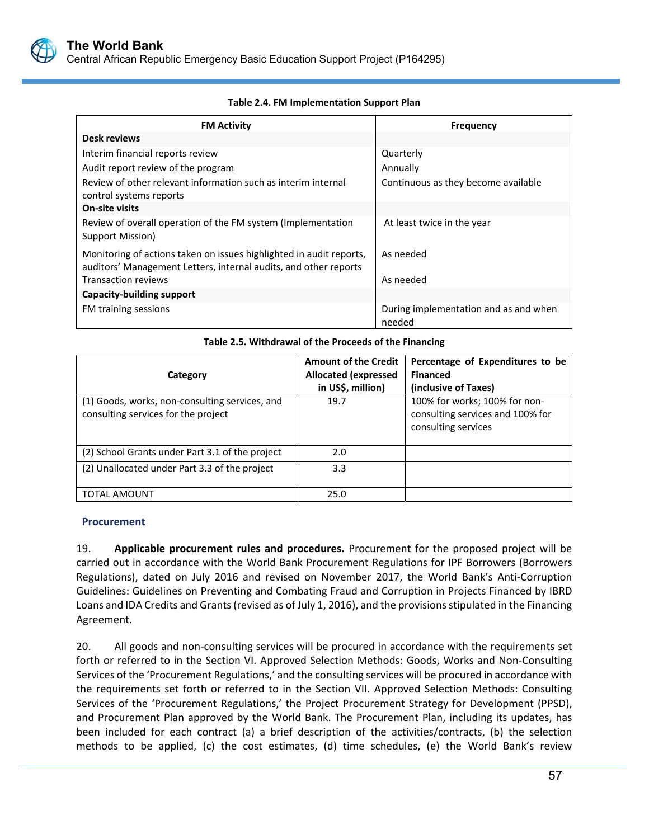

#### **Table 2.4. FM Implementation Support Plan**

| <b>FM Activity</b>                                                                                                                      | Frequency                                       |  |  |  |
|-----------------------------------------------------------------------------------------------------------------------------------------|-------------------------------------------------|--|--|--|
| <b>Desk reviews</b>                                                                                                                     |                                                 |  |  |  |
| Interim financial reports review                                                                                                        | Quarterly                                       |  |  |  |
| Audit report review of the program                                                                                                      | Annually                                        |  |  |  |
| Review of other relevant information such as interim internal<br>control systems reports                                                | Continuous as they become available             |  |  |  |
| <b>On-site visits</b>                                                                                                                   |                                                 |  |  |  |
| Review of overall operation of the FM system (Implementation<br>Support Mission)                                                        | At least twice in the year                      |  |  |  |
| Monitoring of actions taken on issues highlighted in audit reports,<br>auditors' Management Letters, internal audits, and other reports | As needed                                       |  |  |  |
| <b>Transaction reviews</b>                                                                                                              | As needed                                       |  |  |  |
| Capacity-building support                                                                                                               |                                                 |  |  |  |
| FM training sessions                                                                                                                    | During implementation and as and when<br>needed |  |  |  |

| Category                                                                              | <b>Amount of the Credit</b><br><b>Allocated (expressed</b><br>in US\$, million) | Percentage of Expenditures to be<br><b>Financed</b><br>(inclusive of Taxes)              |
|---------------------------------------------------------------------------------------|---------------------------------------------------------------------------------|------------------------------------------------------------------------------------------|
| (1) Goods, works, non-consulting services, and<br>consulting services for the project | 19.7                                                                            | 100% for works; 100% for non-<br>consulting services and 100% for<br>consulting services |
| (2) School Grants under Part 3.1 of the project                                       | 2.0                                                                             |                                                                                          |
| (2) Unallocated under Part 3.3 of the project                                         | 3.3                                                                             |                                                                                          |
| <b>TOTAL AMOUNT</b>                                                                   | 25.0                                                                            |                                                                                          |

#### **Table 2.5. Withdrawal of the Proceeds of the Financing**

#### **Procurement**

19. **Applicable procurement rules and procedures.** Procurement for the proposed project will be carried out in accordance with the World Bank Procurement Regulations for IPF Borrowers (Borrowers Regulations), dated on July 2016 and revised on November 2017, the World Bank's Anti‐Corruption Guidelines: Guidelines on Preventing and Combating Fraud and Corruption in Projects Financed by IBRD Loans and IDA Credits and Grants (revised as of July 1, 2016), and the provisions stipulated in the Financing Agreement.

20. All goods and non-consulting services will be procured in accordance with the requirements set forth or referred to in the Section VI. Approved Selection Methods: Goods, Works and Non‐Consulting Services of the 'Procurement Regulations,' and the consulting services will be procured in accordance with the requirements set forth or referred to in the Section VII. Approved Selection Methods: Consulting Services of the 'Procurement Regulations,' the Project Procurement Strategy for Development (PPSD), and Procurement Plan approved by the World Bank. The Procurement Plan, including its updates, has been included for each contract (a) a brief description of the activities/contracts, (b) the selection methods to be applied, (c) the cost estimates, (d) time schedules, (e) the World Bank's review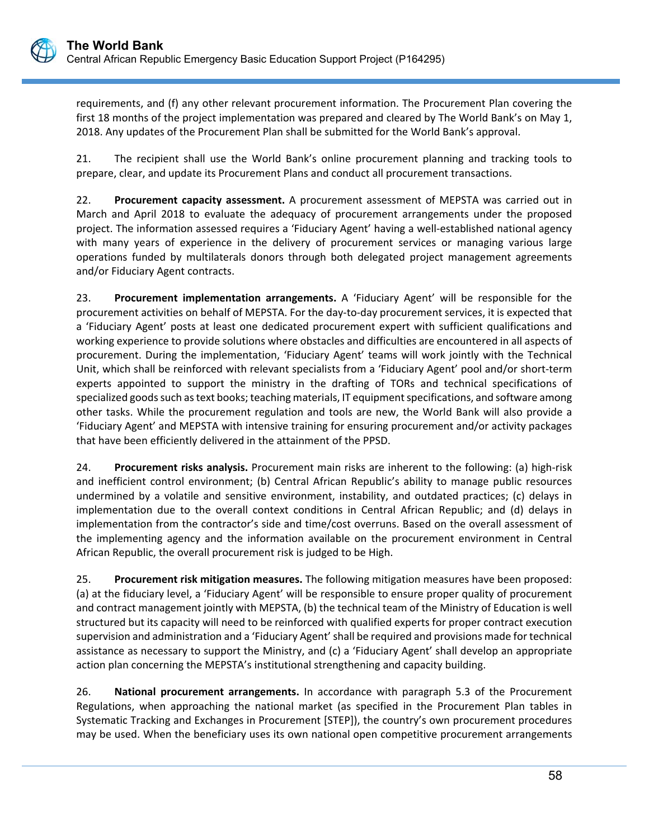

requirements, and (f) any other relevant procurement information. The Procurement Plan covering the first 18 months of the project implementation was prepared and cleared by The World Bank's on May 1, 2018. Any updates of the Procurement Plan shall be submitted for the World Bank's approval.

21. The recipient shall use the World Bank's online procurement planning and tracking tools to prepare, clear, and update its Procurement Plans and conduct all procurement transactions.

22. **Procurement capacity assessment.** A procurement assessment of MEPSTA was carried out in March and April 2018 to evaluate the adequacy of procurement arrangements under the proposed project. The information assessed requires a 'Fiduciary Agent' having a well‐established national agency with many years of experience in the delivery of procurement services or managing various large operations funded by multilaterals donors through both delegated project management agreements and/or Fiduciary Agent contracts.

23. **Procurement implementation arrangements.** A 'Fiduciary Agent' will be responsible for the procurement activities on behalf of MEPSTA. For the day‐to‐day procurement services, it is expected that a 'Fiduciary Agent' posts at least one dedicated procurement expert with sufficient qualifications and working experience to provide solutions where obstacles and difficulties are encountered in all aspects of procurement. During the implementation, 'Fiduciary Agent' teams will work jointly with the Technical Unit, which shall be reinforced with relevant specialists from a 'Fiduciary Agent' pool and/or short‐term experts appointed to support the ministry in the drafting of TORs and technical specifications of specialized goods such as text books; teaching materials, IT equipment specifications, and software among other tasks. While the procurement regulation and tools are new, the World Bank will also provide a 'Fiduciary Agent' and MEPSTA with intensive training for ensuring procurement and/or activity packages that have been efficiently delivered in the attainment of the PPSD.

24. **Procurement risks analysis.** Procurement main risks are inherent to the following: (a) high-risk and inefficient control environment; (b) Central African Republic's ability to manage public resources undermined by a volatile and sensitive environment, instability, and outdated practices; (c) delays in implementation due to the overall context conditions in Central African Republic; and (d) delays in implementation from the contractor's side and time/cost overruns. Based on the overall assessment of the implementing agency and the information available on the procurement environment in Central African Republic, the overall procurement risk is judged to be High.

25. **Procurement risk mitigation measures.** The following mitigation measures have been proposed: (a) at the fiduciary level, a 'Fiduciary Agent' will be responsible to ensure proper quality of procurement and contract management jointly with MEPSTA, (b) the technical team of the Ministry of Education is well structured but its capacity will need to be reinforced with qualified experts for proper contract execution supervision and administration and a 'Fiduciary Agent' shall be required and provisions made for technical assistance as necessary to support the Ministry, and (c) a 'Fiduciary Agent' shall develop an appropriate action plan concerning the MEPSTA's institutional strengthening and capacity building.

26. **National procurement arrangements.** In accordance with paragraph 5.3 of the Procurement Regulations, when approaching the national market (as specified in the Procurement Plan tables in Systematic Tracking and Exchanges in Procurement [STEP]), the country's own procurement procedures may be used. When the beneficiary uses its own national open competitive procurement arrangements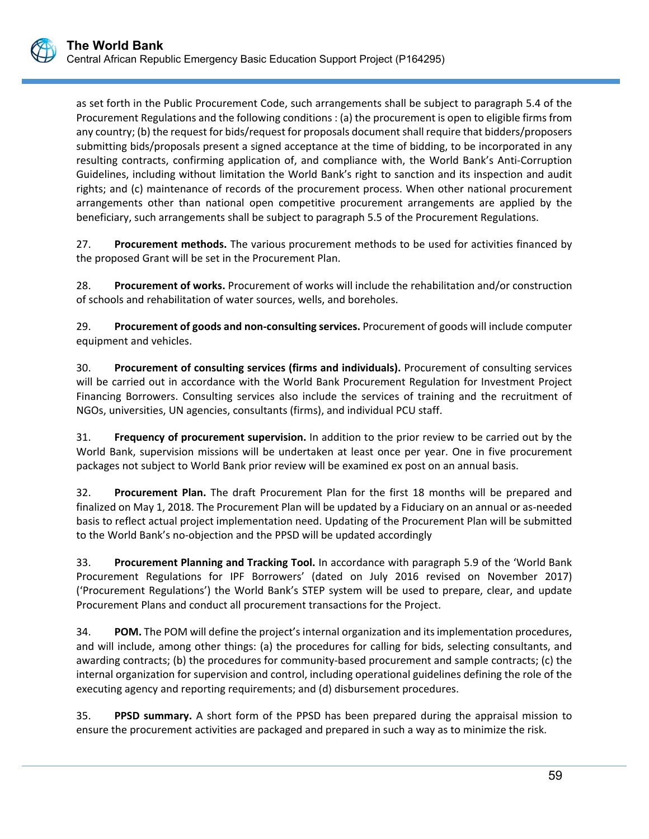as set forth in the Public Procurement Code, such arrangements shall be subject to paragraph 5.4 of the Procurement Regulations and the following conditions : (a) the procurement is open to eligible firms from any country; (b) the request for bids/request for proposals document shall require that bidders/proposers submitting bids/proposals present a signed acceptance at the time of bidding, to be incorporated in any resulting contracts, confirming application of, and compliance with, the World Bank's Anti‐Corruption Guidelines, including without limitation the World Bank's right to sanction and its inspection and audit rights; and (c) maintenance of records of the procurement process. When other national procurement arrangements other than national open competitive procurement arrangements are applied by the beneficiary, such arrangements shall be subject to paragraph 5.5 of the Procurement Regulations.

27. **Procurement methods.** The various procurement methods to be used for activities financed by the proposed Grant will be set in the Procurement Plan.

28. **Procurement of works.** Procurement of works will include the rehabilitation and/or construction of schools and rehabilitation of water sources, wells, and boreholes.

29. **Procurement of goods and non‐consulting services.** Procurement of goods will include computer equipment and vehicles.

30. **Procurement of consulting services (firms and individuals).** Procurement of consulting services will be carried out in accordance with the World Bank Procurement Regulation for Investment Project Financing Borrowers. Consulting services also include the services of training and the recruitment of NGOs, universities, UN agencies, consultants (firms), and individual PCU staff.

31. **Frequency of procurement supervision.** In addition to the prior review to be carried out by the World Bank, supervision missions will be undertaken at least once per year. One in five procurement packages not subject to World Bank prior review will be examined ex post on an annual basis.

32. **Procurement Plan.** The draft Procurement Plan for the first 18 months will be prepared and finalized on May 1, 2018. The Procurement Plan will be updated by a Fiduciary on an annual or as‐needed basis to reflect actual project implementation need. Updating of the Procurement Plan will be submitted to the World Bank's no‐objection and the PPSD will be updated accordingly

33. **Procurement Planning and Tracking Tool.** In accordance with paragraph 5.9 of the 'World Bank Procurement Regulations for IPF Borrowers' (dated on July 2016 revised on November 2017) ('Procurement Regulations') the World Bank's STEP system will be used to prepare, clear, and update Procurement Plans and conduct all procurement transactions for the Project.

34. **POM.** The POM will define the project's internal organization and its implementation procedures, and will include, among other things: (a) the procedures for calling for bids, selecting consultants, and awarding contracts; (b) the procedures for community‐based procurement and sample contracts; (c) the internal organization for supervision and control, including operational guidelines defining the role of the executing agency and reporting requirements; and (d) disbursement procedures.

35. **PPSD summary.** A short form of the PPSD has been prepared during the appraisal mission to ensure the procurement activities are packaged and prepared in such a way as to minimize the risk.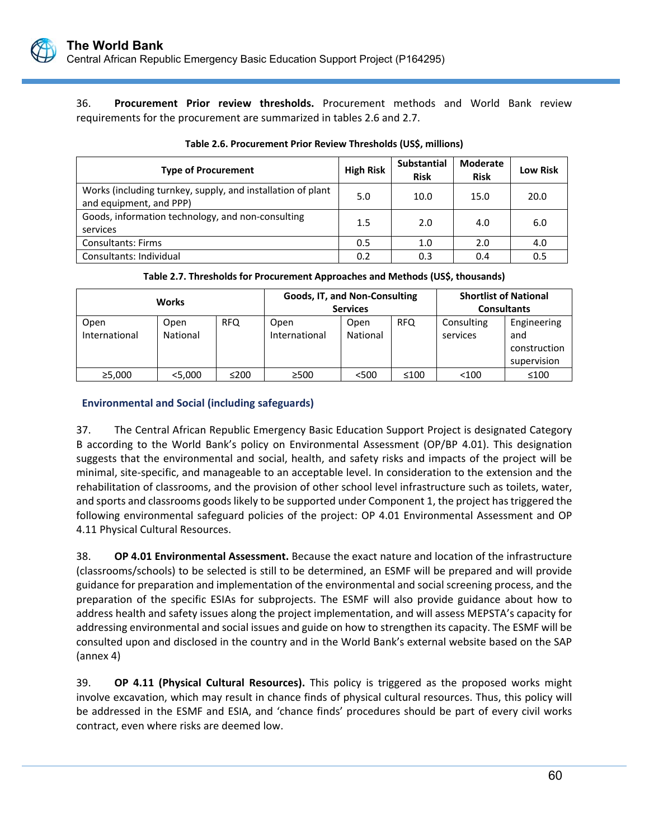

36. **Procurement Prior review thresholds.**  Procurement methods and World Bank review requirements for the procurement are summarized in tables 2.6 and 2.7.

| <b>Type of Procurement</b>                                                             | <b>Substantial</b><br><b>High Risk</b><br><b>Risk</b> |      | <b>Moderate</b><br><b>Risk</b> | <b>Low Risk</b> |  |
|----------------------------------------------------------------------------------------|-------------------------------------------------------|------|--------------------------------|-----------------|--|
| Works (including turnkey, supply, and installation of plant<br>and equipment, and PPP) | 5.0                                                   | 10.0 | 15.0                           | 20.0            |  |
| Goods, information technology, and non-consulting<br>services                          | 1.5                                                   | 2.0  | 4.0                            | 6.0             |  |
| <b>Consultants: Firms</b>                                                              | 0.5                                                   | 1.0  | 2.0                            | 4.0             |  |
| Consultants: Individual                                                                | 0.2                                                   | 0.3  | 0.4                            | 0.5             |  |

| Table 2.6. Procurement Prior Review Thresholds (US\$, millions) |  |  |  |
|-----------------------------------------------------------------|--|--|--|
|-----------------------------------------------------------------|--|--|--|

**Table 2.7. Thresholds for Procurement Approaches and Methods (US\$, thousands)** 

| <b>Works</b>          |                  | Goods, IT, and Non-Consulting<br><b>Services</b> |                       |                  | <b>Shortlist of National</b><br><b>Consultants</b> |                        |                                                   |
|-----------------------|------------------|--------------------------------------------------|-----------------------|------------------|----------------------------------------------------|------------------------|---------------------------------------------------|
| Open<br>International | Open<br>National | <b>RFQ</b>                                       | Open<br>International | Open<br>National | <b>RFQ</b>                                         | Consulting<br>services | Engineering<br>and<br>construction<br>supervision |
| ≥5,000                | < 5.000          | ≤200                                             | ≥500                  | $500$            | $\leq 100$                                         | $<$ 100                | ≤100                                              |

# **Environmental and Social (including safeguards)**

37. The Central African Republic Emergency Basic Education Support Project is designated Category B according to the World Bank's policy on Environmental Assessment (OP/BP 4.01). This designation suggests that the environmental and social, health, and safety risks and impacts of the project will be minimal, site‐specific, and manageable to an acceptable level. In consideration to the extension and the rehabilitation of classrooms, and the provision of other school level infrastructure such as toilets, water, and sports and classrooms goods likely to be supported under Component 1, the project has triggered the following environmental safeguard policies of the project: OP 4.01 Environmental Assessment and OP 4.11 Physical Cultural Resources.

38. **OP 4.01 Environmental Assessment.** Because the exact nature and location of the infrastructure (classrooms/schools) to be selected is still to be determined, an ESMF will be prepared and will provide guidance for preparation and implementation of the environmental and social screening process, and the preparation of the specific ESIAs for subprojects. The ESMF will also provide guidance about how to address health and safety issues along the project implementation, and will assess MEPSTA's capacity for addressing environmental and social issues and guide on how to strengthen its capacity. The ESMF will be consulted upon and disclosed in the country and in the World Bank's external website based on the SAP (annex 4)

39. **OP 4.11 (Physical Cultural Resources).** This policy is triggered as the proposed works might involve excavation, which may result in chance finds of physical cultural resources. Thus, this policy will be addressed in the ESMF and ESIA, and 'chance finds' procedures should be part of every civil works contract, even where risks are deemed low.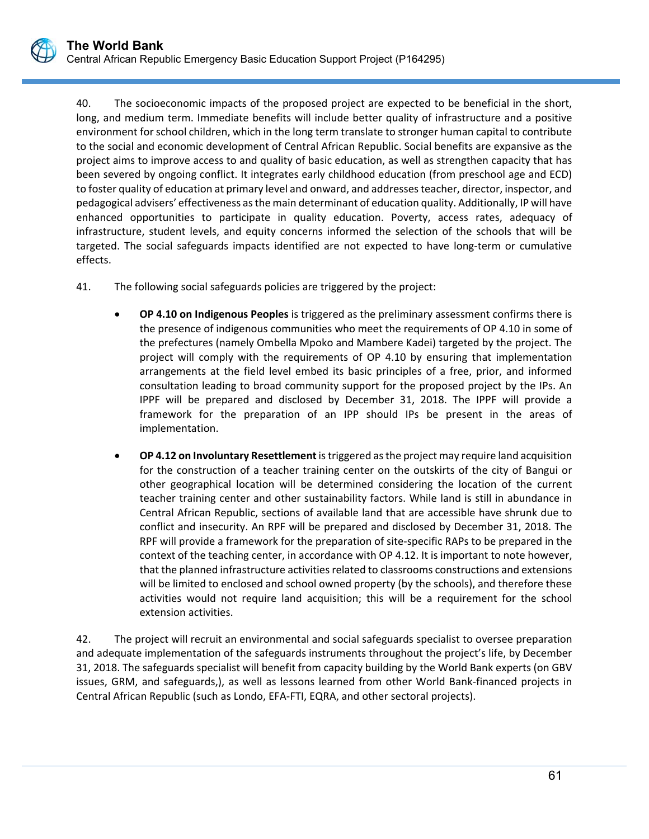40. The socioeconomic impacts of the proposed project are expected to be beneficial in the short, long, and medium term. Immediate benefits will include better quality of infrastructure and a positive environment for school children, which in the long term translate to stronger human capital to contribute to the social and economic development of Central African Republic. Social benefits are expansive as the project aims to improve access to and quality of basic education, as well as strengthen capacity that has been severed by ongoing conflict. It integrates early childhood education (from preschool age and ECD) to foster quality of education at primary level and onward, and addresses teacher, director, inspector, and pedagogical advisers' effectiveness as the main determinant of education quality. Additionally, IP will have enhanced opportunities to participate in quality education. Poverty, access rates, adequacy of infrastructure, student levels, and equity concerns informed the selection of the schools that will be targeted. The social safeguards impacts identified are not expected to have long‐term or cumulative effects.

- 41. The following social safeguards policies are triggered by the project:
	- **OP 4.10 on Indigenous Peoples** is triggered as the preliminary assessment confirms there is the presence of indigenous communities who meet the requirements of OP 4.10 in some of the prefectures (namely Ombella Mpoko and Mambere Kadei) targeted by the project. The project will comply with the requirements of OP 4.10 by ensuring that implementation arrangements at the field level embed its basic principles of a free, prior, and informed consultation leading to broad community support for the proposed project by the IPs. An IPPF will be prepared and disclosed by December 31, 2018. The IPPF will provide a framework for the preparation of an IPP should IPs be present in the areas of implementation.
	- **OP 4.12 on Involuntary Resettlement** is triggered as the project may require land acquisition for the construction of a teacher training center on the outskirts of the city of Bangui or other geographical location will be determined considering the location of the current teacher training center and other sustainability factors. While land is still in abundance in Central African Republic, sections of available land that are accessible have shrunk due to conflict and insecurity. An RPF will be prepared and disclosed by December 31, 2018. The RPF will provide a framework for the preparation of site‐specific RAPs to be prepared in the context of the teaching center, in accordance with OP 4.12. It is important to note however, that the planned infrastructure activities related to classrooms constructions and extensions will be limited to enclosed and school owned property (by the schools), and therefore these activities would not require land acquisition; this will be a requirement for the school extension activities.

42. The project will recruit an environmental and social safeguards specialist to oversee preparation and adequate implementation of the safeguards instruments throughout the project's life, by December 31, 2018. The safeguards specialist will benefit from capacity building by the World Bank experts (on GBV issues, GRM, and safeguards,), as well as lessons learned from other World Bank‐financed projects in Central African Republic (such as Londo, EFA‐FTI, EQRA, and other sectoral projects).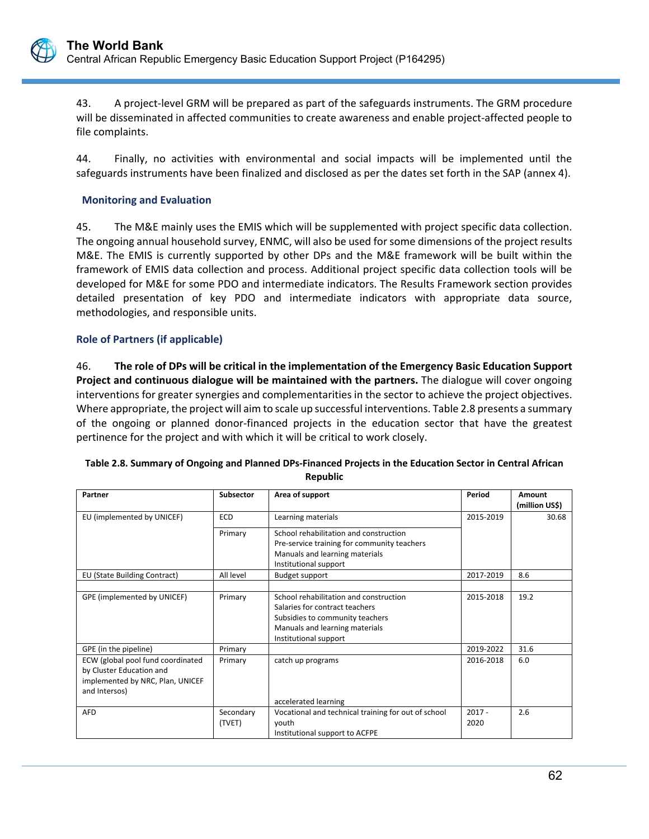

43. A project-level GRM will be prepared as part of the safeguards instruments. The GRM procedure will be disseminated in affected communities to create awareness and enable project‐affected people to file complaints.

44. Finally, no activities with environmental and social impacts will be implemented until the safeguards instruments have been finalized and disclosed as per the dates set forth in the SAP (annex 4).

## **Monitoring and Evaluation**

45. The M&E mainly uses the EMIS which will be supplemented with project specific data collection. The ongoing annual household survey, ENMC, will also be used for some dimensions of the project results M&E. The EMIS is currently supported by other DPs and the M&E framework will be built within the framework of EMIS data collection and process. Additional project specific data collection tools will be developed for M&E for some PDO and intermediate indicators. The Results Framework section provides detailed presentation of key PDO and intermediate indicators with appropriate data source, methodologies, and responsible units.

### **Role of Partners (if applicable)**

46. **The role of DPs will be critical in the implementation of the Emergency Basic Education Support Project and continuous dialogue will be maintained with the partners.** The dialogue will cover ongoing interventions for greater synergies and complementarities in the sector to achieve the project objectives. Where appropriate, the project will aim to scale up successful interventions. Table 2.8 presents a summary of the ongoing or planned donor‐financed projects in the education sector that have the greatest pertinence for the project and with which it will be critical to work closely.

| Partner                                                                                                                                     | <b>Subsector</b>    | Area of support                                                                                                                                                        | Period                 | Amount<br>(million US\$) |
|---------------------------------------------------------------------------------------------------------------------------------------------|---------------------|------------------------------------------------------------------------------------------------------------------------------------------------------------------------|------------------------|--------------------------|
| EU (implemented by UNICEF)                                                                                                                  | <b>ECD</b>          | Learning materials                                                                                                                                                     | 2015-2019              | 30.68                    |
|                                                                                                                                             | Primary             | School rehabilitation and construction<br>Pre-service training for community teachers<br>Manuals and learning materials<br>Institutional support                       |                        |                          |
| EU (State Building Contract)                                                                                                                | All level           | <b>Budget support</b>                                                                                                                                                  | 2017-2019              | 8.6                      |
| GPE (implemented by UNICEF)                                                                                                                 | Primary             | School rehabilitation and construction<br>Salaries for contract teachers<br>Subsidies to community teachers<br>Manuals and learning materials<br>Institutional support | 2015-2018              | 19.2                     |
| GPE (in the pipeline)<br>ECW (global pool fund coordinated<br>by Cluster Education and<br>implemented by NRC, Plan, UNICEF<br>and Intersos) | Primary<br>Primary  | catch up programs<br>accelerated learning                                                                                                                              | 2019-2022<br>2016-2018 | 31.6<br>6.0              |
| AFD                                                                                                                                         | Secondary<br>(TVET) | Vocational and technical training for out of school<br>youth<br>Institutional support to ACFPE                                                                         | $2017 -$<br>2020       | 2.6                      |

 $\overline{a}$ 

#### **Table 2.8. Summary of Ongoing and Planned DPs‐Financed Projects in the Education Sector in Central African Republic**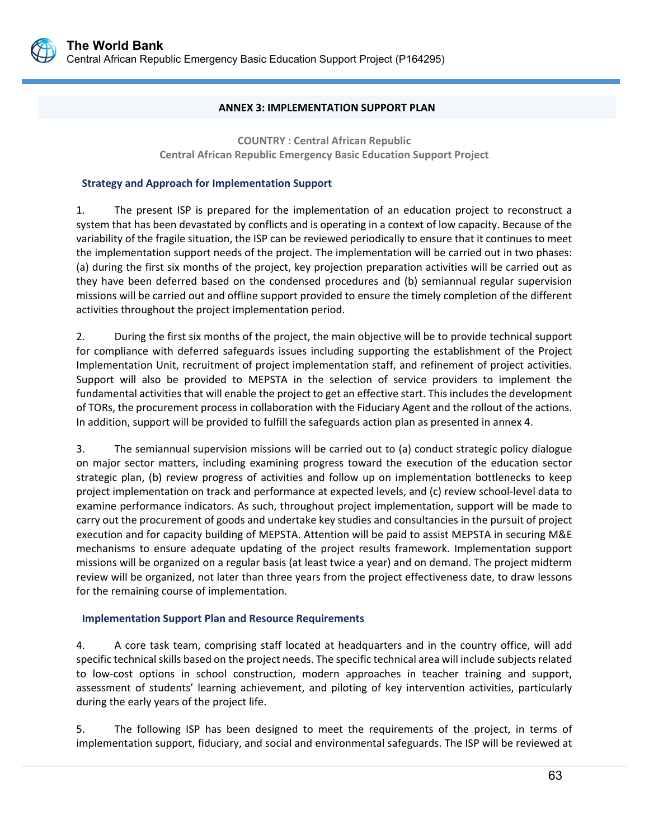# **ANNEX 3: IMPLEMENTATION SUPPORT PLAN**

**COUNTRY : Central African Republic Central African Republic Emergency Basic Education Support Project** 

# **Strategy and Approach for Implementation Support**

1. The present ISP is prepared for the implementation of an education project to reconstruct a system that has been devastated by conflicts and is operating in a context of low capacity. Because of the variability of the fragile situation, the ISP can be reviewed periodically to ensure that it continues to meet the implementation support needs of the project. The implementation will be carried out in two phases: (a) during the first six months of the project, key projection preparation activities will be carried out as they have been deferred based on the condensed procedures and (b) semiannual regular supervision missions will be carried out and offline support provided to ensure the timely completion of the different activities throughout the project implementation period.

2. During the first six months of the project, the main objective will be to provide technical support for compliance with deferred safeguards issues including supporting the establishment of the Project Implementation Unit, recruitment of project implementation staff, and refinement of project activities. Support will also be provided to MEPSTA in the selection of service providers to implement the fundamental activities that will enable the project to get an effective start. This includes the development of TORs, the procurement process in collaboration with the Fiduciary Agent and the rollout of the actions. In addition, support will be provided to fulfill the safeguards action plan as presented in annex 4.

3. The semiannual supervision missions will be carried out to (a) conduct strategic policy dialogue on major sector matters, including examining progress toward the execution of the education sector strategic plan, (b) review progress of activities and follow up on implementation bottlenecks to keep project implementation on track and performance at expected levels, and (c) review school‐level data to examine performance indicators. As such, throughout project implementation, support will be made to carry out the procurement of goods and undertake key studies and consultancies in the pursuit of project execution and for capacity building of MEPSTA. Attention will be paid to assist MEPSTA in securing M&E mechanisms to ensure adequate updating of the project results framework. Implementation support missions will be organized on a regular basis (at least twice a year) and on demand. The project midterm review will be organized, not later than three years from the project effectiveness date, to draw lessons for the remaining course of implementation.

### **Implementation Support Plan and Resource Requirements**

4. A core task team, comprising staff located at headquarters and in the country office, will add specific technical skills based on the project needs. The specific technical area will include subjects related to low-cost options in school construction, modern approaches in teacher training and support, assessment of students' learning achievement, and piloting of key intervention activities, particularly during the early years of the project life.

5. The following ISP has been designed to meet the requirements of the project, in terms of implementation support, fiduciary, and social and environmental safeguards. The ISP will be reviewed at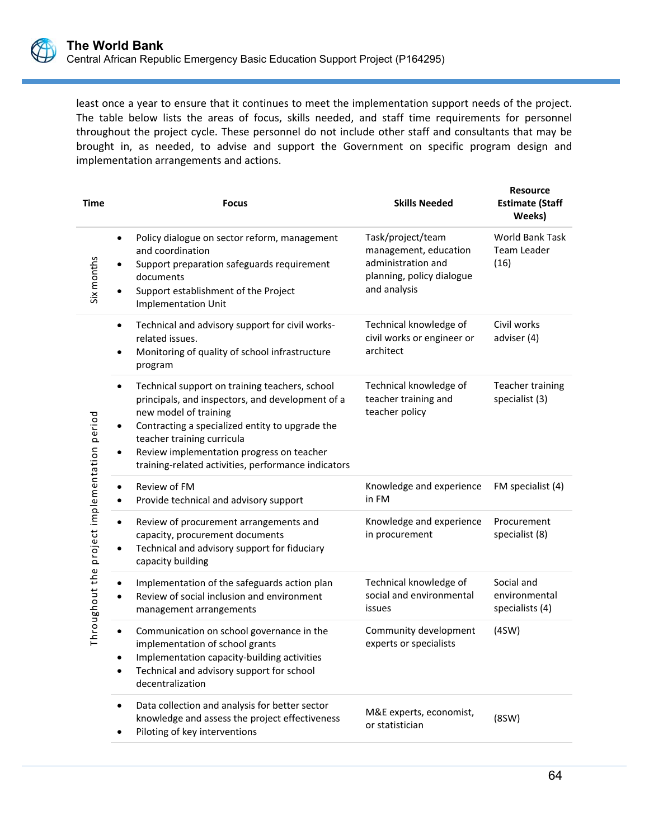

least once a year to ensure that it continues to meet the implementation support needs of the project. The table below lists the areas of focus, skills needed, and staff time requirements for personnel throughout the project cycle. These personnel do not include other staff and consultants that may be brought in, as needed, to advise and support the Government on specific program design and implementation arrangements and actions.

| Time                                         | <b>Focus</b>                                                                                                                                                                                                                                                                                                                               | <b>Skills Needed</b>                                                                                          | <b>Resource</b><br><b>Estimate (Staff</b><br>Weeks) |
|----------------------------------------------|--------------------------------------------------------------------------------------------------------------------------------------------------------------------------------------------------------------------------------------------------------------------------------------------------------------------------------------------|---------------------------------------------------------------------------------------------------------------|-----------------------------------------------------|
| Six months                                   | Policy dialogue on sector reform, management<br>٠<br>and coordination<br>Support preparation safeguards requirement<br>documents<br>Support establishment of the Project<br><b>Implementation Unit</b>                                                                                                                                     | Task/project/team<br>management, education<br>administration and<br>planning, policy dialogue<br>and analysis | <b>World Bank Task</b><br>Team Leader<br>(16)       |
|                                              | Technical and advisory support for civil works-<br>٠<br>related issues.<br>Monitoring of quality of school infrastructure<br>program                                                                                                                                                                                                       | Technical knowledge of<br>civil works or engineer or<br>architect                                             | Civil works<br>adviser (4)                          |
| Throughout the project implementation period | Technical support on training teachers, school<br>$\bullet$<br>principals, and inspectors, and development of a<br>new model of training<br>Contracting a specialized entity to upgrade the<br>$\bullet$<br>teacher training curricula<br>Review implementation progress on teacher<br>training-related activities, performance indicators | Technical knowledge of<br>teacher training and<br>teacher policy                                              | Teacher training<br>specialist (3)                  |
|                                              | Review of FM<br>Provide technical and advisory support                                                                                                                                                                                                                                                                                     | Knowledge and experience<br>in FM                                                                             | FM specialist (4)                                   |
|                                              | Review of procurement arrangements and<br>capacity, procurement documents<br>Technical and advisory support for fiduciary<br>capacity building                                                                                                                                                                                             | Knowledge and experience<br>in procurement                                                                    | Procurement<br>specialist (8)                       |
|                                              | Implementation of the safeguards action plan<br>$\bullet$<br>Review of social inclusion and environment<br>management arrangements                                                                                                                                                                                                         | Technical knowledge of<br>social and environmental<br>issues                                                  | Social and<br>environmental<br>specialists (4)      |
|                                              | Communication on school governance in the<br>implementation of school grants<br>Implementation capacity-building activities<br>Technical and advisory support for school<br>$\bullet$<br>decentralization                                                                                                                                  | Community development<br>experts or specialists                                                               | (4SW)                                               |
|                                              | Data collection and analysis for better sector<br>٠<br>knowledge and assess the project effectiveness<br>Piloting of key interventions<br>٠                                                                                                                                                                                                | M&E experts, economist,<br>or statistician                                                                    | (8SW)                                               |
|                                              |                                                                                                                                                                                                                                                                                                                                            |                                                                                                               |                                                     |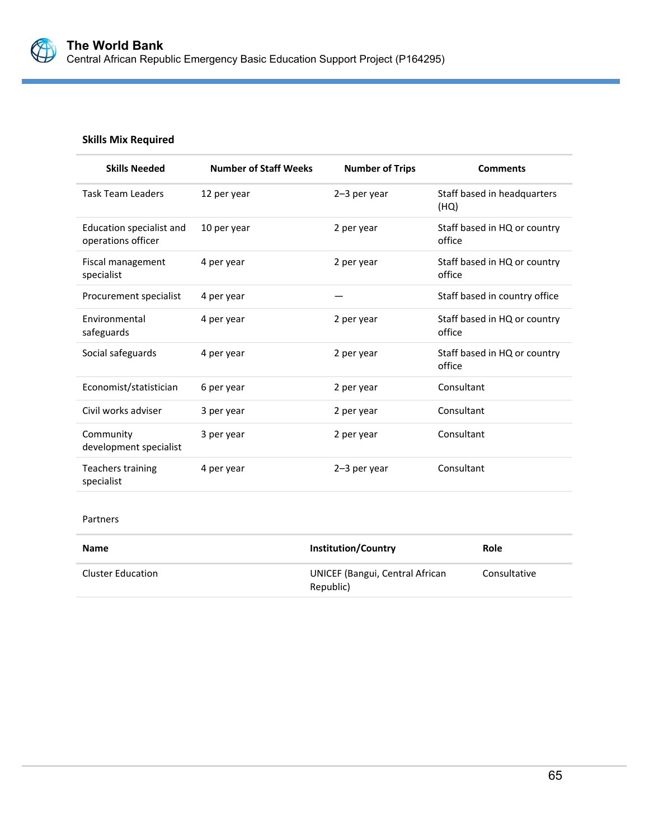

# **Skills Mix Required**

| <b>Skills Needed</b>                           | <b>Number of Staff Weeks</b> | <b>Number of Trips</b> | <b>Comments</b>                        |
|------------------------------------------------|------------------------------|------------------------|----------------------------------------|
| <b>Task Team Leaders</b>                       | 12 per year                  | 2-3 per year           | Staff based in headquarters<br>(HQ)    |
| Education specialist and<br>operations officer | 10 per year                  | 2 per year             | Staff based in HQ or country<br>office |
| Fiscal management<br>specialist                | 4 per year                   | 2 per year             | Staff based in HQ or country<br>office |
| Procurement specialist                         | 4 per year                   |                        | Staff based in country office          |
| Environmental<br>safeguards                    | 4 per year                   | 2 per year             | Staff based in HQ or country<br>office |
| Social safeguards                              | 4 per year                   | 2 per year             | Staff based in HQ or country<br>office |
| Economist/statistician                         | 6 per year                   | 2 per year             | Consultant                             |
| Civil works adviser                            | 3 per year                   | 2 per year             | Consultant                             |
| Community<br>development specialist            | 3 per year                   | 2 per year             | Consultant                             |
| <b>Teachers training</b><br>specialist         | 4 per year                   | 2-3 per year           | Consultant                             |

#### Partners

|           | <b>Name</b>              | <b>Institution/Country</b>      | Role         |
|-----------|--------------------------|---------------------------------|--------------|
| Republic) | <b>Cluster Education</b> | UNICEF (Bangui, Central African | Consultative |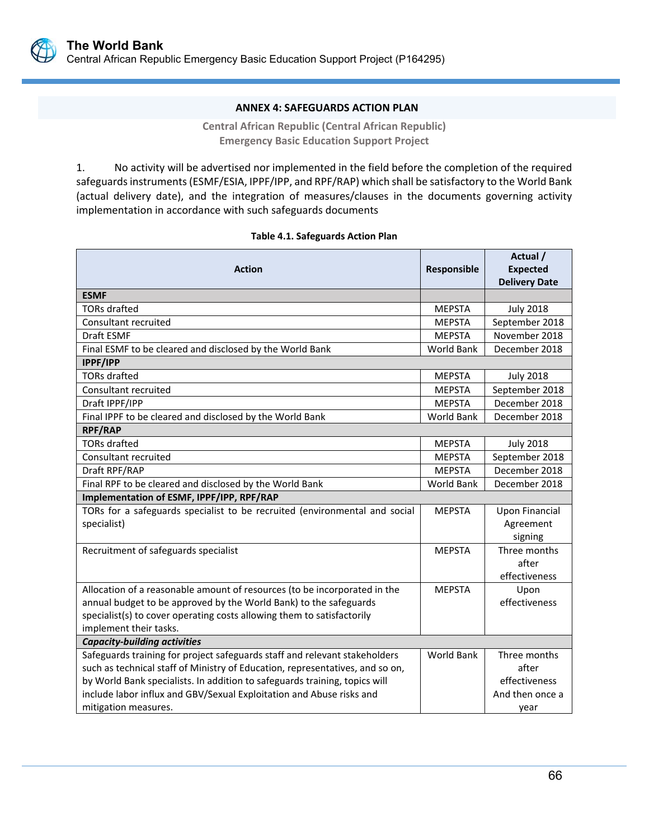## **ANNEX 4: SAFEGUARDS ACTION PLAN**

**Central African Republic (Central African Republic) Emergency Basic Education Support Project** 

1. No activity will be advertised nor implemented in the field before the completion of the required safeguards instruments (ESMF/ESIA, IPPF/IPP, and RPF/RAP) which shall be satisfactory to the World Bank (actual delivery date), and the integration of measures/clauses in the documents governing activity implementation in accordance with such safeguards documents

|                                                                               |               | Actual /              |
|-------------------------------------------------------------------------------|---------------|-----------------------|
| <b>Action</b>                                                                 | Responsible   | <b>Expected</b>       |
|                                                                               |               | <b>Delivery Date</b>  |
| <b>ESMF</b>                                                                   |               |                       |
| <b>TORs drafted</b>                                                           | <b>MEPSTA</b> | <b>July 2018</b>      |
| Consultant recruited                                                          | <b>MEPSTA</b> | September 2018        |
| Draft ESMF                                                                    | <b>MEPSTA</b> | November 2018         |
| Final ESMF to be cleared and disclosed by the World Bank                      | World Bank    | December 2018         |
| <b>IPPF/IPP</b>                                                               |               |                       |
| <b>TORs drafted</b>                                                           | <b>MEPSTA</b> | <b>July 2018</b>      |
| Consultant recruited                                                          | <b>MEPSTA</b> | September 2018        |
| Draft IPPF/IPP                                                                | <b>MEPSTA</b> | December 2018         |
| Final IPPF to be cleared and disclosed by the World Bank                      | World Bank    | December 2018         |
| <b>RPF/RAP</b>                                                                |               |                       |
| <b>TORs drafted</b>                                                           | <b>MEPSTA</b> | <b>July 2018</b>      |
| Consultant recruited                                                          | <b>MEPSTA</b> | September 2018        |
| Draft RPF/RAP                                                                 | <b>MEPSTA</b> | December 2018         |
| Final RPF to be cleared and disclosed by the World Bank                       | World Bank    | December 2018         |
| Implementation of ESMF, IPPF/IPP, RPF/RAP                                     |               |                       |
| TORs for a safeguards specialist to be recruited (environmental and social    | <b>MEPSTA</b> | <b>Upon Financial</b> |
| specialist)                                                                   |               | Agreement             |
|                                                                               |               | signing               |
| Recruitment of safeguards specialist                                          | <b>MEPSTA</b> | Three months          |
|                                                                               |               | after                 |
|                                                                               |               | effectiveness         |
| Allocation of a reasonable amount of resources (to be incorporated in the     | <b>MEPSTA</b> | Upon                  |
| annual budget to be approved by the World Bank) to the safeguards             |               | effectiveness         |
| specialist(s) to cover operating costs allowing them to satisfactorily        |               |                       |
| implement their tasks.                                                        |               |                       |
| <b>Capacity-building activities</b>                                           |               |                       |
| Safeguards training for project safeguards staff and relevant stakeholders    | World Bank    | Three months          |
| such as technical staff of Ministry of Education, representatives, and so on, |               | after                 |
| by World Bank specialists. In addition to safeguards training, topics will    |               | effectiveness         |
| include labor influx and GBV/Sexual Exploitation and Abuse risks and          |               | And then once a       |
| mitigation measures.                                                          |               | year                  |

 $\overline{a}$ 

#### **Table 4.1. Safeguards Action Plan**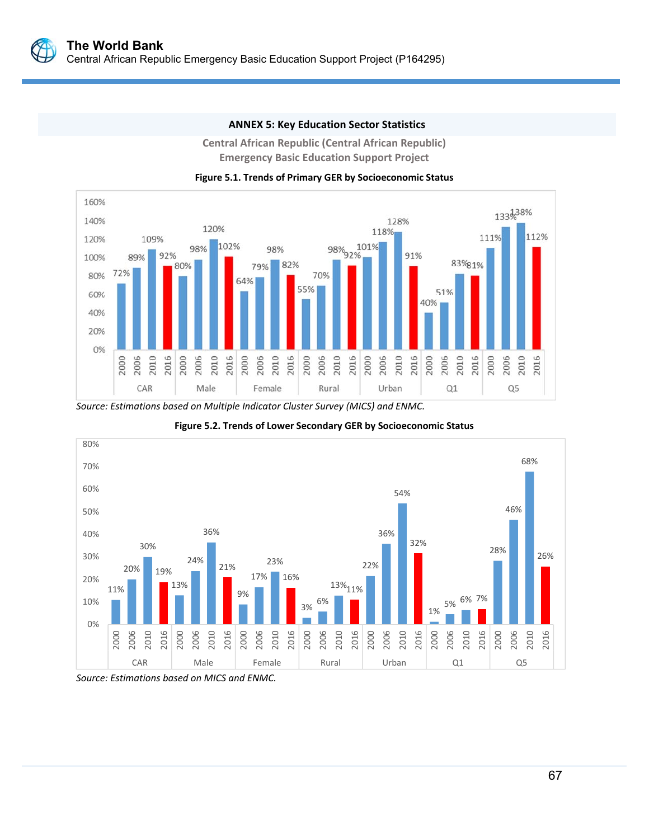# **ANNEX 5: Key Education Sector Statistics**

**Central African Republic (Central African Republic) Emergency Basic Education Support Project** 





*Source: Estimations based on Multiple Indicator Cluster Survey (MICS) and ENMC.*



 $\overline{a}$ 



*Source: Estimations based on MICS and ENMC.*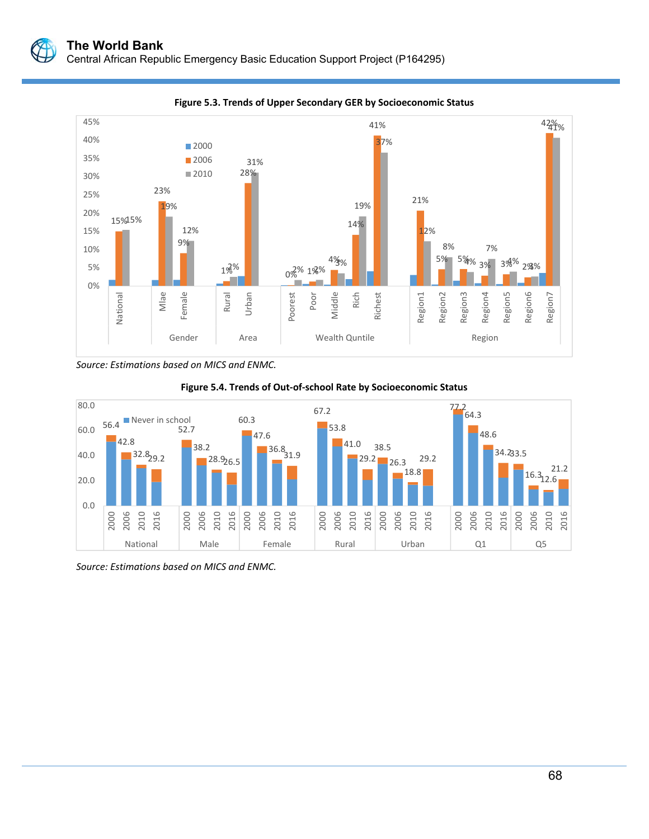





*Source: Estimations based on MICS and ENMC.* 



 $\overline{a}$ 

# **Figure 5.4. Trends of Out‐of‐school Rate by Socioeconomic Status**

*Source: Estimations based on MICS and ENMC.*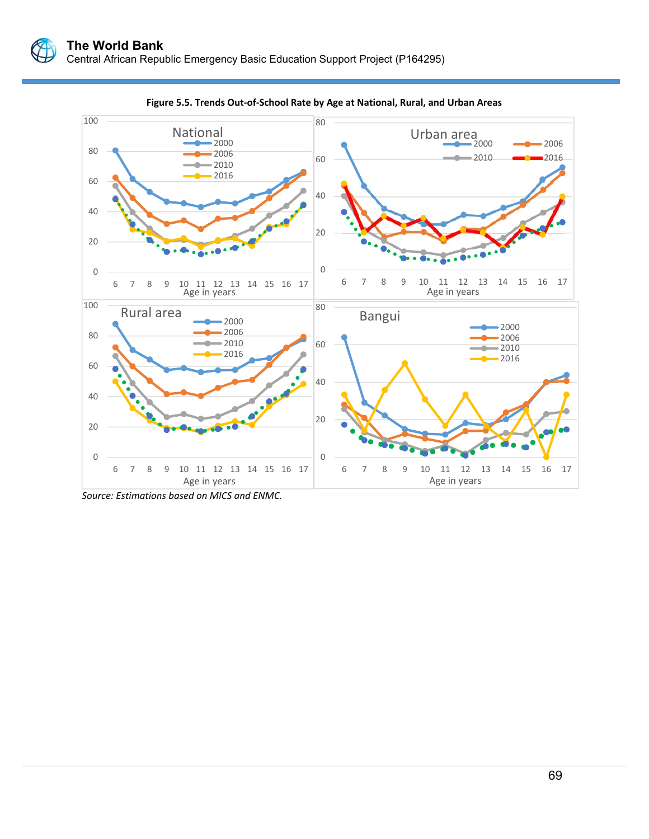





*Source: Estimations based on MICS and ENMC.*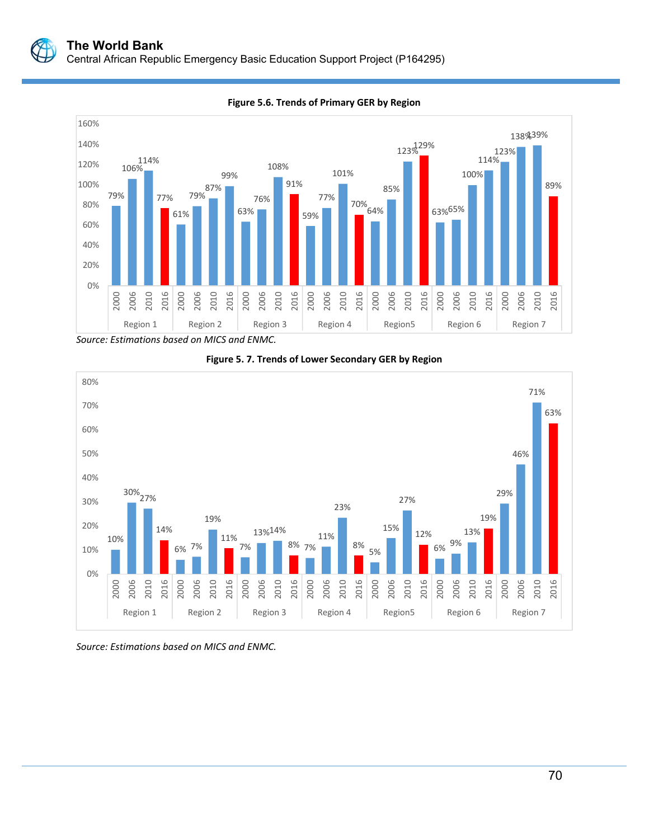

**Figure 5.6. Trends of Primary GER by Region** 

*Source: Estimations based on MICS and ENMC.* 



 $\overline{a}$ 

**Figure 5. 7. Trends of Lower Secondary GER by Region** 

*Source: Estimations based on MICS and ENMC.*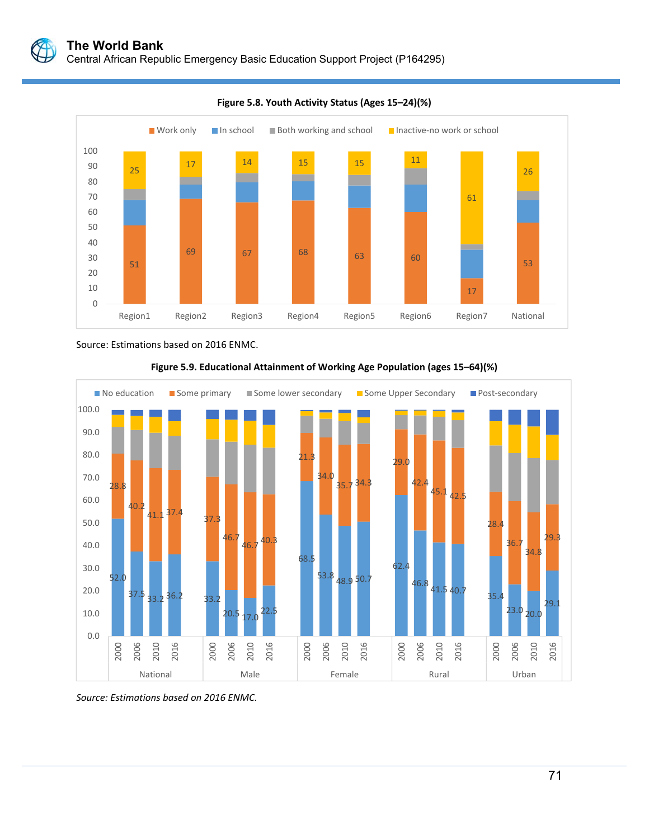

**Figure 5.8. Youth Activity Status (Ages 15–24)(%)** 

Source: Estimations based on 2016 ENMC.



 $\overline{a}$ 

**Figure 5.9. Educational Attainment of Working Age Population (ages 15–64)(%)** 

*Source: Estimations based on 2016 ENMC.*